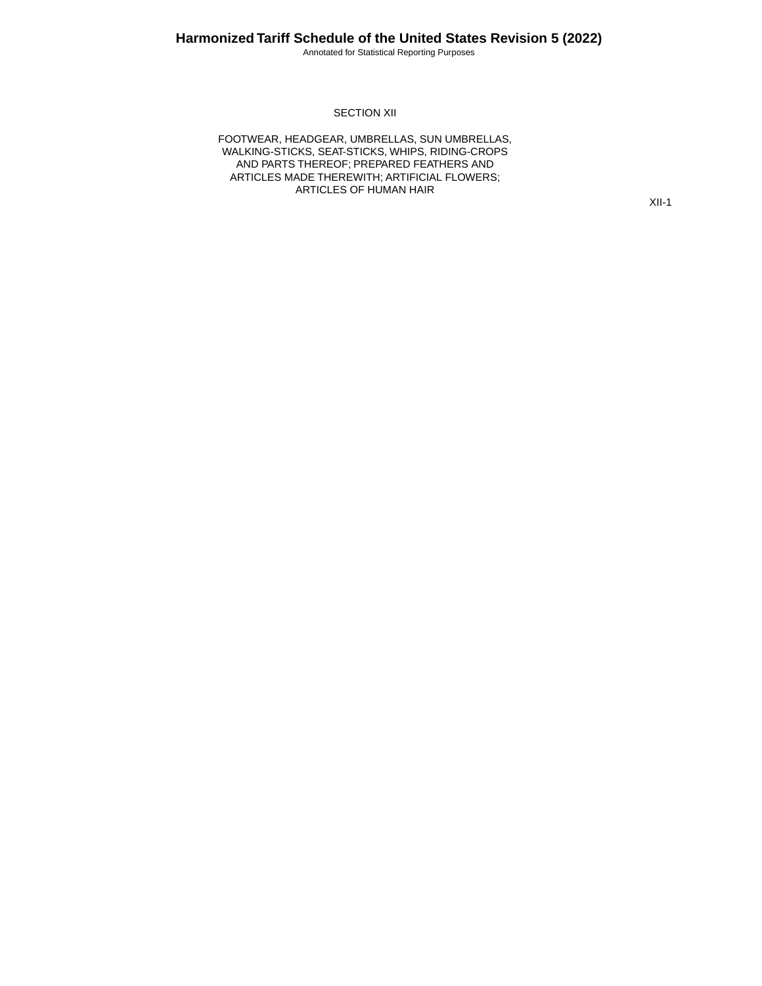Annotated for Statistical Reporting Purposes

#### SECTION XII

FOOTWEAR, HEADGEAR, UMBRELLAS, SUN UMBRELLAS, WALKING-STICKS, SEAT-STICKS, WHIPS, RIDING-CROPS AND PARTS THEREOF; PREPARED FEATHERS AND ARTICLES MADE THEREWITH; ARTIFICIAL FLOWERS; ARTICLES OF HUMAN HAIR

XII-1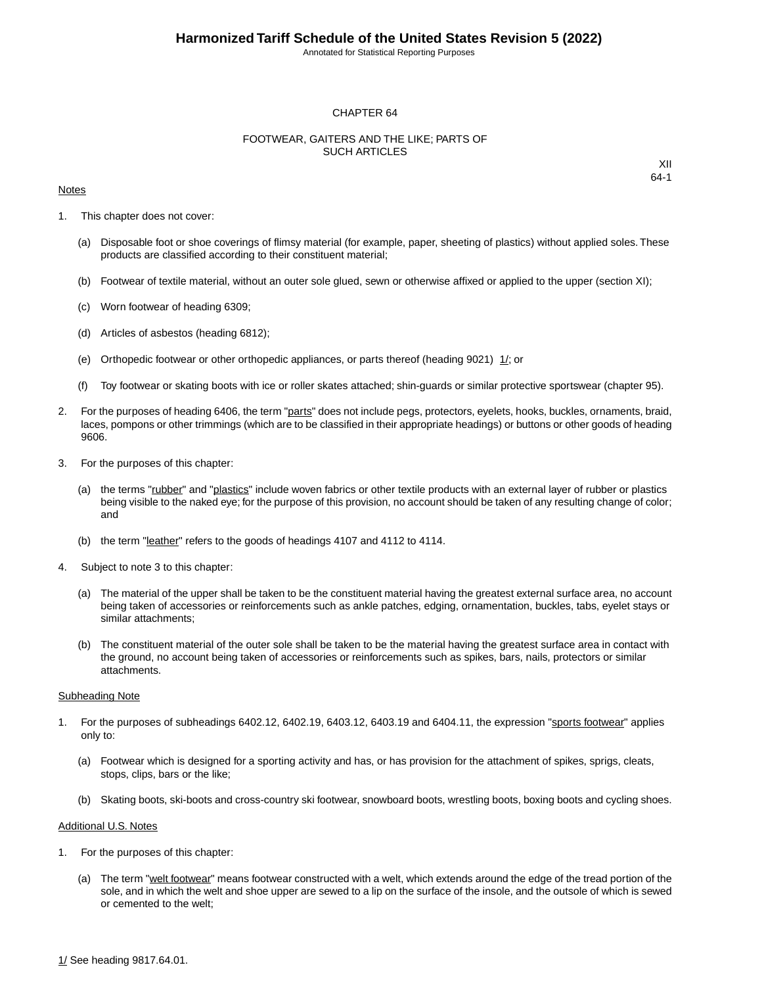Annotated for Statistical Reporting Purposes

#### CHAPTER 64

#### FOOTWEAR, GAITERS AND THE LIKE; PARTS OF SUCH ARTICLES

#### Notes

XII 64-1

- 1. This chapter does not cover:
	- (a) Disposable foot or shoe coverings of flimsy material (for example, paper, sheeting of plastics) without applied soles. These products are classified according to their constituent material;
	- (b) Footwear of textile material, without an outer sole glued, sewn or otherwise affixed or applied to the upper (section XI);
	- (c) Worn footwear of heading 6309;
	- (d) Articles of asbestos (heading 6812);
	- (e) Orthopedic footwear or other orthopedic appliances, or parts thereof (heading 9021) 1/; or
	- (f) Toy footwear or skating boots with ice or roller skates attached; shin-guards or similar protective sportswear (chapter 95).
- 2. For the purposes of heading 6406, the term "parts" does not include pegs, protectors, eyelets, hooks, buckles, ornaments, braid, laces, pompons or other trimmings (which are to be classified in their appropriate headings) or buttons or other goods of heading 9606.
- 3. For the purposes of this chapter:
	- (a) the terms "rubber" and "plastics" include woven fabrics or other textile products with an external layer of rubber or plastics being visible to the naked eye; for the purpose of this provision, no account should be taken of any resulting change of color; and
	- (b) the term "leather" refers to the goods of headings 4107 and 4112 to 4114.
- 4. Subject to note 3 to this chapter:
	- (a) The material of the upper shall be taken to be the constituent material having the greatest external surface area, no account being taken of accessories or reinforcements such as ankle patches, edging, ornamentation, buckles, tabs, eyelet stays or similar attachments;
	- (b) The constituent material of the outer sole shall be taken to be the material having the greatest surface area in contact with the ground, no account being taken of accessories or reinforcements such as spikes, bars, nails, protectors or similar attachments.

#### Subheading Note

- 1. For the purposes of subheadings 6402.12, 6402.19, 6403.12, 6403.19 and 6404.11, the expression "sports footwear" applies only to:
	- (a) Footwear which is designed for a sporting activity and has, or has provision for the attachment of spikes, sprigs, cleats, stops, clips, bars or the like;
	- (b) Skating boots, ski-boots and cross-country ski footwear, snowboard boots, wrestling boots, boxing boots and cycling shoes.

#### Additional U.S. Notes

- 1. For the purposes of this chapter:
	- (a) The term "welt footwear" means footwear constructed with a welt, which extends around the edge of the tread portion of the sole, and in which the welt and shoe upper are sewed to a lip on the surface of the insole, and the outsole of which is sewed or cemented to the welt;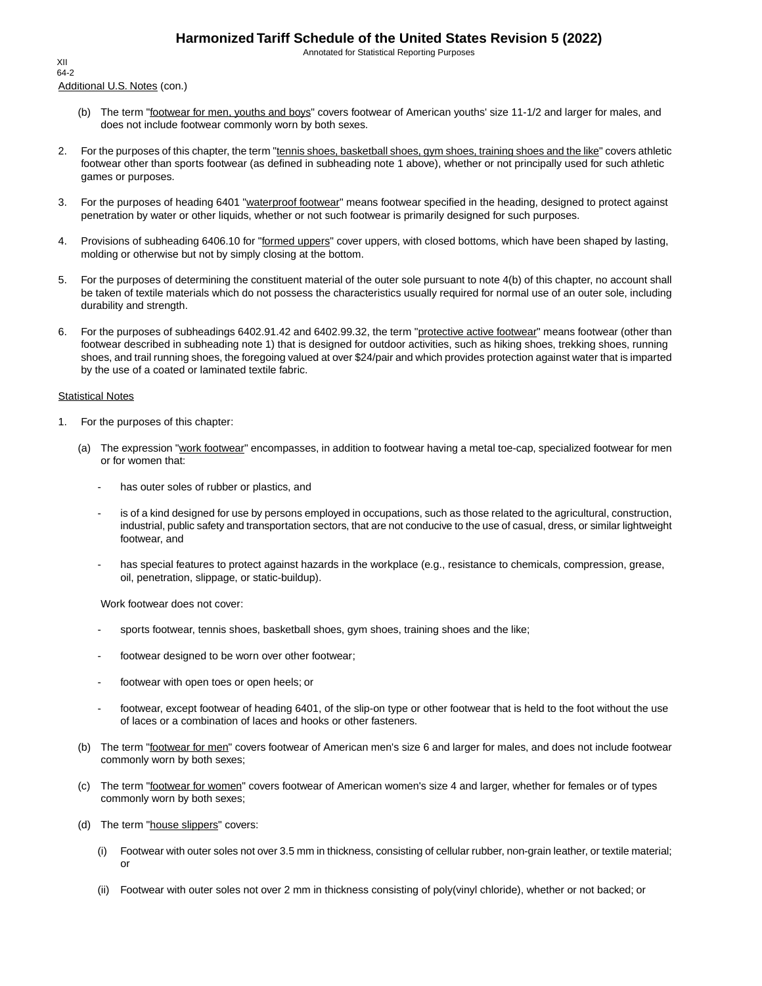Annotated for Statistical Reporting Purposes

Additional U.S. Notes (con.) XII 64-2

- (b) The term "footwear for men, youths and boys" covers footwear of American youths' size 11-1/2 and larger for males, and does not include footwear commonly worn by both sexes.
- 2. For the purposes of this chapter, the term "tennis shoes, basketball shoes, gym shoes, training shoes and the like" covers athletic footwear other than sports footwear (as defined in subheading note 1 above), whether or not principally used for such athletic games or purposes.
- 3. For the purposes of heading 6401 "waterproof footwear" means footwear specified in the heading, designed to protect against penetration by water or other liquids, whether or not such footwear is primarily designed for such purposes.
- 4. Provisions of subheading 6406.10 for "formed uppers" cover uppers, with closed bottoms, which have been shaped by lasting, molding or otherwise but not by simply closing at the bottom.
- 5. For the purposes of determining the constituent material of the outer sole pursuant to note 4(b) of this chapter, no account shall be taken of textile materials which do not possess the characteristics usually required for normal use of an outer sole, including durability and strength.
- 6. For the purposes of subheadings 6402.91.42 and 6402.99.32, the term "protective active footwear" means footwear (other than footwear described in subheading note 1) that is designed for outdoor activities, such as hiking shoes, trekking shoes, running shoes, and trail running shoes, the foregoing valued at over \$24/pair and which provides protection against water that is imparted by the use of a coated or laminated textile fabric.

#### **Statistical Notes**

- 1. For the purposes of this chapter:
	- (a) The expression "work footwear" encompasses, in addition to footwear having a metal toe-cap, specialized footwear for men or for women that:
		- has outer soles of rubber or plastics, and
		- is of a kind designed for use by persons employed in occupations, such as those related to the agricultural, construction, industrial, public safety and transportation sectors, that are not conducive to the use of casual, dress, or similar lightweight footwear, and
		- has special features to protect against hazards in the workplace (e.g., resistance to chemicals, compression, grease, oil, penetration, slippage, or static-buildup).

Work footwear does not cover:

- sports footwear, tennis shoes, basketball shoes, gym shoes, training shoes and the like;
- footwear designed to be worn over other footwear;
- footwear with open toes or open heels; or
- footwear, except footwear of heading 6401, of the slip-on type or other footwear that is held to the foot without the use of laces or a combination of laces and hooks or other fasteners.
- (b) The term "footwear for men" covers footwear of American men's size 6 and larger for males, and does not include footwear commonly worn by both sexes;
- (c) The term "footwear for women" covers footwear of American women's size 4 and larger, whether for females or of types commonly worn by both sexes;
- (d) The term "house slippers" covers:
	- (i) Footwear with outer soles not over 3.5 mm in thickness, consisting of cellular rubber, non-grain leather, or textile material; or
	- (ii) Footwear with outer soles not over 2 mm in thickness consisting of poly(vinyl chloride), whether or not backed; or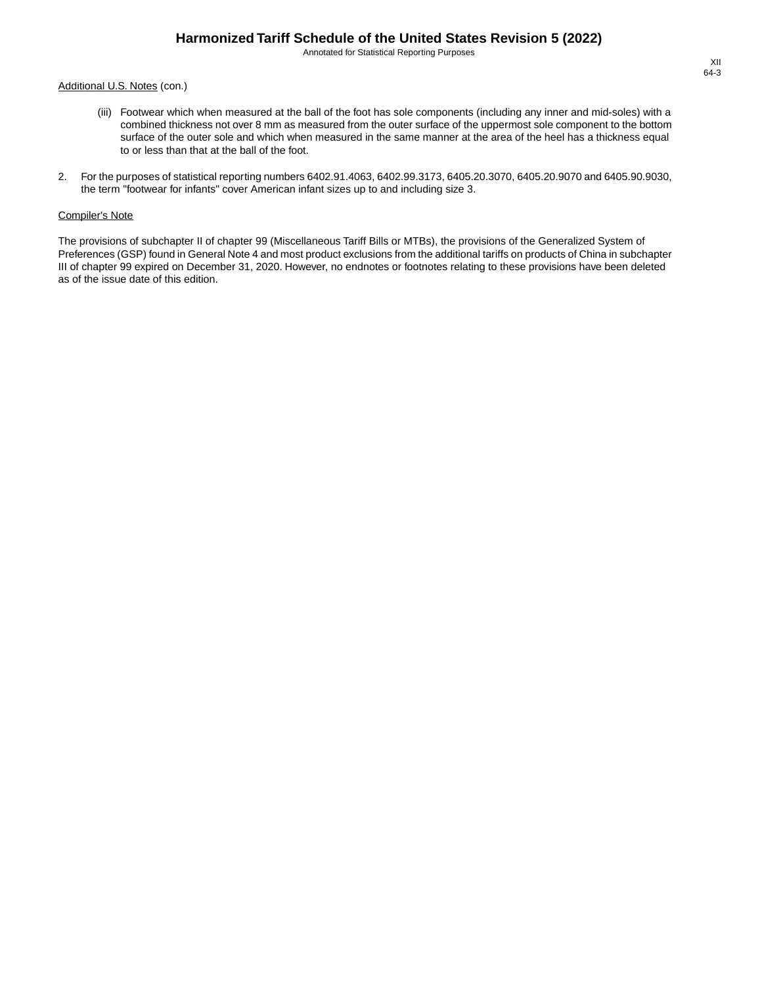Annotated for Statistical Reporting Purposes

#### Additional U.S. Notes (con.)

- (iii) Footwear which when measured at the ball of the foot has sole components (including any inner and mid-soles) with a combined thickness not over 8 mm as measured from the outer surface of the uppermost sole component to the bottom surface of the outer sole and which when measured in the same manner at the area of the heel has a thickness equal to or less than that at the ball of the foot.
- 2. For the purposes of statistical reporting numbers 6402.91.4063, 6402.99.3173, 6405.20.3070, 6405.20.9070 and 6405.90.9030, the term "footwear for infants" cover American infant sizes up to and including size 3.

#### Compiler's Note

The provisions of subchapter II of chapter 99 (Miscellaneous Tariff Bills or MTBs), the provisions of the Generalized System of Preferences (GSP) found in General Note 4 and most product exclusions from the additional tariffs on products of China in subchapter III of chapter 99 expired on December 31, 2020. However, no endnotes or footnotes relating to these provisions have been deleted as of the issue date of this edition.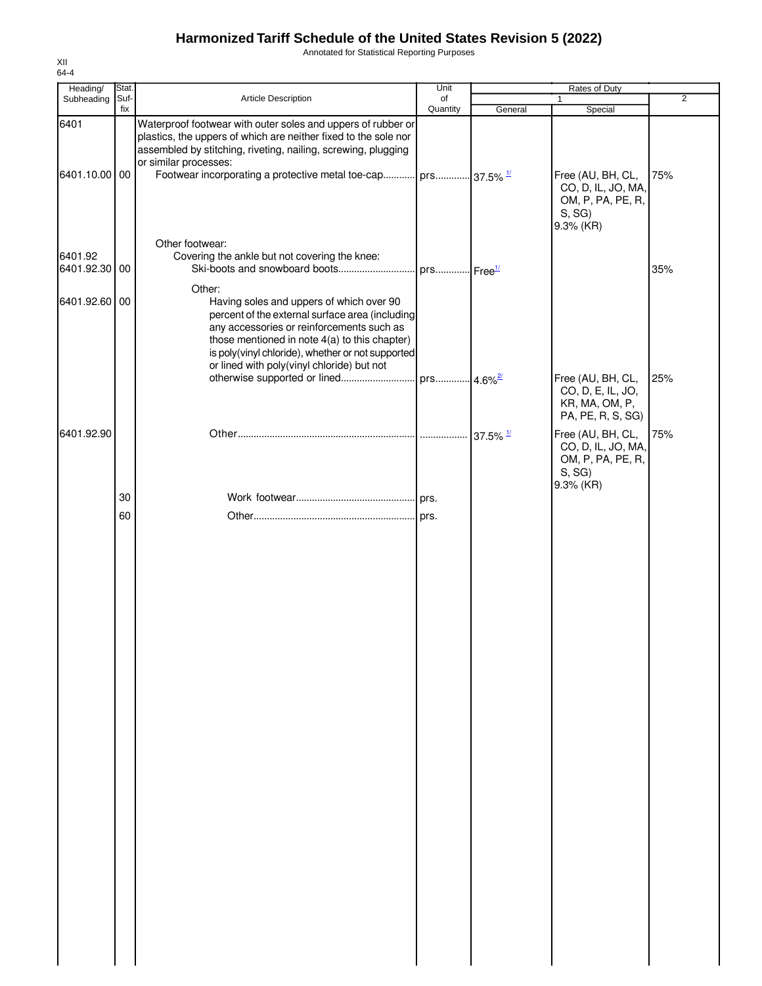Annotated for Statistical Reporting Purposes

| Stat. |                                                                                                                                                                                      | Unit                                             |                                                                                                                                                                                  |                                                                                                    |                                                      |
|-------|--------------------------------------------------------------------------------------------------------------------------------------------------------------------------------------|--------------------------------------------------|----------------------------------------------------------------------------------------------------------------------------------------------------------------------------------|----------------------------------------------------------------------------------------------------|------------------------------------------------------|
|       |                                                                                                                                                                                      | of                                               |                                                                                                                                                                                  |                                                                                                    | $\overline{2}$                                       |
|       | plastics, the uppers of which are neither fixed to the sole nor<br>assembled by stitching, riveting, nailing, screwing, plugging<br>or similar processes:                            |                                                  |                                                                                                                                                                                  |                                                                                                    |                                                      |
|       |                                                                                                                                                                                      |                                                  |                                                                                                                                                                                  | Free (AU, BH, CL,<br>CO, D, IL, JO, MA,<br>OM, P, PA, PE, R,<br>S, SG<br>9.3% (KR)                 | 75%                                                  |
|       | Covering the ankle but not covering the knee:                                                                                                                                        |                                                  |                                                                                                                                                                                  |                                                                                                    | 35%                                                  |
|       | Having soles and uppers of which over 90<br>any accessories or reinforcements such as<br>those mentioned in note 4(a) to this chapter)<br>or lined with poly(vinyl chloride) but not |                                                  |                                                                                                                                                                                  |                                                                                                    |                                                      |
|       |                                                                                                                                                                                      |                                                  |                                                                                                                                                                                  | CO, D, E, IL, JO,<br>KR, MA, OM, P,<br>PA, PE, R, S, SG)                                           | 25%                                                  |
|       |                                                                                                                                                                                      |                                                  |                                                                                                                                                                                  | Free (AU, BH, CL,<br>CO, D, IL, JO, MA,<br>OM, P, PA, PE, R,<br>S, SG<br>9.3% (KR)                 | 75%                                                  |
|       |                                                                                                                                                                                      |                                                  |                                                                                                                                                                                  |                                                                                                    |                                                      |
| 60    |                                                                                                                                                                                      |                                                  |                                                                                                                                                                                  |                                                                                                    |                                                      |
|       | Suf-<br>fix<br>6401.10.00 00<br>6401.92.30 00<br>6401.92.60 00<br>30                                                                                                                 | Article Description<br>Other footwear:<br>Other: | Quantity<br>Waterproof footwear with outer soles and uppers of rubber or<br>percent of the external surface area (including<br>is poly(vinyl chloride), whether or not supported | General<br>Footwear incorporating a protective metal toe-cap prs 37.5% 1<br>$37.5\%$ $\frac{1}{1}$ | <b>Rates of Duty</b><br>Special<br>Free (AU, BH, CL, |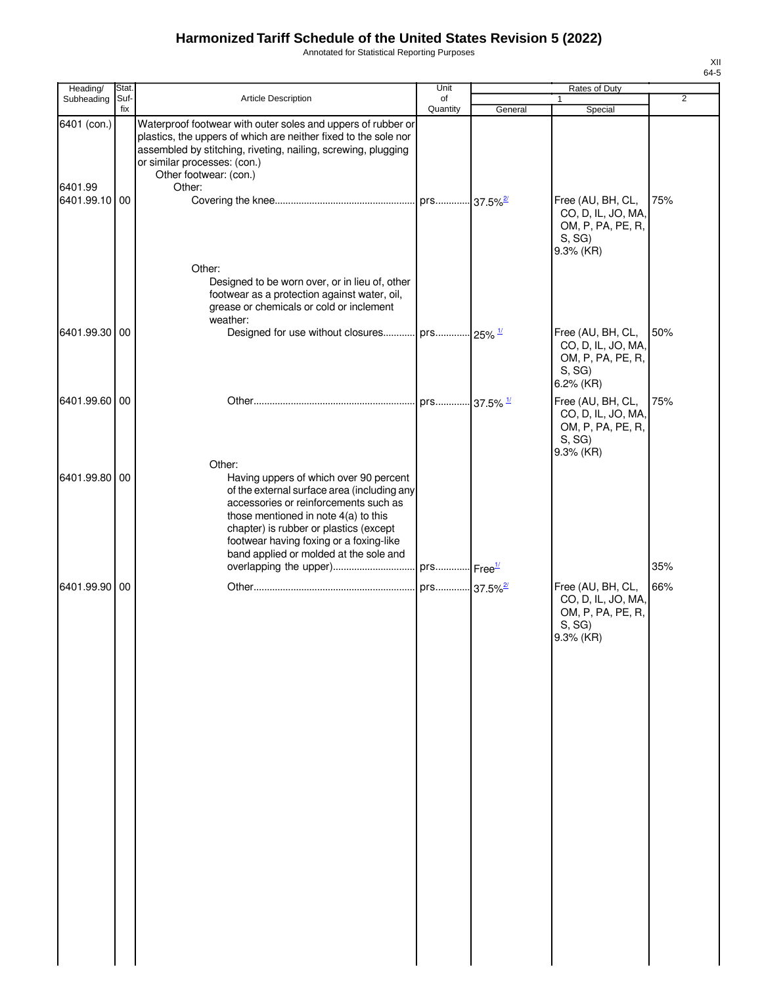Annotated for Statistical Reporting Purposes

| Heading/               | Stat.       |                                                                                                                                                                                                                                                                                                                   | Unit           |         | Rates of Duty                                                                      |                |
|------------------------|-------------|-------------------------------------------------------------------------------------------------------------------------------------------------------------------------------------------------------------------------------------------------------------------------------------------------------------------|----------------|---------|------------------------------------------------------------------------------------|----------------|
| Subheading             | Suf-<br>fix | Article Description                                                                                                                                                                                                                                                                                               | of<br>Quantity | General | 1<br>Special                                                                       | $\overline{2}$ |
| 6401 (con.)<br>6401.99 |             | Waterproof footwear with outer soles and uppers of rubber or<br>plastics, the uppers of which are neither fixed to the sole nor<br>assembled by stitching, riveting, nailing, screwing, plugging<br>or similar processes: (con.)<br>Other footwear: (con.)<br>Other:                                              |                |         |                                                                                    |                |
| 6401.99.10 00          |             | Other:                                                                                                                                                                                                                                                                                                            |                |         | Free (AU, BH, CL,<br>CO, D, IL, JO, MA,<br>OM, P, PA, PE, R,<br>S, SG<br>9.3% (KR) | 75%            |
|                        |             | Designed to be worn over, or in lieu of, other<br>footwear as a protection against water, oil,<br>grease or chemicals or cold or inclement<br>weather:                                                                                                                                                            |                |         |                                                                                    |                |
| 6401.99.30 00          |             | Designed for use without closures prs 25% 1/                                                                                                                                                                                                                                                                      |                |         | Free (AU, BH, CL,<br>CO, D, IL, JO, MA,<br>OM, P, PA, PE, R,<br>S, SG<br>6.2% (KR) | 50%            |
| 6401.99.60 00          |             |                                                                                                                                                                                                                                                                                                                   | . prs 37.5% 1/ |         | Free (AU, BH, CL,<br>CO, D, IL, JO, MA,<br>OM, P, PA, PE, R,<br>S, SG<br>9.3% (KR) | 75%            |
| 6401.99.80 00          |             | Other:<br>Having uppers of which over 90 percent<br>of the external surface area (including any<br>accessories or reinforcements such as<br>those mentioned in note $4(a)$ to this<br>chapter) is rubber or plastics (except<br>footwear having foxing or a foxing-like<br>band applied or molded at the sole and |                |         |                                                                                    |                |
| 6401.99.90 00          |             |                                                                                                                                                                                                                                                                                                                   |                |         | Free (AU, BH, CL,<br>CO, D, IL, JO, MA,<br>OM, P, PA, PE, R,<br>S, SG<br>9.3% (KR) | 35%<br>66%     |
|                        |             |                                                                                                                                                                                                                                                                                                                   |                |         |                                                                                    |                |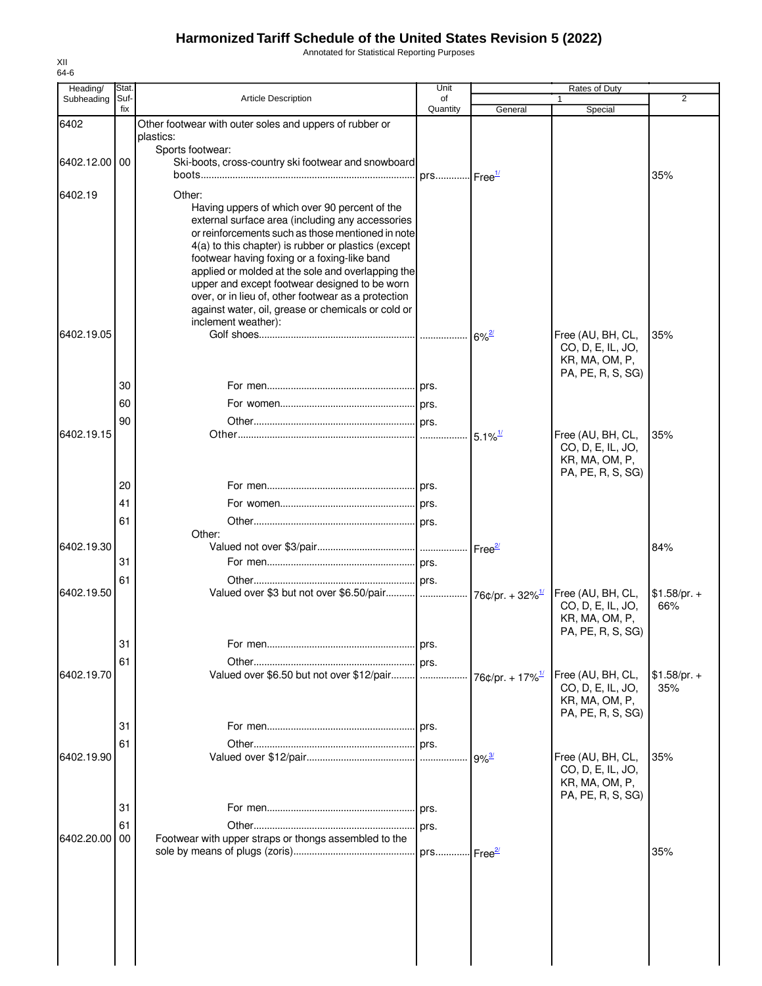Annotated for Statistical Reporting Purposes

| Heading/      | Stat.       |                                                                                                          | Unit                   |                             | Rates of Duty                          |                      |
|---------------|-------------|----------------------------------------------------------------------------------------------------------|------------------------|-----------------------------|----------------------------------------|----------------------|
| Subheading    | Suf-<br>fix | <b>Article Description</b>                                                                               | of<br>Quantity         | General                     | $\mathbf{1}$<br>Special                | 2                    |
| 6402          |             | Other footwear with outer soles and uppers of rubber or                                                  |                        |                             |                                        |                      |
|               |             | plastics:                                                                                                |                        |                             |                                        |                      |
| 6402.12.00 00 |             | Sports footwear:<br>Ski-boots, cross-country ski footwear and snowboard                                  |                        |                             |                                        |                      |
|               |             |                                                                                                          | prs Free <sup>1/</sup> |                             |                                        | 35%                  |
| 6402.19       |             | Other:                                                                                                   |                        |                             |                                        |                      |
|               |             | Having uppers of which over 90 percent of the                                                            |                        |                             |                                        |                      |
|               |             | external surface area (including any accessories                                                         |                        |                             |                                        |                      |
|               |             | or reinforcements such as those mentioned in note<br>4(a) to this chapter) is rubber or plastics (except |                        |                             |                                        |                      |
|               |             | footwear having foxing or a foxing-like band                                                             |                        |                             |                                        |                      |
|               |             | applied or molded at the sole and overlapping the                                                        |                        |                             |                                        |                      |
|               |             | upper and except footwear designed to be worn<br>over, or in lieu of, other footwear as a protection     |                        |                             |                                        |                      |
|               |             | against water, oil, grease or chemicals or cold or                                                       |                        |                             |                                        |                      |
|               |             | inclement weather):                                                                                      |                        |                             |                                        |                      |
| 6402.19.05    |             |                                                                                                          |                        | $6\%$ <sup>2/</sup>         | Free (AU, BH, CL,<br>CO, D, E, IL, JO, | 35%                  |
|               |             |                                                                                                          |                        |                             | KR, MA, OM, P,                         |                      |
|               |             |                                                                                                          |                        |                             | PA, PE, R, S, SG)                      |                      |
|               | 30          |                                                                                                          |                        |                             |                                        |                      |
|               | 60          |                                                                                                          |                        |                             |                                        |                      |
|               | 90          |                                                                                                          |                        |                             |                                        |                      |
| 6402.19.15    |             |                                                                                                          |                        | $5.1\%$ <sup>1/</sup>       | Free (AU, BH, CL,<br>CO, D, E, IL, JO, | 35%                  |
|               |             |                                                                                                          |                        |                             | KR, MA, OM, P,                         |                      |
|               |             |                                                                                                          |                        |                             | PA, PE, R, S, SG)                      |                      |
|               | 20          |                                                                                                          |                        |                             |                                        |                      |
|               | 41          |                                                                                                          |                        |                             |                                        |                      |
|               | 61          | Other:                                                                                                   |                        |                             |                                        |                      |
| 6402.19.30    |             |                                                                                                          |                        |                             |                                        | 84%                  |
|               | 31          |                                                                                                          |                        |                             |                                        |                      |
|               | 61          |                                                                                                          |                        |                             |                                        |                      |
| 6402.19.50    |             |                                                                                                          |                        |                             | Free (AU, BH, CL,                      | $$1.58/pr. +$        |
|               |             |                                                                                                          |                        |                             | CO, D, E, IL, JO,<br>KR, MA, OM, P,    | 66%                  |
|               |             |                                                                                                          |                        |                             | PA, PE, R, S, SG)                      |                      |
|               | 31          |                                                                                                          | prs.                   |                             |                                        |                      |
|               | 61          |                                                                                                          |                        |                             |                                        |                      |
| 6402.19.70    |             |                                                                                                          |                        | 76¢/pr. + 17% <sup>1/</sup> | Free (AU, BH, CL,<br>CO, D, E, IL, JO, | $$1.58/pr. +$<br>35% |
|               |             |                                                                                                          |                        |                             | KR, MA, OM, P,                         |                      |
|               |             |                                                                                                          |                        |                             | PA, PE, R, S, SG)                      |                      |
|               | 31          |                                                                                                          |                        |                             |                                        |                      |
| 6402.19.90    | 61          |                                                                                                          |                        | $9\%$ <sup>3/</sup>         | Free (AU, BH, CL,                      | 35%                  |
|               |             |                                                                                                          |                        |                             | CO, D, E, IL, JO,                      |                      |
|               |             |                                                                                                          |                        |                             | KR, MA, OM, P,                         |                      |
|               | 31          |                                                                                                          |                        |                             | PA, PE, R, S, SG)                      |                      |
|               | 61          |                                                                                                          | prs.                   |                             |                                        |                      |
| 6402.20.00    | 00          | Footwear with upper straps or thongs assembled to the                                                    |                        |                             |                                        |                      |
|               |             |                                                                                                          |                        |                             |                                        | 35%                  |
|               |             |                                                                                                          |                        |                             |                                        |                      |
|               |             |                                                                                                          |                        |                             |                                        |                      |
|               |             |                                                                                                          |                        |                             |                                        |                      |
|               |             |                                                                                                          |                        |                             |                                        |                      |
|               |             |                                                                                                          |                        |                             |                                        |                      |
|               |             |                                                                                                          |                        |                             |                                        |                      |
|               |             |                                                                                                          |                        |                             |                                        |                      |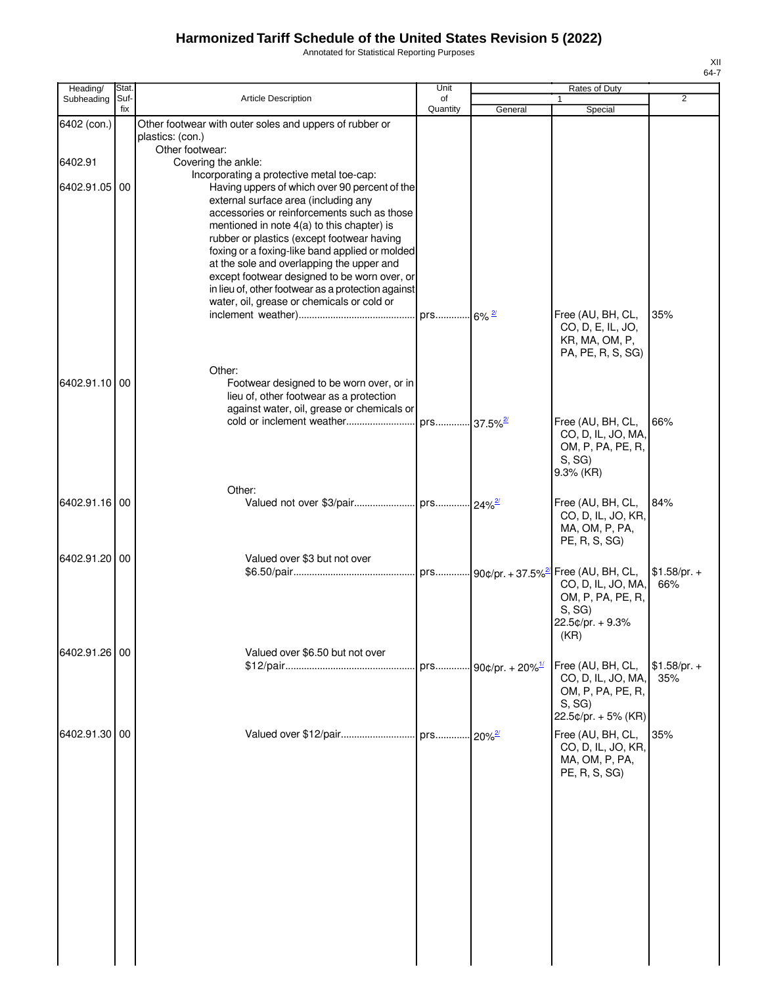Annotated for Statistical Reporting Purposes

| Heading/      | Stat. |                                                                                     | Unit     |                                 | Rates of Duty                       |                |
|---------------|-------|-------------------------------------------------------------------------------------|----------|---------------------------------|-------------------------------------|----------------|
| Subheading    | Suf-  | Article Description                                                                 | of       |                                 |                                     | $\overline{2}$ |
|               | fix   |                                                                                     | Quantity | General                         | Special                             |                |
| 6402 (con.)   |       | Other footwear with outer soles and uppers of rubber or                             |          |                                 |                                     |                |
|               |       | plastics: (con.)<br>Other footwear:                                                 |          |                                 |                                     |                |
| 6402.91       |       | Covering the ankle:                                                                 |          |                                 |                                     |                |
|               |       | Incorporating a protective metal toe-cap:                                           |          |                                 |                                     |                |
| 6402.91.05    | 00    | Having uppers of which over 90 percent of the                                       |          |                                 |                                     |                |
|               |       | external surface area (including any                                                |          |                                 |                                     |                |
|               |       | accessories or reinforcements such as those                                         |          |                                 |                                     |                |
|               |       | mentioned in note 4(a) to this chapter) is                                          |          |                                 |                                     |                |
|               |       | rubber or plastics (except footwear having                                          |          |                                 |                                     |                |
|               |       | foxing or a foxing-like band applied or molded                                      |          |                                 |                                     |                |
|               |       | at the sole and overlapping the upper and                                           |          |                                 |                                     |                |
|               |       | except footwear designed to be worn over, or                                        |          |                                 |                                     |                |
|               |       | in lieu of, other footwear as a protection against                                  |          |                                 |                                     |                |
|               |       | water, oil, grease or chemicals or cold or                                          |          |                                 |                                     |                |
|               |       |                                                                                     |          |                                 | Free (AU, BH, CL,                   | 35%            |
|               |       |                                                                                     |          |                                 | CO, D, E, IL, JO,                   |                |
|               |       |                                                                                     |          |                                 | KR, MA, OM, P,<br>PA, PE, R, S, SG) |                |
|               |       |                                                                                     |          |                                 |                                     |                |
|               |       | Other:                                                                              |          |                                 |                                     |                |
| 6402.91.10 00 |       | Footwear designed to be worn over, or in<br>lieu of, other footwear as a protection |          |                                 |                                     |                |
|               |       | against water, oil, grease or chemicals or                                          |          |                                 |                                     |                |
|               |       |                                                                                     |          |                                 | Free (AU, BH, CL,                   | 66%            |
|               |       |                                                                                     |          |                                 | CO, D, IL, JO, MA,                  |                |
|               |       |                                                                                     |          |                                 | OM, P, PA, PE, R,                   |                |
|               |       |                                                                                     |          |                                 | S, SG                               |                |
|               |       |                                                                                     |          |                                 | 9.3% (KR)                           |                |
|               |       | Other:                                                                              |          |                                 |                                     |                |
| 6402.91.16 00 |       |                                                                                     |          |                                 | Free (AU, BH, CL,                   | 84%            |
|               |       |                                                                                     |          |                                 | CO, D, IL, JO, KR,                  |                |
|               |       |                                                                                     |          |                                 | MA, OM, P, PA,                      |                |
|               |       |                                                                                     |          |                                 | PE, R, S, SG)                       |                |
| 6402.91.20 00 |       | Valued over \$3 but not over                                                        |          |                                 |                                     |                |
|               |       |                                                                                     |          |                                 |                                     | $$1.58/pr. +$  |
|               |       |                                                                                     |          |                                 | CO, D, IL, JO, MA,                  | 66%            |
|               |       |                                                                                     |          |                                 | OM, P, PA, PE, R,                   |                |
|               |       |                                                                                     |          |                                 | S, SG                               |                |
|               |       |                                                                                     |          |                                 | 22.5¢/pr. + 9.3%                    |                |
|               |       |                                                                                     |          |                                 | (KR)                                |                |
| 6402.91.26 00 |       | Valued over \$6.50 but not over                                                     |          |                                 |                                     |                |
|               |       |                                                                                     |          | prs 90¢/pr. + 20% <sup>1/</sup> | Free (AU, BH, CL,                   | $$1.58/pr. +$  |
|               |       |                                                                                     |          |                                 | CO, D, IL, JO, MA,                  | 35%            |
|               |       |                                                                                     |          |                                 | OM, P, PA, PE, R,                   |                |
|               |       |                                                                                     |          |                                 | S, SG                               |                |
|               |       |                                                                                     |          |                                 | 22.5¢/pr. + 5% (KR)                 |                |
| 6402.91.30 00 |       |                                                                                     |          |                                 | Free (AU, BH, CL,                   | 35%            |
|               |       |                                                                                     |          |                                 | CO, D, IL, JO, KR,                  |                |
|               |       |                                                                                     |          |                                 | MA, OM, P, PA,                      |                |
|               |       |                                                                                     |          |                                 | PE, R, S, SG)                       |                |
|               |       |                                                                                     |          |                                 |                                     |                |
|               |       |                                                                                     |          |                                 |                                     |                |
|               |       |                                                                                     |          |                                 |                                     |                |
|               |       |                                                                                     |          |                                 |                                     |                |
|               |       |                                                                                     |          |                                 |                                     |                |
|               |       |                                                                                     |          |                                 |                                     |                |
|               |       |                                                                                     |          |                                 |                                     |                |
|               |       |                                                                                     |          |                                 |                                     |                |
|               |       |                                                                                     |          |                                 |                                     |                |
|               |       |                                                                                     |          |                                 |                                     |                |
|               |       |                                                                                     |          |                                 |                                     |                |
|               |       |                                                                                     |          |                                 |                                     |                |
|               |       |                                                                                     |          |                                 |                                     |                |
|               |       |                                                                                     |          |                                 |                                     |                |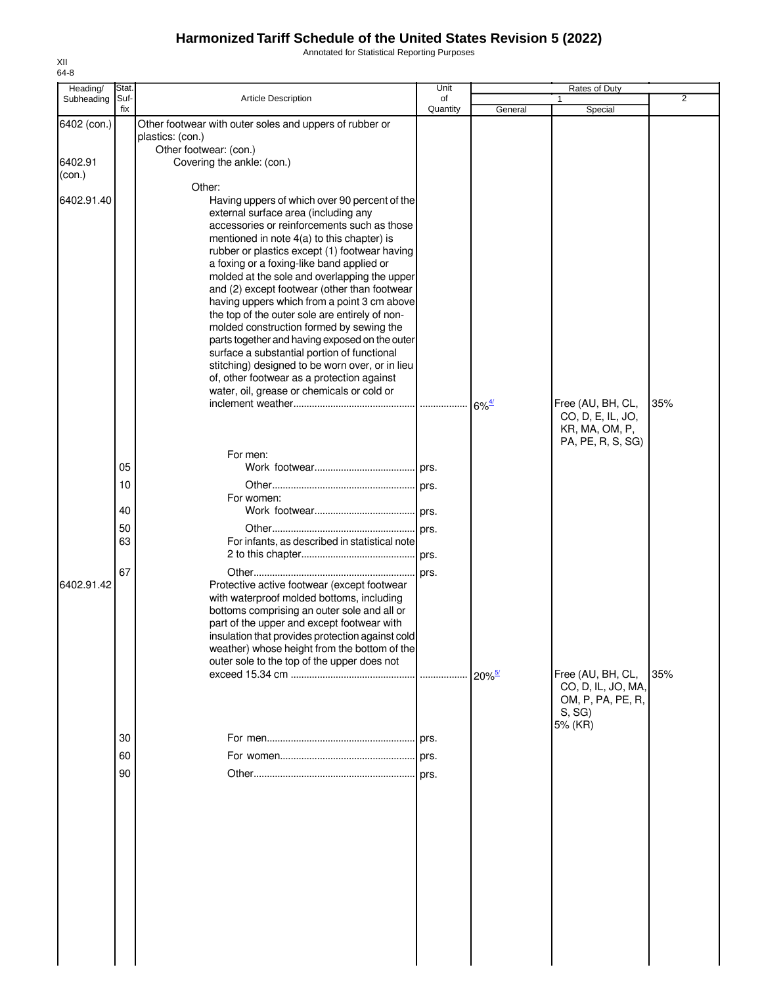Annotated for Statistical Reporting Purposes

| Heading/    | Stat.       |                                                                                               | Unit           |                       | Rates of Duty                       |     |
|-------------|-------------|-----------------------------------------------------------------------------------------------|----------------|-----------------------|-------------------------------------|-----|
| Subheading  | Suf-<br>fix | <b>Article Description</b>                                                                    | of<br>Quantity | General               | Special                             | 2   |
| 6402 (con.) |             | Other footwear with outer soles and uppers of rubber or                                       |                |                       |                                     |     |
|             |             | plastics: (con.)                                                                              |                |                       |                                     |     |
|             |             | Other footwear: (con.)                                                                        |                |                       |                                     |     |
| 6402.91     |             | Covering the ankle: (con.)                                                                    |                |                       |                                     |     |
| (con.)      |             |                                                                                               |                |                       |                                     |     |
| 6402.91.40  |             | Other:<br>Having uppers of which over 90 percent of the                                       |                |                       |                                     |     |
|             |             | external surface area (including any                                                          |                |                       |                                     |     |
|             |             | accessories or reinforcements such as those                                                   |                |                       |                                     |     |
|             |             | mentioned in note 4(a) to this chapter) is                                                    |                |                       |                                     |     |
|             |             | rubber or plastics except (1) footwear having                                                 |                |                       |                                     |     |
|             |             | a foxing or a foxing-like band applied or<br>molded at the sole and overlapping the upper     |                |                       |                                     |     |
|             |             | and (2) except footwear (other than footwear                                                  |                |                       |                                     |     |
|             |             | having uppers which from a point 3 cm above                                                   |                |                       |                                     |     |
|             |             | the top of the outer sole are entirely of non-                                                |                |                       |                                     |     |
|             |             | molded construction formed by sewing the                                                      |                |                       |                                     |     |
|             |             | parts together and having exposed on the outer<br>surface a substantial portion of functional |                |                       |                                     |     |
|             |             | stitching) designed to be worn over, or in lieu                                               |                |                       |                                     |     |
|             |             | of, other footwear as a protection against                                                    |                |                       |                                     |     |
|             |             | water, oil, grease or chemicals or cold or                                                    |                |                       |                                     |     |
|             |             |                                                                                               |                | $6\%$ <sup>4/</sup>   | Free (AU, BH, CL,                   | 35% |
|             |             |                                                                                               |                |                       | CO, D, E, IL, JO,<br>KR, MA, OM, P, |     |
|             |             |                                                                                               |                |                       | PA, PE, R, S, SG)                   |     |
|             |             | For men:                                                                                      |                |                       |                                     |     |
|             | 05          |                                                                                               |                |                       |                                     |     |
|             | 10          |                                                                                               |                |                       |                                     |     |
|             |             | For women:                                                                                    |                |                       |                                     |     |
|             | 40          |                                                                                               |                |                       |                                     |     |
|             | 50          |                                                                                               | . prs.         |                       |                                     |     |
|             | 63          | For infants, as described in statistical note                                                 |                |                       |                                     |     |
|             |             |                                                                                               |                |                       |                                     |     |
| 6402.91.42  | 67          | Protective active footwear (except footwear                                                   | prs.           |                       |                                     |     |
|             |             | with waterproof molded bottoms, including                                                     |                |                       |                                     |     |
|             |             | bottoms comprising an outer sole and all or                                                   |                |                       |                                     |     |
|             |             | part of the upper and except footwear with                                                    |                |                       |                                     |     |
|             |             | insulation that provides protection against cold                                              |                |                       |                                     |     |
|             |             | weather) whose height from the bottom of the<br>outer sole to the top of the upper does not   |                |                       |                                     |     |
|             |             |                                                                                               |                | $120\%$ <sup>5/</sup> | Free (AU, BH, CL,                   | 35% |
|             |             |                                                                                               |                |                       | CO, D, IL, JO, MA,                  |     |
|             |             |                                                                                               |                |                       | OM, P, PA, PE, R,                   |     |
|             |             |                                                                                               |                |                       | S, SG<br>5% (KR)                    |     |
|             | 30          |                                                                                               |                |                       |                                     |     |
|             | 60          |                                                                                               |                |                       |                                     |     |
|             | 90          |                                                                                               |                |                       |                                     |     |
|             |             |                                                                                               | prs.           |                       |                                     |     |
|             |             |                                                                                               |                |                       |                                     |     |
|             |             |                                                                                               |                |                       |                                     |     |
|             |             |                                                                                               |                |                       |                                     |     |
|             |             |                                                                                               |                |                       |                                     |     |
|             |             |                                                                                               |                |                       |                                     |     |
|             |             |                                                                                               |                |                       |                                     |     |
|             |             |                                                                                               |                |                       |                                     |     |
|             |             |                                                                                               |                |                       |                                     |     |
|             |             |                                                                                               |                |                       |                                     |     |
|             |             |                                                                                               |                |                       |                                     |     |
|             |             |                                                                                               |                |                       |                                     |     |
|             |             |                                                                                               |                |                       |                                     |     |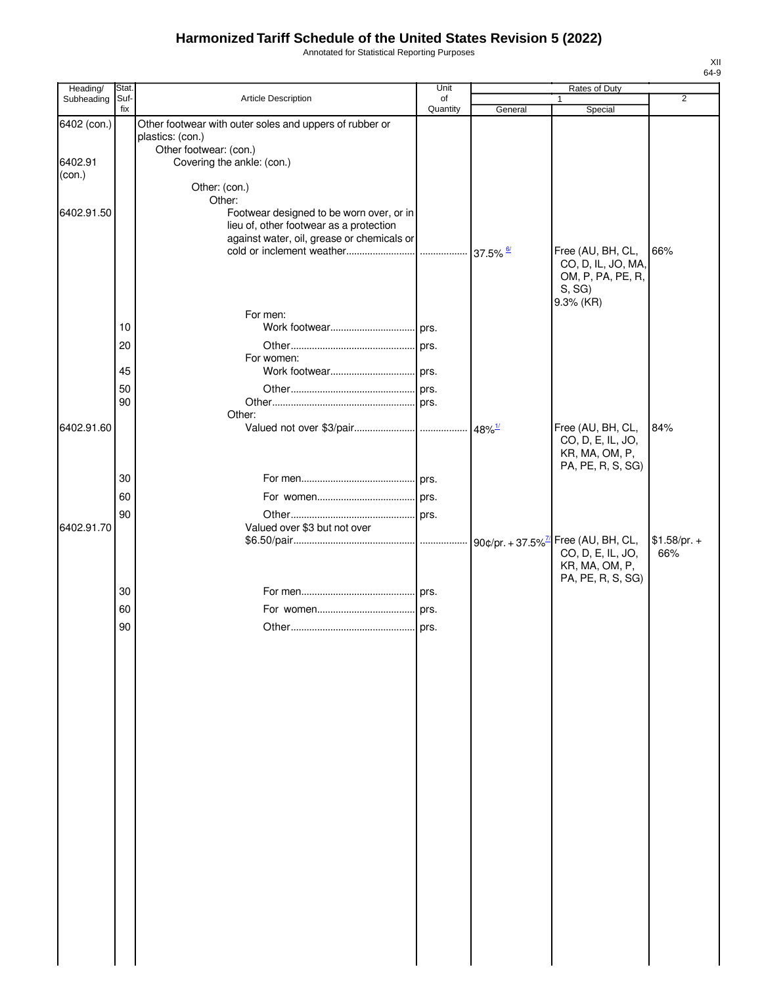Annotated for Statistical Reporting Purposes

| Heading/    | Stat. |                                                         | Unit     |         | Rates of Duty                       |                |
|-------------|-------|---------------------------------------------------------|----------|---------|-------------------------------------|----------------|
| Subheading  | Suf-  | Article Description                                     | of       |         | 1                                   | $\overline{2}$ |
|             | fix   |                                                         | Quantity | General | Special                             |                |
| 6402 (con.) |       | Other footwear with outer soles and uppers of rubber or |          |         |                                     |                |
|             |       | plastics: (con.)<br>Other footwear: (con.)              |          |         |                                     |                |
| 6402.91     |       | Covering the ankle: (con.)                              |          |         |                                     |                |
| (con.)      |       |                                                         |          |         |                                     |                |
|             |       | Other: (con.)                                           |          |         |                                     |                |
|             |       | Other:                                                  |          |         |                                     |                |
| 6402.91.50  |       | Footwear designed to be worn over, or in                |          |         |                                     |                |
|             |       | lieu of, other footwear as a protection                 |          |         |                                     |                |
|             |       | against water, oil, grease or chemicals or              |          |         | Free (AU, BH, CL,                   | 66%            |
|             |       |                                                         |          |         | CO, D, IL, JO, MA,                  |                |
|             |       |                                                         |          |         | OM, P, PA, PE, R,                   |                |
|             |       |                                                         |          |         | S, SG                               |                |
|             |       |                                                         |          |         | 9.3% (KR)                           |                |
|             |       | For men:                                                |          |         |                                     |                |
|             | 10    |                                                         |          |         |                                     |                |
|             | 20    |                                                         |          |         |                                     |                |
|             |       | For women:                                              |          |         |                                     |                |
|             | 45    |                                                         |          |         |                                     |                |
|             | 50    |                                                         |          |         |                                     |                |
|             | 90    |                                                         |          |         |                                     |                |
|             |       | Other:                                                  |          |         |                                     |                |
| 6402.91.60  |       |                                                         |          |         | Free (AU, BH, CL,                   | 84%            |
|             |       |                                                         |          |         | CO, D, E, IL, JO,<br>KR, MA, OM, P, |                |
|             |       |                                                         |          |         | PA, PE, R, S, SG)                   |                |
|             | 30    |                                                         |          |         |                                     |                |
|             | 60    |                                                         |          |         |                                     |                |
|             |       |                                                         |          |         |                                     |                |
| 6402.91.70  | 90    | Valued over \$3 but not over                            |          |         |                                     |                |
|             |       |                                                         |          |         |                                     | $$1.58/pr. +$  |
|             |       |                                                         |          |         | CO, D, E, IL, JO,                   | 66%            |
|             |       |                                                         |          |         | KR, MA, OM, P,                      |                |
|             |       |                                                         |          |         | PA, PE, R, S, SG)                   |                |
|             | 30    |                                                         |          |         |                                     |                |
|             | 60    |                                                         |          |         |                                     |                |
|             | 90    |                                                         |          |         |                                     |                |
|             |       |                                                         |          |         |                                     |                |
|             |       |                                                         |          |         |                                     |                |
|             |       |                                                         |          |         |                                     |                |
|             |       |                                                         |          |         |                                     |                |
|             |       |                                                         |          |         |                                     |                |
|             |       |                                                         |          |         |                                     |                |
|             |       |                                                         |          |         |                                     |                |
|             |       |                                                         |          |         |                                     |                |
|             |       |                                                         |          |         |                                     |                |
|             |       |                                                         |          |         |                                     |                |
|             |       |                                                         |          |         |                                     |                |
|             |       |                                                         |          |         |                                     |                |
|             |       |                                                         |          |         |                                     |                |
|             |       |                                                         |          |         |                                     |                |
|             |       |                                                         |          |         |                                     |                |
|             |       |                                                         |          |         |                                     |                |
|             |       |                                                         |          |         |                                     |                |
|             |       |                                                         |          |         |                                     |                |
|             |       |                                                         |          |         |                                     |                |
|             |       |                                                         |          |         |                                     |                |
|             |       |                                                         |          |         |                                     |                |
|             |       |                                                         |          |         |                                     |                |
|             |       |                                                         |          |         |                                     |                |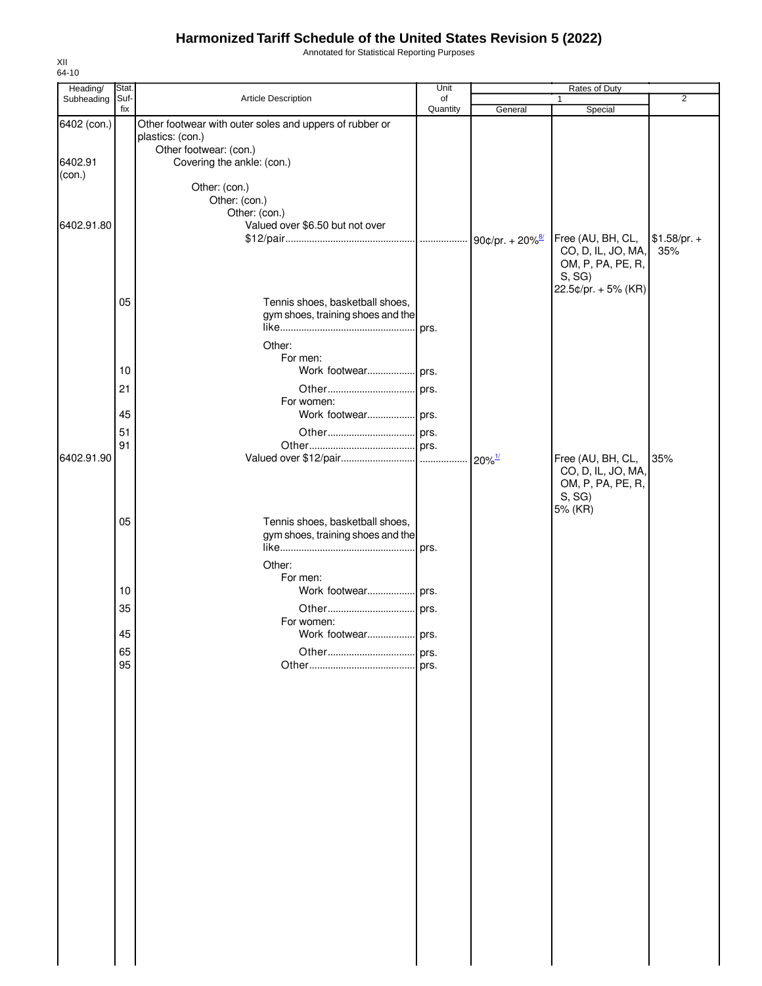Annotated for Statistical Reporting Purposes

| Heading/          | <b>Stat</b> |                                                                      | Unit           |                      | Rates of Duty                           |                      |
|-------------------|-------------|----------------------------------------------------------------------|----------------|----------------------|-----------------------------------------|----------------------|
| Subheading        | Suf-<br>fix | Article Description                                                  | of<br>Quantity | General              | $\mathbf{1}$<br>Special                 | 2                    |
| 6402 (con.)       |             | Other footwear with outer soles and uppers of rubber or              |                |                      |                                         |                      |
|                   |             | plastics: (con.)                                                     |                |                      |                                         |                      |
|                   |             | Other footwear: (con.)                                               |                |                      |                                         |                      |
| 6402.91<br>(con.) |             | Covering the ankle: (con.)                                           |                |                      |                                         |                      |
|                   |             | Other: (con.)                                                        |                |                      |                                         |                      |
|                   |             | Other: (con.)                                                        |                |                      |                                         |                      |
|                   |             | Other: (con.)                                                        |                |                      |                                         |                      |
| 6402.91.80        |             | Valued over \$6.50 but not over                                      |                |                      |                                         |                      |
|                   |             |                                                                      |                |                      | Free (AU, BH, CL,<br>CO, D, IL, JO, MA, | $$1.58/pr. +$<br>35% |
|                   |             |                                                                      |                |                      | OM, P, PA, PE, R,                       |                      |
|                   |             |                                                                      |                |                      | S, SG                                   |                      |
|                   |             |                                                                      |                |                      | 22.5¢/pr. + 5% (KR)                     |                      |
|                   | 05          | Tennis shoes, basketball shoes,<br>gym shoes, training shoes and the |                |                      |                                         |                      |
|                   |             |                                                                      |                |                      |                                         |                      |
|                   |             | Other:                                                               |                |                      |                                         |                      |
|                   |             | For men:                                                             |                |                      |                                         |                      |
|                   | 10          | Work footwear prs.                                                   |                |                      |                                         |                      |
|                   | 21          |                                                                      |                |                      |                                         |                      |
|                   |             | For women:                                                           |                |                      |                                         |                      |
|                   | 45          | Work footwear prs.                                                   |                |                      |                                         |                      |
|                   | 51          |                                                                      |                |                      |                                         |                      |
|                   | 91          |                                                                      |                |                      |                                         |                      |
| 6402.91.90        |             |                                                                      |                | $20\%$ <sup>1/</sup> | Free (AU, BH, CL,                       | 35%                  |
|                   |             |                                                                      |                |                      | CO, D, IL, JO, MA,                      |                      |
|                   |             |                                                                      |                |                      | OM, P, PA, PE, R,<br>S, SG              |                      |
|                   |             |                                                                      |                |                      | 5% (KR)                                 |                      |
|                   | 05          | Tennis shoes, basketball shoes,                                      |                |                      |                                         |                      |
|                   |             | gym shoes, training shoes and the                                    |                |                      |                                         |                      |
|                   |             |                                                                      |                |                      |                                         |                      |
|                   |             | Other:                                                               |                |                      |                                         |                      |
|                   |             | For men:                                                             |                |                      |                                         |                      |
|                   | 10          |                                                                      |                |                      |                                         |                      |
|                   | 35          |                                                                      |                |                      |                                         |                      |
|                   | 45          | For women:<br>Work footwear                                          | prs.           |                      |                                         |                      |
|                   |             |                                                                      |                |                      |                                         |                      |
|                   | 65<br>95    |                                                                      | prs.           |                      |                                         |                      |
|                   |             |                                                                      |                |                      |                                         |                      |
|                   |             |                                                                      |                |                      |                                         |                      |
|                   |             |                                                                      |                |                      |                                         |                      |
|                   |             |                                                                      |                |                      |                                         |                      |
|                   |             |                                                                      |                |                      |                                         |                      |
|                   |             |                                                                      |                |                      |                                         |                      |
|                   |             |                                                                      |                |                      |                                         |                      |
|                   |             |                                                                      |                |                      |                                         |                      |
|                   |             |                                                                      |                |                      |                                         |                      |
|                   |             |                                                                      |                |                      |                                         |                      |
|                   |             |                                                                      |                |                      |                                         |                      |
|                   |             |                                                                      |                |                      |                                         |                      |
|                   |             |                                                                      |                |                      |                                         |                      |
|                   |             |                                                                      |                |                      |                                         |                      |
|                   |             |                                                                      |                |                      |                                         |                      |
|                   |             |                                                                      |                |                      |                                         |                      |
|                   |             |                                                                      |                |                      |                                         |                      |
|                   |             |                                                                      |                |                      |                                         |                      |
|                   |             |                                                                      |                |                      |                                         |                      |
|                   |             |                                                                      |                |                      |                                         |                      |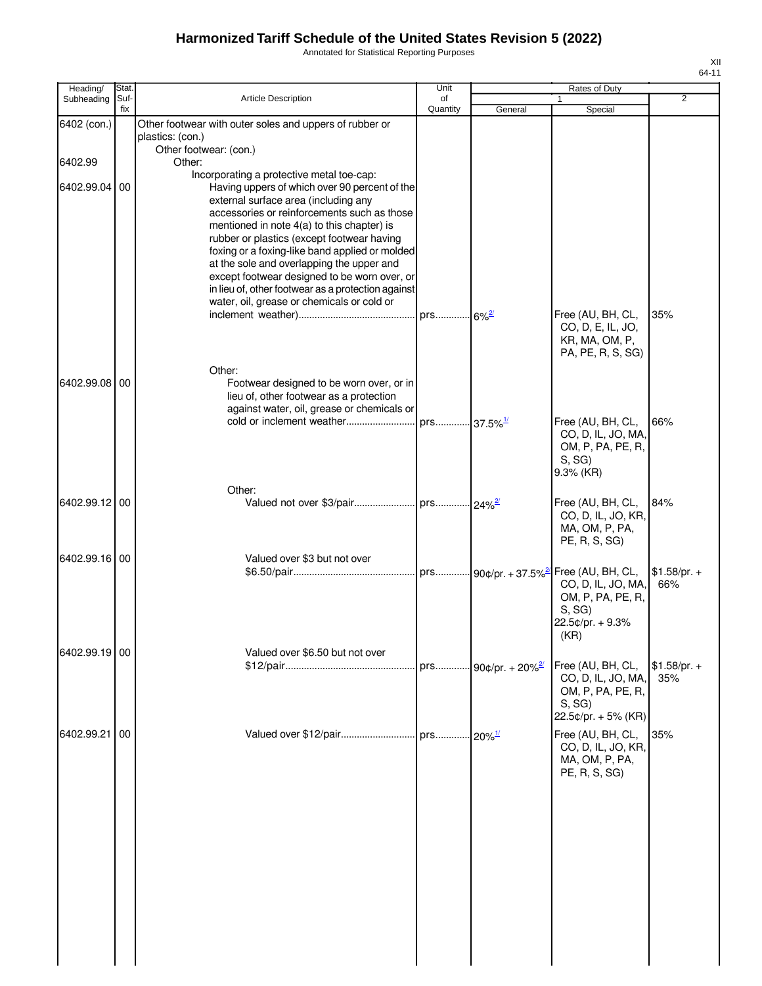Annotated for Statistical Reporting Purposes

|                        | Stat. |                                                         | Unit                    |                                 | Rates of Duty       |                |
|------------------------|-------|---------------------------------------------------------|-------------------------|---------------------------------|---------------------|----------------|
| Heading/<br>Subheading | Suf-  | Article Description                                     | of                      |                                 | 1                   | $\overline{2}$ |
|                        | fix   |                                                         | Quantity                | General                         | Special             |                |
| 6402 (con.)            |       | Other footwear with outer soles and uppers of rubber or |                         |                                 |                     |                |
|                        |       | plastics: (con.)                                        |                         |                                 |                     |                |
|                        |       | Other footwear: (con.)                                  |                         |                                 |                     |                |
|                        |       | Other:                                                  |                         |                                 |                     |                |
| 6402.99                |       |                                                         |                         |                                 |                     |                |
|                        |       | Incorporating a protective metal toe-cap:               |                         |                                 |                     |                |
| 6402.99.04             | 00    | Having uppers of which over 90 percent of the           |                         |                                 |                     |                |
|                        |       | external surface area (including any                    |                         |                                 |                     |                |
|                        |       | accessories or reinforcements such as those             |                         |                                 |                     |                |
|                        |       | mentioned in note 4(a) to this chapter) is              |                         |                                 |                     |                |
|                        |       | rubber or plastics (except footwear having              |                         |                                 |                     |                |
|                        |       | foxing or a foxing-like band applied or molded          |                         |                                 |                     |                |
|                        |       | at the sole and overlapping the upper and               |                         |                                 |                     |                |
|                        |       | except footwear designed to be worn over, or            |                         |                                 |                     |                |
|                        |       | in lieu of, other footwear as a protection against      |                         |                                 |                     |                |
|                        |       | water, oil, grease or chemicals or cold or              |                         |                                 |                     |                |
|                        |       |                                                         |                         |                                 | Free (AU, BH, CL,   | 35%            |
|                        |       |                                                         |                         |                                 |                     |                |
|                        |       |                                                         |                         |                                 | CO, D, E, IL, JO,   |                |
|                        |       |                                                         |                         |                                 | KR, MA, OM, P,      |                |
|                        |       |                                                         |                         |                                 | PA, PE, R, S, SG)   |                |
|                        |       | Other:                                                  |                         |                                 |                     |                |
| 6402.99.08 00          |       | Footwear designed to be worn over, or in                |                         |                                 |                     |                |
|                        |       | lieu of, other footwear as a protection                 |                         |                                 |                     |                |
|                        |       | against water, oil, grease or chemicals or              |                         |                                 |                     |                |
|                        |       |                                                         | prs 37.5% <sup>1/</sup> |                                 | Free (AU, BH, CL,   | 66%            |
|                        |       |                                                         |                         |                                 | CO, D, IL, JO, MA,  |                |
|                        |       |                                                         |                         |                                 |                     |                |
|                        |       |                                                         |                         |                                 | OM, P, PA, PE, R,   |                |
|                        |       |                                                         |                         |                                 | S, SG               |                |
|                        |       |                                                         |                         |                                 | 9.3% (KR)           |                |
|                        |       | Other:                                                  |                         |                                 |                     |                |
| 6402.99.12 00          |       |                                                         |                         |                                 | Free (AU, BH, CL,   | 84%            |
|                        |       |                                                         |                         |                                 | CO, D, IL, JO, KR,  |                |
|                        |       |                                                         |                         |                                 | MA, OM, P, PA,      |                |
|                        |       |                                                         |                         |                                 | PE, R, S, SG)       |                |
|                        |       |                                                         |                         |                                 |                     |                |
| 6402.99.16 00          |       | Valued over \$3 but not over                            |                         |                                 |                     |                |
|                        |       |                                                         |                         |                                 | Free (AU, BH, CL,   | $$1.58/pr. +$  |
|                        |       |                                                         |                         |                                 | CO, D, IL, JO, MA,  | 66%            |
|                        |       |                                                         |                         |                                 | OM, P, PA, PE, R,   |                |
|                        |       |                                                         |                         |                                 | S, SG               |                |
|                        |       |                                                         |                         |                                 | 22.5¢/pr. + 9.3%    |                |
|                        |       |                                                         |                         |                                 | (KR)                |                |
|                        |       |                                                         |                         |                                 |                     |                |
| 6402.99.19 00          |       | Valued over \$6.50 but not over                         |                         |                                 |                     |                |
|                        |       |                                                         |                         | prs 90¢/pr. + 20% <sup>2/</sup> | Free (AU, BH, CL,   | $$1.58/pr. +$  |
|                        |       |                                                         |                         |                                 | CO, D, IL, JO, MA,  | 35%            |
|                        |       |                                                         |                         |                                 | OM, P, PA, PE, R,   |                |
|                        |       |                                                         |                         |                                 | S, SG               |                |
|                        |       |                                                         |                         |                                 | 22.5¢/pr. + 5% (KR) |                |
| 6402.99.21             | 00    | Valued over \$12/pair                                   |                         |                                 | Free (AU, BH, CL,   | 35%            |
|                        |       |                                                         | prs                     | $20%$ <sup>1/</sup>             |                     |                |
|                        |       |                                                         |                         |                                 | CO, D, IL, JO, KR,  |                |
|                        |       |                                                         |                         |                                 | MA, OM, P, PA,      |                |
|                        |       |                                                         |                         |                                 | PE, R, S, SG)       |                |
|                        |       |                                                         |                         |                                 |                     |                |
|                        |       |                                                         |                         |                                 |                     |                |
|                        |       |                                                         |                         |                                 |                     |                |
|                        |       |                                                         |                         |                                 |                     |                |
|                        |       |                                                         |                         |                                 |                     |                |
|                        |       |                                                         |                         |                                 |                     |                |
|                        |       |                                                         |                         |                                 |                     |                |
|                        |       |                                                         |                         |                                 |                     |                |
|                        |       |                                                         |                         |                                 |                     |                |
|                        |       |                                                         |                         |                                 |                     |                |
|                        |       |                                                         |                         |                                 |                     |                |
|                        |       |                                                         |                         |                                 |                     |                |
|                        |       |                                                         |                         |                                 |                     |                |
|                        |       |                                                         |                         |                                 |                     |                |
|                        |       |                                                         |                         |                                 |                     |                |
|                        |       |                                                         |                         |                                 |                     |                |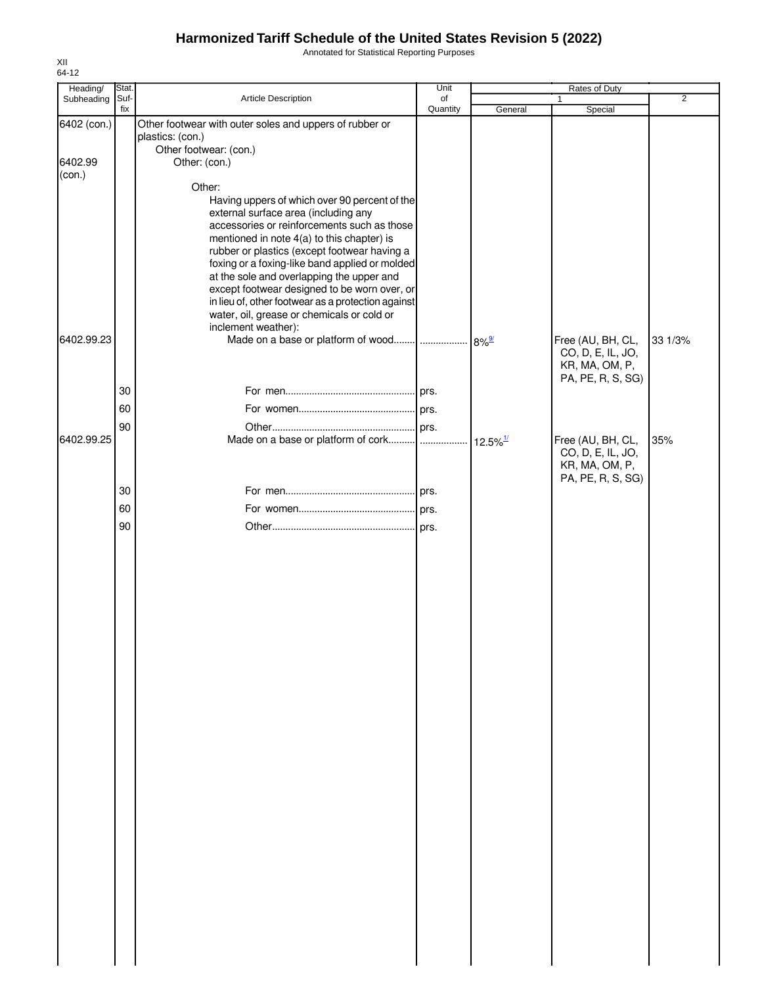Annotated for Statistical Reporting Purposes

| Heading/    | Stat.       |                                                                                                                                      | Unit           |                        | Rates of Duty                          |                |
|-------------|-------------|--------------------------------------------------------------------------------------------------------------------------------------|----------------|------------------------|----------------------------------------|----------------|
| Subheading  | Suf-<br>fix | Article Description                                                                                                                  | of<br>Quantity | General                | $\mathbf{1}$<br>Special                | $\overline{2}$ |
| 6402 (con.) |             | Other footwear with outer soles and uppers of rubber or<br>plastics: (con.)                                                          |                |                        |                                        |                |
| 6402.99     |             | Other footwear: (con.)<br>Other: (con.)                                                                                              |                |                        |                                        |                |
| (con.)      |             | Other:                                                                                                                               |                |                        |                                        |                |
|             |             | Having uppers of which over 90 percent of the<br>external surface area (including any<br>accessories or reinforcements such as those |                |                        |                                        |                |
|             |             | mentioned in note 4(a) to this chapter) is<br>rubber or plastics (except footwear having a                                           |                |                        |                                        |                |
|             |             | foxing or a foxing-like band applied or molded<br>at the sole and overlapping the upper and                                          |                |                        |                                        |                |
|             |             | except footwear designed to be worn over, or<br>in lieu of, other footwear as a protection against                                   |                |                        |                                        |                |
|             |             | water, oil, grease or chemicals or cold or<br>inclement weather):                                                                    |                |                        |                                        |                |
| 6402.99.23  |             |                                                                                                                                      |                | $8\%$ <sup>9/</sup>    | Free (AU, BH, CL,<br>CO, D, E, IL, JO, | 33 1/3%        |
|             |             |                                                                                                                                      |                |                        | KR, MA, OM, P,<br>PA, PE, R, S, SG)    |                |
|             | 30          |                                                                                                                                      |                |                        |                                        |                |
|             | 60<br>90    |                                                                                                                                      |                |                        |                                        |                |
| 6402.99.25  |             |                                                                                                                                      |                | $12.5\%$ <sup>1/</sup> | Free (AU, BH, CL,<br>CO, D, E, IL, JO, | 35%            |
|             |             |                                                                                                                                      |                |                        | KR, MA, OM, P,<br>PA, PE, R, S, SG)    |                |
|             | 30<br>60    |                                                                                                                                      |                |                        |                                        |                |
|             | 90          |                                                                                                                                      |                |                        |                                        |                |
|             |             |                                                                                                                                      |                |                        |                                        |                |
|             |             |                                                                                                                                      |                |                        |                                        |                |
|             |             |                                                                                                                                      |                |                        |                                        |                |
|             |             |                                                                                                                                      |                |                        |                                        |                |
|             |             |                                                                                                                                      |                |                        |                                        |                |
|             |             |                                                                                                                                      |                |                        |                                        |                |
|             |             |                                                                                                                                      |                |                        |                                        |                |
|             |             |                                                                                                                                      |                |                        |                                        |                |
|             |             |                                                                                                                                      |                |                        |                                        |                |
|             |             |                                                                                                                                      |                |                        |                                        |                |
|             |             |                                                                                                                                      |                |                        |                                        |                |
|             |             |                                                                                                                                      |                |                        |                                        |                |
|             |             |                                                                                                                                      |                |                        |                                        |                |
|             |             |                                                                                                                                      |                |                        |                                        |                |
|             |             |                                                                                                                                      |                |                        |                                        |                |
|             |             |                                                                                                                                      |                |                        |                                        |                |
|             |             |                                                                                                                                      |                |                        |                                        |                |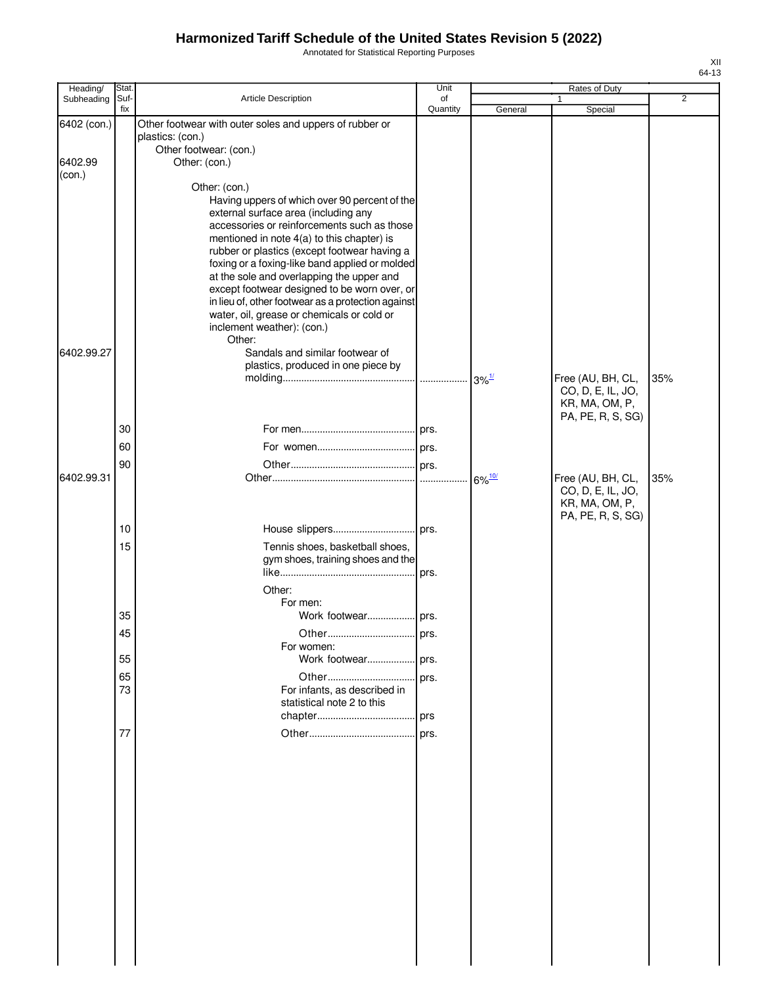Annotated for Statistical Reporting Purposes

| Heading/          | Stat.       |                                                                                                                                                                                                                                                                                                                                                                                                                                                                                                        | Unit           |                      | Rates of Duty                                                                 |                |
|-------------------|-------------|--------------------------------------------------------------------------------------------------------------------------------------------------------------------------------------------------------------------------------------------------------------------------------------------------------------------------------------------------------------------------------------------------------------------------------------------------------------------------------------------------------|----------------|----------------------|-------------------------------------------------------------------------------|----------------|
| Subheading        | Suf-<br>fix | Article Description                                                                                                                                                                                                                                                                                                                                                                                                                                                                                    | of<br>Quantity | General              | Special                                                                       | $\overline{2}$ |
| 6402 (con.)       |             | Other footwear with outer soles and uppers of rubber or<br>plastics: (con.)<br>Other footwear: (con.)                                                                                                                                                                                                                                                                                                                                                                                                  |                |                      |                                                                               |                |
| 6402.99<br>(con.) |             | Other: (con.)                                                                                                                                                                                                                                                                                                                                                                                                                                                                                          |                |                      |                                                                               |                |
|                   |             | Other: (con.)<br>Having uppers of which over 90 percent of the<br>external surface area (including any<br>accessories or reinforcements such as those<br>mentioned in note 4(a) to this chapter) is<br>rubber or plastics (except footwear having a<br>foxing or a foxing-like band applied or molded<br>at the sole and overlapping the upper and<br>except footwear designed to be worn over, or<br>in lieu of, other footwear as a protection against<br>water, oil, grease or chemicals or cold or |                |                      |                                                                               |                |
|                   |             | inclement weather): (con.)<br>Other:                                                                                                                                                                                                                                                                                                                                                                                                                                                                   |                |                      |                                                                               |                |
| 6402.99.27        |             | Sandals and similar footwear of<br>plastics, produced in one piece by                                                                                                                                                                                                                                                                                                                                                                                                                                  |                |                      | Free (AU, BH, CL,                                                             | 35%            |
|                   |             |                                                                                                                                                                                                                                                                                                                                                                                                                                                                                                        |                |                      | CO, D, E, IL, JO,<br>KR, MA, OM, P,<br>PA, PE, R, S, SG)                      |                |
|                   | 30          |                                                                                                                                                                                                                                                                                                                                                                                                                                                                                                        |                |                      |                                                                               |                |
|                   | 60          |                                                                                                                                                                                                                                                                                                                                                                                                                                                                                                        |                |                      |                                                                               |                |
| 6402.99.31        | 90          |                                                                                                                                                                                                                                                                                                                                                                                                                                                                                                        |                | $6\%$ <sup>10/</sup> | Free (AU, BH, CL,<br>CO, D, E, IL, JO,<br>KR, MA, OM, P,<br>PA, PE, R, S, SG) | 35%            |
|                   | 10          |                                                                                                                                                                                                                                                                                                                                                                                                                                                                                                        |                |                      |                                                                               |                |
|                   | 15          | Tennis shoes, basketball shoes,<br>gym shoes, training shoes and the<br>Other:                                                                                                                                                                                                                                                                                                                                                                                                                         | prs.           |                      |                                                                               |                |
|                   |             | For men:                                                                                                                                                                                                                                                                                                                                                                                                                                                                                               |                |                      |                                                                               |                |
|                   | 35<br>45    | Work footwear prs.<br>Other                                                                                                                                                                                                                                                                                                                                                                                                                                                                            | <b>ors</b>     |                      |                                                                               |                |
|                   | 55          | For women:<br>Work footwear prs.                                                                                                                                                                                                                                                                                                                                                                                                                                                                       |                |                      |                                                                               |                |
|                   | 65          | Other                                                                                                                                                                                                                                                                                                                                                                                                                                                                                                  | prs.           |                      |                                                                               |                |
|                   | 73          | For infants, as described in<br>statistical note 2 to this                                                                                                                                                                                                                                                                                                                                                                                                                                             |                |                      |                                                                               |                |
|                   | 77          |                                                                                                                                                                                                                                                                                                                                                                                                                                                                                                        |                |                      |                                                                               |                |
|                   |             |                                                                                                                                                                                                                                                                                                                                                                                                                                                                                                        |                |                      |                                                                               |                |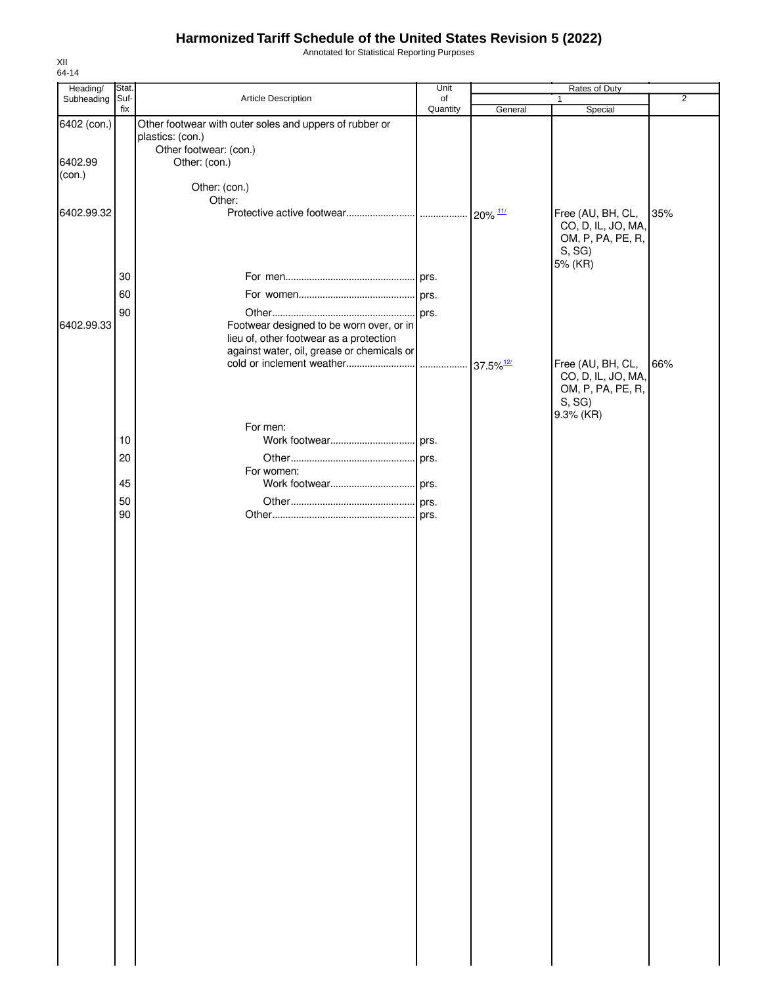Annotated for Statistical Reporting Purposes

| Heading/    | Stat. |                                                         | Unit     |                       | Rates of Duty      |                |
|-------------|-------|---------------------------------------------------------|----------|-----------------------|--------------------|----------------|
| Subheading  | Suf-  | Article Description                                     | of       |                       | $\mathbf{1}$       | $\overline{2}$ |
|             | fix   |                                                         | Quantity | General               | Special            |                |
| 6402 (con.) |       | Other footwear with outer soles and uppers of rubber or |          |                       |                    |                |
|             |       | plastics: (con.)<br>Other footwear: (con.)              |          |                       |                    |                |
| 6402.99     |       | Other: (con.)                                           |          |                       |                    |                |
| (con.)      |       |                                                         |          |                       |                    |                |
|             |       | Other: (con.)                                           |          |                       |                    |                |
|             |       | Other:                                                  |          |                       |                    |                |
| 6402.99.32  |       |                                                         |          | $20\%$ $\frac{11}{3}$ | Free (AU, BH, CL,  | 35%            |
|             |       |                                                         |          |                       | CO, D, IL, JO, MA, |                |
|             |       |                                                         |          |                       | OM, P, PA, PE, R,  |                |
|             |       |                                                         |          |                       | S, SG              |                |
|             |       |                                                         |          |                       | 5% (KR)            |                |
|             | 30    |                                                         |          |                       |                    |                |
|             | 60    |                                                         |          |                       |                    |                |
|             | 90    |                                                         |          |                       |                    |                |
| 6402.99.33  |       | Footwear designed to be worn over, or in                |          |                       |                    |                |
|             |       | lieu of, other footwear as a protection                 |          |                       |                    |                |
|             |       | against water, oil, grease or chemicals or              |          |                       |                    |                |
|             |       |                                                         |          |                       | Free (AU, BH, CL,  | 66%            |
|             |       |                                                         |          |                       | CO, D, IL, JO, MA, |                |
|             |       |                                                         |          |                       | OM, P, PA, PE, R,  |                |
|             |       |                                                         |          |                       | S, SG              |                |
|             |       | For men:                                                |          |                       | 9.3% (KR)          |                |
|             | 10    |                                                         |          |                       |                    |                |
|             |       |                                                         |          |                       |                    |                |
|             | 20    |                                                         |          |                       |                    |                |
|             | 45    | For women:                                              |          |                       |                    |                |
|             |       |                                                         |          |                       |                    |                |
|             | 50    |                                                         |          |                       |                    |                |
|             | 90    |                                                         |          |                       |                    |                |
|             |       |                                                         |          |                       |                    |                |
|             |       |                                                         |          |                       |                    |                |
|             |       |                                                         |          |                       |                    |                |
|             |       |                                                         |          |                       |                    |                |
|             |       |                                                         |          |                       |                    |                |
|             |       |                                                         |          |                       |                    |                |
|             |       |                                                         |          |                       |                    |                |
|             |       |                                                         |          |                       |                    |                |
|             |       |                                                         |          |                       |                    |                |
|             |       |                                                         |          |                       |                    |                |
|             |       |                                                         |          |                       |                    |                |
|             |       |                                                         |          |                       |                    |                |
|             |       |                                                         |          |                       |                    |                |
|             |       |                                                         |          |                       |                    |                |
|             |       |                                                         |          |                       |                    |                |
|             |       |                                                         |          |                       |                    |                |
|             |       |                                                         |          |                       |                    |                |
|             |       |                                                         |          |                       |                    |                |
|             |       |                                                         |          |                       |                    |                |
|             |       |                                                         |          |                       |                    |                |
|             |       |                                                         |          |                       |                    |                |
|             |       |                                                         |          |                       |                    |                |
|             |       |                                                         |          |                       |                    |                |
|             |       |                                                         |          |                       |                    |                |
|             |       |                                                         |          |                       |                    |                |
|             |       |                                                         |          |                       |                    |                |
|             |       |                                                         |          |                       |                    |                |
|             |       |                                                         |          |                       |                    |                |
|             |       |                                                         |          |                       |                    |                |
|             |       |                                                         |          |                       |                    |                |
|             |       |                                                         |          |                       |                    |                |
|             |       |                                                         |          |                       |                    |                |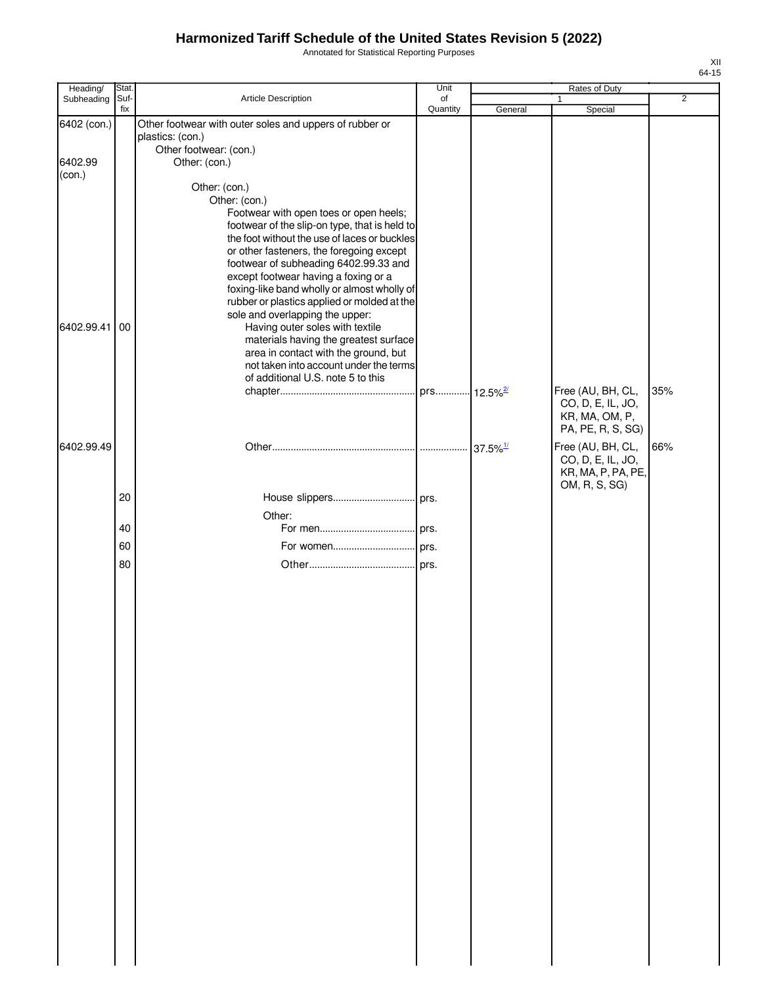Annotated for Statistical Reporting Purposes

| Heading/          | Stat.       |                                                                                                                                                                                                                                                                         | Unit           |         | Rates of Duty                                                                 |                |
|-------------------|-------------|-------------------------------------------------------------------------------------------------------------------------------------------------------------------------------------------------------------------------------------------------------------------------|----------------|---------|-------------------------------------------------------------------------------|----------------|
| Subheading        | Suf-<br>fix | Article Description                                                                                                                                                                                                                                                     | of<br>Quantity | General | Special                                                                       | $\overline{2}$ |
| 6402 (con.)       |             | Other footwear with outer soles and uppers of rubber or<br>plastics: (con.)<br>Other footwear: (con.)                                                                                                                                                                   |                |         |                                                                               |                |
| 6402.99<br>(con.) |             | Other: (con.)                                                                                                                                                                                                                                                           |                |         |                                                                               |                |
|                   |             | Other: (con.)<br>Other: (con.)<br>Footwear with open toes or open heels;<br>footwear of the slip-on type, that is held to                                                                                                                                               |                |         |                                                                               |                |
|                   |             | the foot without the use of laces or buckles<br>or other fasteners, the foregoing except<br>footwear of subheading 6402.99.33 and<br>except footwear having a foxing or a<br>foxing-like band wholly or almost wholly of<br>rubber or plastics applied or molded at the |                |         |                                                                               |                |
| 6402.99.41        | 00          | sole and overlapping the upper:<br>Having outer soles with textile<br>materials having the greatest surface<br>area in contact with the ground, but<br>not taken into account under the terms<br>of additional U.S. note 5 to this                                      |                |         |                                                                               |                |
|                   |             |                                                                                                                                                                                                                                                                         |                |         | Free (AU, BH, CL,<br>CO, D, E, IL, JO,<br>KR, MA, OM, P,<br>PA, PE, R, S, SG) | 35%            |
| 6402.99.49        |             |                                                                                                                                                                                                                                                                         |                |         | Free (AU, BH, CL,<br>CO, D, E, IL, JO,<br>KR, MA, P, PA, PE,<br>OM, R, S, SG) | 66%            |
|                   | 20          | Other:                                                                                                                                                                                                                                                                  |                |         |                                                                               |                |
|                   | 40          |                                                                                                                                                                                                                                                                         |                |         |                                                                               |                |
|                   | 60          |                                                                                                                                                                                                                                                                         |                |         |                                                                               |                |
|                   | 80          |                                                                                                                                                                                                                                                                         |                |         |                                                                               |                |
|                   |             |                                                                                                                                                                                                                                                                         |                |         |                                                                               |                |
|                   |             |                                                                                                                                                                                                                                                                         |                |         |                                                                               |                |
|                   |             |                                                                                                                                                                                                                                                                         |                |         |                                                                               |                |
|                   |             |                                                                                                                                                                                                                                                                         |                |         |                                                                               |                |
|                   |             |                                                                                                                                                                                                                                                                         |                |         |                                                                               |                |
|                   |             |                                                                                                                                                                                                                                                                         |                |         |                                                                               |                |
|                   |             |                                                                                                                                                                                                                                                                         |                |         |                                                                               |                |
|                   |             |                                                                                                                                                                                                                                                                         |                |         |                                                                               |                |
|                   |             |                                                                                                                                                                                                                                                                         |                |         |                                                                               |                |
|                   |             |                                                                                                                                                                                                                                                                         |                |         |                                                                               |                |
|                   |             |                                                                                                                                                                                                                                                                         |                |         |                                                                               |                |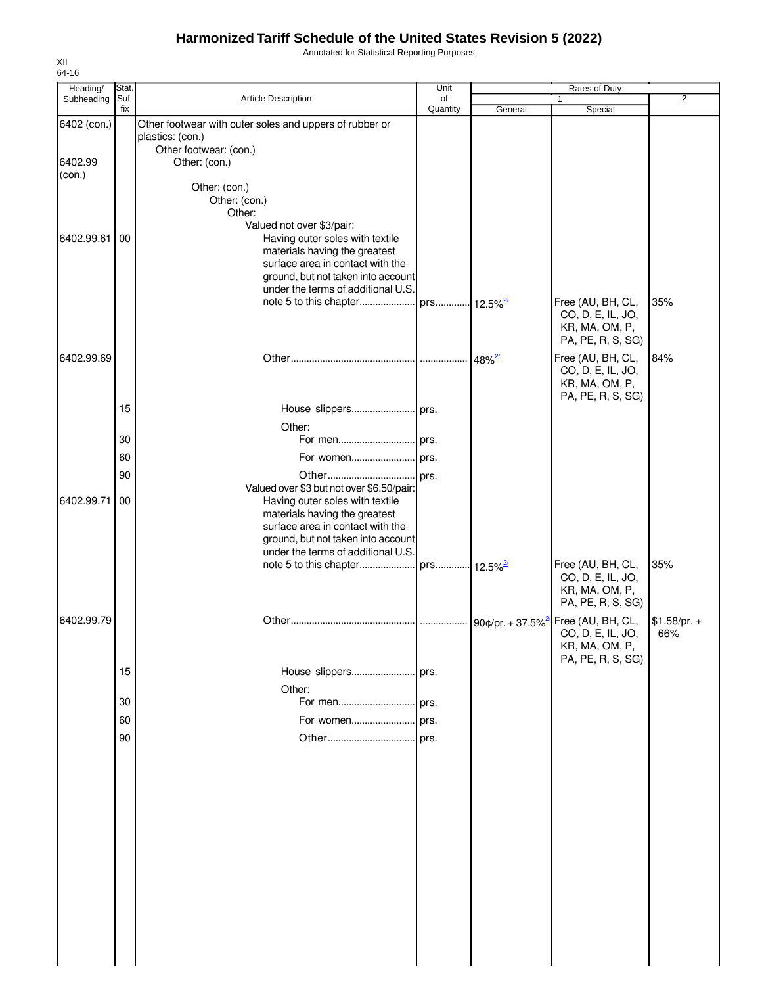Annotated for Statistical Reporting Purposes

| Heading/<br>Subheading | Stat.<br>Suf- | Article Description                                                         | Unit<br>of |         | Rates of Duty<br>$\mathbf{1}$                            | 2             |
|------------------------|---------------|-----------------------------------------------------------------------------|------------|---------|----------------------------------------------------------|---------------|
|                        | fix           |                                                                             | Quantity   | General | Special                                                  |               |
| 6402 (con.)            |               | Other footwear with outer soles and uppers of rubber or<br>plastics: (con.) |            |         |                                                          |               |
| 6402.99<br>(con.)      |               | Other footwear: (con.)<br>Other: (con.)                                     |            |         |                                                          |               |
|                        |               | Other: (con.)                                                               |            |         |                                                          |               |
|                        |               | Other: (con.)                                                               |            |         |                                                          |               |
|                        |               | Other:                                                                      |            |         |                                                          |               |
|                        |               | Valued not over \$3/pair:                                                   |            |         |                                                          |               |
| 6402.99.61             | 00            | Having outer soles with textile<br>materials having the greatest            |            |         |                                                          |               |
|                        |               | surface area in contact with the                                            |            |         |                                                          |               |
|                        |               | ground, but not taken into account                                          |            |         |                                                          |               |
|                        |               | under the terms of additional U.S.                                          |            |         |                                                          |               |
|                        |               |                                                                             |            |         | Free (AU, BH, CL,                                        | 35%           |
|                        |               |                                                                             |            |         | CO, D, E, IL, JO,<br>KR, MA, OM, P,<br>PA, PE, R, S, SG) |               |
| 6402.99.69             |               |                                                                             |            |         | Free (AU, BH, CL,                                        | 84%           |
|                        |               |                                                                             |            |         | CO, D, E, IL, JO,<br>KR, MA, OM, P,                      |               |
|                        |               |                                                                             |            |         | PA, PE, R, S, SG)                                        |               |
|                        | 15            | House slippers prs.                                                         |            |         |                                                          |               |
|                        |               | Other:                                                                      |            |         |                                                          |               |
|                        | 30            |                                                                             |            |         |                                                          |               |
|                        | 60            |                                                                             |            |         |                                                          |               |
|                        | 90            |                                                                             |            |         |                                                          |               |
|                        |               | Valued over \$3 but not over \$6.50/pair:                                   |            |         |                                                          |               |
| 6402.99.71             | 00            | Having outer soles with textile<br>materials having the greatest            |            |         |                                                          |               |
|                        |               | surface area in contact with the                                            |            |         |                                                          |               |
|                        |               | ground, but not taken into account                                          |            |         |                                                          |               |
|                        |               | under the terms of additional U.S.                                          |            |         |                                                          |               |
|                        |               |                                                                             |            |         | Free (AU, BH, CL,                                        | 35%           |
|                        |               |                                                                             |            |         | CO, D, E, IL, JO,<br>KR, MA, OM, P,                      |               |
|                        |               |                                                                             |            |         | PA, PE, R, S, SG)                                        |               |
| 6402.99.79             |               |                                                                             |            |         |                                                          | $$1.58/pr. +$ |
|                        |               |                                                                             |            |         | CO, D, E, IL, JO,                                        | 66%           |
|                        |               |                                                                             |            |         | KR, MA, OM, P,                                           |               |
|                        | 15            | House slippers prs.                                                         |            |         | PA, PE, R, S, SG)                                        |               |
|                        |               |                                                                             |            |         |                                                          |               |
|                        | 30            | Other:                                                                      |            |         |                                                          |               |
|                        | 60            |                                                                             |            |         |                                                          |               |
|                        |               |                                                                             |            |         |                                                          |               |
|                        | 90            |                                                                             |            |         |                                                          |               |
|                        |               |                                                                             |            |         |                                                          |               |
|                        |               |                                                                             |            |         |                                                          |               |
|                        |               |                                                                             |            |         |                                                          |               |
|                        |               |                                                                             |            |         |                                                          |               |
|                        |               |                                                                             |            |         |                                                          |               |
|                        |               |                                                                             |            |         |                                                          |               |
|                        |               |                                                                             |            |         |                                                          |               |
|                        |               |                                                                             |            |         |                                                          |               |
|                        |               |                                                                             |            |         |                                                          |               |
|                        |               |                                                                             |            |         |                                                          |               |
|                        |               |                                                                             |            |         |                                                          |               |
|                        |               |                                                                             |            |         |                                                          |               |
|                        |               |                                                                             |            |         |                                                          |               |
|                        |               |                                                                             |            |         |                                                          |               |

XII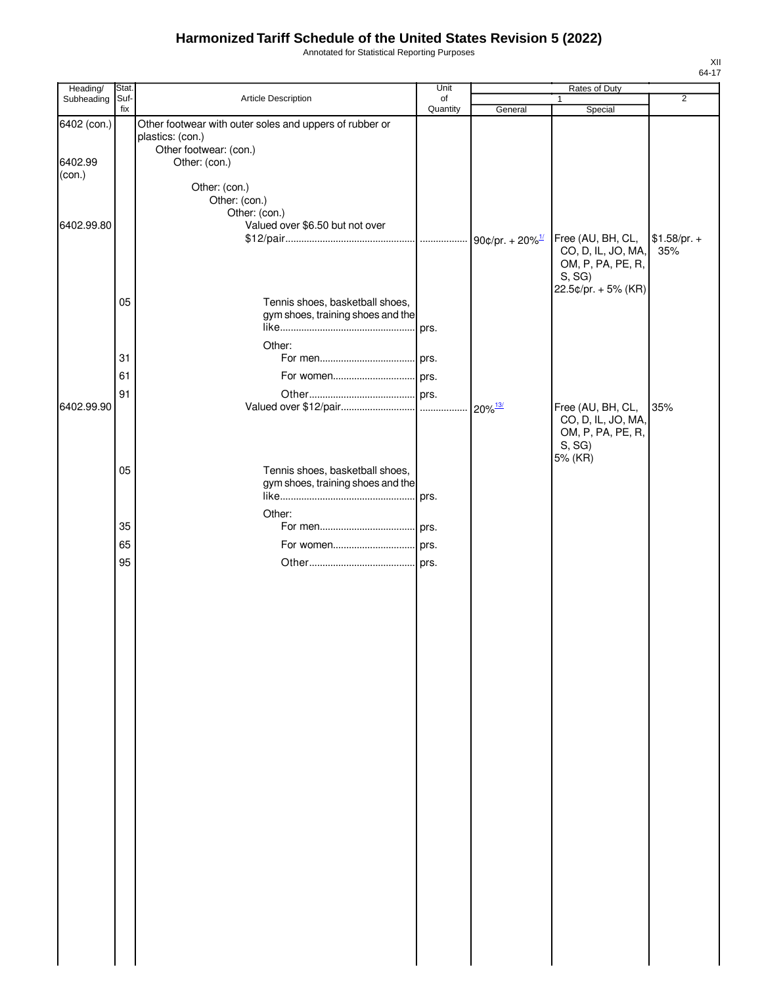Annotated for Statistical Reporting Purposes

| Heading/          | Stat.       |                                                         | Unit           |         | Rates of Duty              |                |
|-------------------|-------------|---------------------------------------------------------|----------------|---------|----------------------------|----------------|
| Subheading        | Suf-<br>fix | Article Description                                     | of<br>Quantity | General | $\mathbf{1}$<br>Special    | $\overline{2}$ |
| 6402 (con.)       |             | Other footwear with outer soles and uppers of rubber or |                |         |                            |                |
|                   |             | plastics: (con.)                                        |                |         |                            |                |
|                   |             | Other footwear: (con.)                                  |                |         |                            |                |
| 6402.99<br>(con.) |             | Other: (con.)                                           |                |         |                            |                |
|                   |             | Other: (con.)                                           |                |         |                            |                |
|                   |             | Other: (con.)                                           |                |         |                            |                |
|                   |             | Other: (con.)                                           |                |         |                            |                |
| 6402.99.80        |             | Valued over \$6.50 but not over                         |                |         | Free (AU, BH, CL,          | $$1.58/pr. +$  |
|                   |             |                                                         |                |         | CO, D, IL, JO, MA,         | 35%            |
|                   |             |                                                         |                |         | OM, P, PA, PE, R,          |                |
|                   |             |                                                         |                |         | S, SG                      |                |
|                   | 05          | Tennis shoes, basketball shoes,                         |                |         | 22.5¢/pr. + 5% (KR)        |                |
|                   |             | gym shoes, training shoes and the                       |                |         |                            |                |
|                   |             |                                                         |                |         |                            |                |
|                   |             | Other:                                                  |                |         |                            |                |
|                   | 31          |                                                         |                |         |                            |                |
|                   | 61          | For women prs.                                          |                |         |                            |                |
|                   | 91          |                                                         |                |         |                            |                |
| 6402.99.90        |             |                                                         |                |         | Free (AU, BH, CL,          | 35%            |
|                   |             |                                                         |                |         | CO, D, IL, JO, MA,         |                |
|                   |             |                                                         |                |         | OM, P, PA, PE, R,<br>S, SG |                |
|                   |             |                                                         |                |         | 5% (KR)                    |                |
|                   | 05          | Tennis shoes, basketball shoes,                         |                |         |                            |                |
|                   |             | gym shoes, training shoes and the                       |                |         |                            |                |
|                   |             |                                                         |                |         |                            |                |
|                   |             | Other:                                                  |                |         |                            |                |
|                   | 35          |                                                         |                |         |                            |                |
|                   | 65          | For women prs.                                          |                |         |                            |                |
|                   | 95          |                                                         |                |         |                            |                |
|                   |             |                                                         |                |         |                            |                |
|                   |             |                                                         |                |         |                            |                |
|                   |             |                                                         |                |         |                            |                |
|                   |             |                                                         |                |         |                            |                |
|                   |             |                                                         |                |         |                            |                |
|                   |             |                                                         |                |         |                            |                |
|                   |             |                                                         |                |         |                            |                |
|                   |             |                                                         |                |         |                            |                |
|                   |             |                                                         |                |         |                            |                |
|                   |             |                                                         |                |         |                            |                |
|                   |             |                                                         |                |         |                            |                |
|                   |             |                                                         |                |         |                            |                |
|                   |             |                                                         |                |         |                            |                |
|                   |             |                                                         |                |         |                            |                |
|                   |             |                                                         |                |         |                            |                |
|                   |             |                                                         |                |         |                            |                |
|                   |             |                                                         |                |         |                            |                |
|                   |             |                                                         |                |         |                            |                |
|                   |             |                                                         |                |         |                            |                |
|                   |             |                                                         |                |         |                            |                |
|                   |             |                                                         |                |         |                            |                |
|                   |             |                                                         |                |         |                            |                |
|                   |             |                                                         |                |         |                            |                |
|                   |             |                                                         |                |         |                            |                |
|                   |             |                                                         |                |         |                            |                |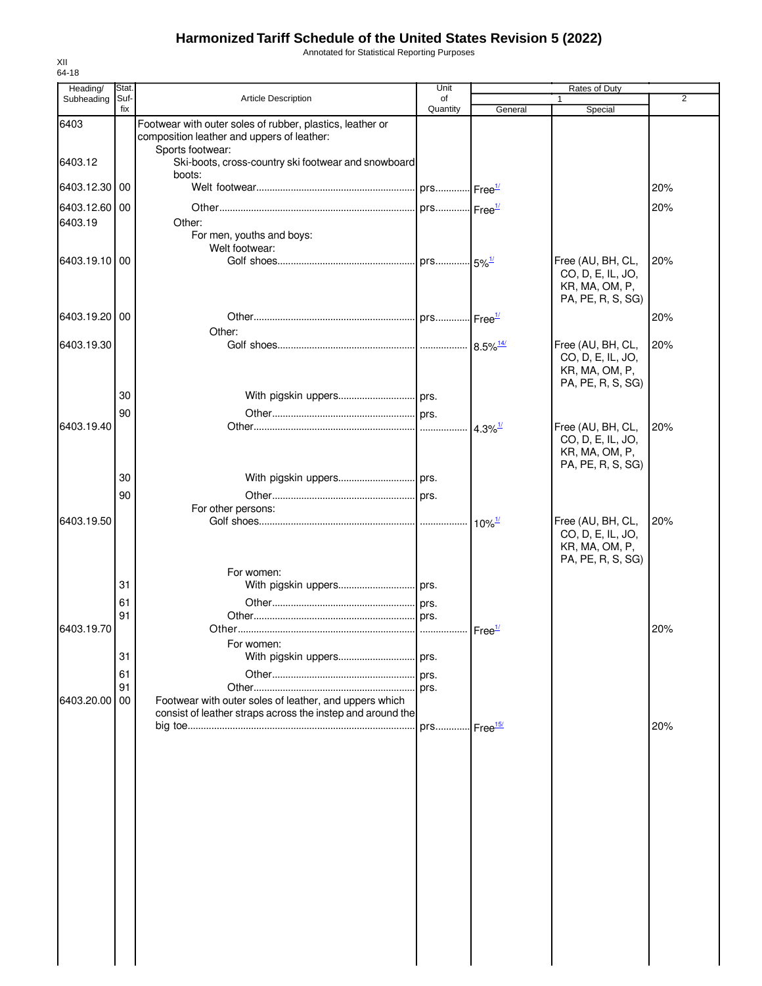Annotated for Statistical Reporting Purposes

| Heading/                 | Stat.       |                                                                                                         | Unit                      |                                            | Rates of Duty                                                                 |                |
|--------------------------|-------------|---------------------------------------------------------------------------------------------------------|---------------------------|--------------------------------------------|-------------------------------------------------------------------------------|----------------|
| Subheading               | Suf-<br>fix | Article Description                                                                                     | of<br>Quantity            | General                                    | $\mathbf{1}$<br>Special                                                       | $\overline{2}$ |
| 6403                     |             | Footwear with outer soles of rubber, plastics, leather or<br>composition leather and uppers of leather: |                           |                                            |                                                                               |                |
| 6403.12                  |             | Sports footwear:<br>Ski-boots, cross-country ski footwear and snowboard                                 |                           |                                            |                                                                               |                |
| 6403.12.30               | 00          | boots:                                                                                                  |                           |                                            |                                                                               | 20%            |
| 6403.12.60 00<br>6403.19 |             | Other:                                                                                                  |                           |                                            |                                                                               | 20%            |
| 6403.19.10 00            |             | For men, youths and boys:<br>Welt footwear:                                                             |                           |                                            | Free (AU, BH, CL,<br>CO, D, E, IL, JO,<br>KR, MA, OM, P,<br>PA, PE, R, S, SG) | 20%            |
| 6403.19.20 00            |             |                                                                                                         |                           |                                            |                                                                               | 20%            |
| 6403.19.30               |             | Other:                                                                                                  |                           |                                            | Free (AU, BH, CL,<br>CO, D, E, IL, JO,<br>KR, MA, OM, P,<br>PA, PE, R, S, SG) | 20%            |
|                          | 30          |                                                                                                         |                           |                                            |                                                                               |                |
| 6403.19.40               | 90          |                                                                                                         |                           |                                            | Free (AU, BH, CL,<br>CO, D, E, IL, JO,<br>KR, MA, OM, P,                      | 20%            |
|                          | 30          |                                                                                                         |                           |                                            | PA, PE, R, S, SG)                                                             |                |
|                          | 90          | For other persons:                                                                                      |                           |                                            |                                                                               |                |
| 6403.19.50               |             |                                                                                                         |                           | $10\%$ <sup><math>\frac{1}{2}</math></sup> | Free (AU, BH, CL,<br>CO, D, E, IL, JO,<br>KR, MA, OM, P,<br>PA, PE, R, S, SG) | 20%            |
|                          | 31          | For women:                                                                                              |                           |                                            |                                                                               |                |
|                          | 61          |                                                                                                         |                           |                                            |                                                                               |                |
| 6403.19.70               | 91          |                                                                                                         |                           |                                            |                                                                               | 20%            |
|                          | 31          | For women:                                                                                              |                           |                                            |                                                                               |                |
|                          | 61          |                                                                                                         |                           |                                            |                                                                               |                |
| 6403.20.00               | 91<br>00    | Footwear with outer soles of leather, and uppers which                                                  |                           |                                            |                                                                               |                |
|                          |             | consist of leather straps across the instep and around the                                              | . prs Free <sup>15/</sup> |                                            |                                                                               | 20%            |
|                          |             |                                                                                                         |                           |                                            |                                                                               |                |
|                          |             |                                                                                                         |                           |                                            |                                                                               |                |
|                          |             |                                                                                                         |                           |                                            |                                                                               |                |
|                          |             |                                                                                                         |                           |                                            |                                                                               |                |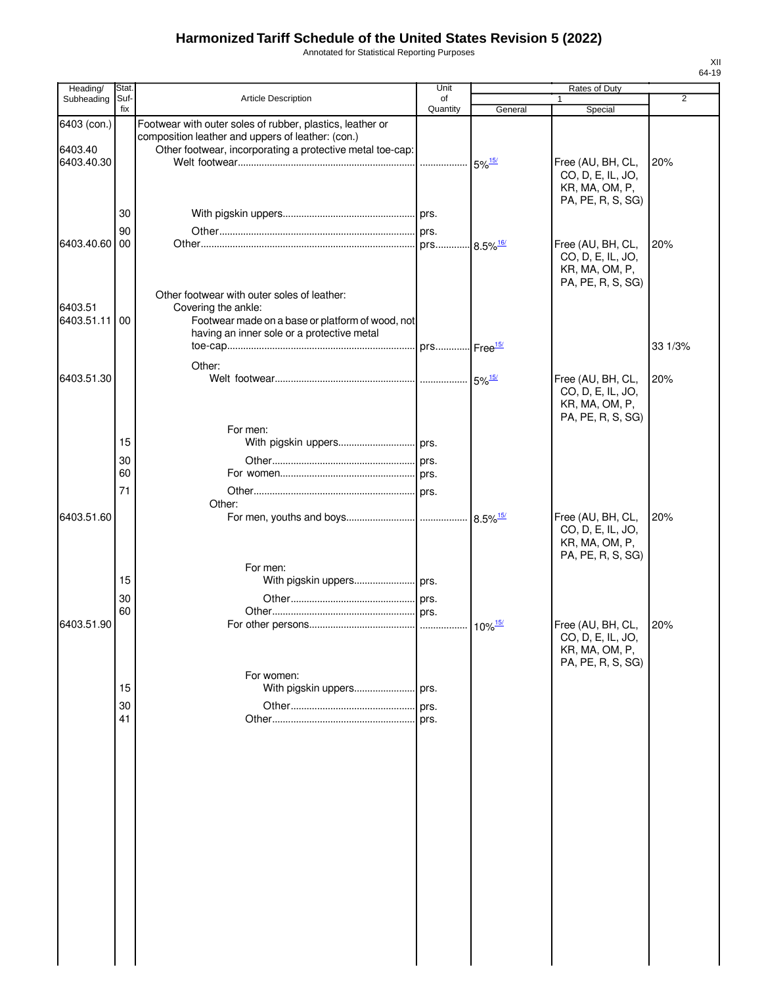Annotated for Statistical Reporting Purposes

| Heading/      | Stat.    |                                                                                                                | Unit     |                        | Rates of Duty                                                                 |                |
|---------------|----------|----------------------------------------------------------------------------------------------------------------|----------|------------------------|-------------------------------------------------------------------------------|----------------|
| Subheading    | Suf-     | <b>Article Description</b>                                                                                     | of       |                        | 1                                                                             | $\overline{2}$ |
| 6403 (con.)   | fix      | Footwear with outer soles of rubber, plastics, leather or                                                      | Quantity | General                | Special                                                                       |                |
| 6403.40       |          | composition leather and uppers of leather: (con.)<br>Other footwear, incorporating a protective metal toe-cap: |          |                        |                                                                               |                |
| 6403.40.30    |          |                                                                                                                |          |                        | Free (AU, BH, CL,<br>CO, D, E, IL, JO,<br>KR, MA, OM, P,<br>PA, PE, R, S, SG) | 20%            |
|               | 30       |                                                                                                                |          |                        |                                                                               |                |
|               | 90       |                                                                                                                |          |                        |                                                                               |                |
| 6403.40.60 00 |          |                                                                                                                |          |                        | Free (AU, BH, CL,<br>CO, D, E, IL, JO,<br>KR, MA, OM, P,<br>PA, PE, R, S, SG) | 20%            |
| 6403.51       |          | Other footwear with outer soles of leather:<br>Covering the ankle:                                             |          |                        |                                                                               |                |
| 6403.51.11    | 00       | Footwear made on a base or platform of wood, not<br>having an inner sole or a protective metal                 |          |                        |                                                                               |                |
|               |          |                                                                                                                |          |                        |                                                                               | 33 1/3%        |
| 6403.51.30    |          | Other:                                                                                                         |          | $5\%$ <sup>15/</sup>   | Free (AU, BH, CL,<br>CO, D, E, IL, JO,<br>KR, MA, OM, P,<br>PA, PE, R, S, SG) | 20%            |
|               |          | For men:                                                                                                       |          |                        |                                                                               |                |
|               | 15       |                                                                                                                |          |                        |                                                                               |                |
|               | 30       |                                                                                                                |          |                        |                                                                               |                |
|               | 60       |                                                                                                                |          |                        |                                                                               |                |
|               | 71       | Other:                                                                                                         |          |                        |                                                                               |                |
| 6403.51.60    |          |                                                                                                                |          | $8.5\%$ <sup>15/</sup> | Free (AU, BH, CL,<br>CO, D, E, IL, JO,<br>KR, MA, OM, P,                      | 20%            |
|               | 15<br>30 | For men:                                                                                                       |          |                        | PA, PE, R, S, SG)                                                             |                |
|               | 60       |                                                                                                                |          |                        |                                                                               |                |
| 6403.51.90    |          | For women:                                                                                                     |          | $10\%$ <sup>15/</sup>  | Free (AU, BH, CL,<br>CO, D, E, IL, JO,<br>KR, MA, OM, P,<br>PA, PE, R, S, SG) | 20%            |
|               | 15       |                                                                                                                |          |                        |                                                                               |                |
|               | 30       |                                                                                                                |          |                        |                                                                               |                |
|               | 41       |                                                                                                                |          |                        |                                                                               |                |
|               |          |                                                                                                                | prs.     |                        |                                                                               |                |
|               |          |                                                                                                                |          |                        |                                                                               |                |
|               |          |                                                                                                                |          |                        |                                                                               |                |
|               |          |                                                                                                                |          |                        |                                                                               |                |
|               |          |                                                                                                                |          |                        |                                                                               |                |
|               |          |                                                                                                                |          |                        |                                                                               |                |
|               |          |                                                                                                                |          |                        |                                                                               |                |
|               |          |                                                                                                                |          |                        |                                                                               |                |
|               |          |                                                                                                                |          |                        |                                                                               |                |
|               |          |                                                                                                                |          |                        |                                                                               |                |
|               |          |                                                                                                                |          |                        |                                                                               |                |
|               |          |                                                                                                                |          |                        |                                                                               |                |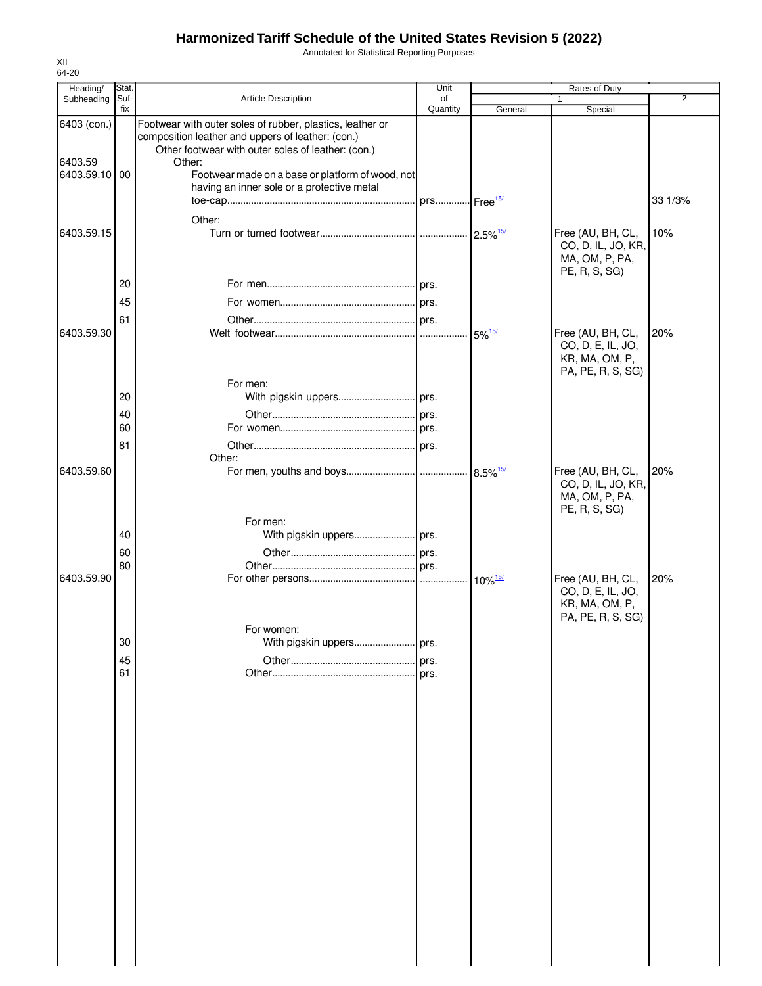Annotated for Statistical Reporting Purposes

| Heading/                                | Stat.       |                                                                                                                                                                                                                                                                                  | Unit           |                      | Rates of Duty                                                                 |                |
|-----------------------------------------|-------------|----------------------------------------------------------------------------------------------------------------------------------------------------------------------------------------------------------------------------------------------------------------------------------|----------------|----------------------|-------------------------------------------------------------------------------|----------------|
| Subheading                              | Suf-<br>fix | Article Description                                                                                                                                                                                                                                                              | of<br>Quantity | General              | 1<br>Special                                                                  | $\overline{2}$ |
| 6403 (con.)<br>6403.59<br>6403.59.10 00 |             | Footwear with outer soles of rubber, plastics, leather or<br>composition leather and uppers of leather: (con.)<br>Other footwear with outer soles of leather: (con.)<br>Other:<br>Footwear made on a base or platform of wood, not<br>having an inner sole or a protective metal |                |                      |                                                                               |                |
|                                         |             |                                                                                                                                                                                                                                                                                  |                |                      |                                                                               | 33 1/3%        |
| 6403.59.15                              |             | Other:                                                                                                                                                                                                                                                                           |                |                      | Free (AU, BH, CL,<br>CO, D, IL, JO, KR,<br>MA, OM, P, PA,<br>PE, R, S, SG)    | 10%            |
|                                         | 20          |                                                                                                                                                                                                                                                                                  |                |                      |                                                                               |                |
|                                         | 45          |                                                                                                                                                                                                                                                                                  |                |                      |                                                                               |                |
|                                         | 61          |                                                                                                                                                                                                                                                                                  |                |                      |                                                                               |                |
| 6403.59.30                              |             |                                                                                                                                                                                                                                                                                  |                | $5\%$ <sup>15/</sup> | Free (AU, BH, CL,<br>CO, D, E, IL, JO,<br>KR, MA, OM, P,<br>PA, PE, R, S, SG) | 20%            |
|                                         | 20          | For men:                                                                                                                                                                                                                                                                         |                |                      |                                                                               |                |
|                                         | 40          |                                                                                                                                                                                                                                                                                  |                |                      |                                                                               |                |
|                                         | 60          |                                                                                                                                                                                                                                                                                  |                |                      |                                                                               |                |
|                                         | 81          |                                                                                                                                                                                                                                                                                  |                |                      |                                                                               |                |
|                                         |             | Other:                                                                                                                                                                                                                                                                           |                |                      |                                                                               |                |
| 6403.59.60                              |             | For men:                                                                                                                                                                                                                                                                         |                |                      | Free (AU, BH, CL,<br>CO, D, IL, JO, KR,<br>MA, OM, P, PA,<br>PE, R, S, SG)    | 20%            |
|                                         | 40          |                                                                                                                                                                                                                                                                                  |                |                      |                                                                               |                |
|                                         | 60          |                                                                                                                                                                                                                                                                                  |                |                      |                                                                               |                |
|                                         | 80          |                                                                                                                                                                                                                                                                                  |                |                      |                                                                               |                |
| 6403.59.90                              |             |                                                                                                                                                                                                                                                                                  |                |                      | Free (AU, BH, CL,<br>CO, D, E, IL, JO,<br>KR, MA, OM, P,<br>PA, PE, R, S, SG) | 20%            |
|                                         | 30          | For women:<br>With pigskin uppers                                                                                                                                                                                                                                                | prs.           |                      |                                                                               |                |
|                                         | 45          |                                                                                                                                                                                                                                                                                  | prs.           |                      |                                                                               |                |
|                                         | 61          |                                                                                                                                                                                                                                                                                  | prs.           |                      |                                                                               |                |
|                                         |             |                                                                                                                                                                                                                                                                                  |                |                      |                                                                               |                |
|                                         |             |                                                                                                                                                                                                                                                                                  |                |                      |                                                                               |                |
|                                         |             |                                                                                                                                                                                                                                                                                  |                |                      |                                                                               |                |
|                                         |             |                                                                                                                                                                                                                                                                                  |                |                      |                                                                               |                |
|                                         |             |                                                                                                                                                                                                                                                                                  |                |                      |                                                                               |                |
|                                         |             |                                                                                                                                                                                                                                                                                  |                |                      |                                                                               |                |
|                                         |             |                                                                                                                                                                                                                                                                                  |                |                      |                                                                               |                |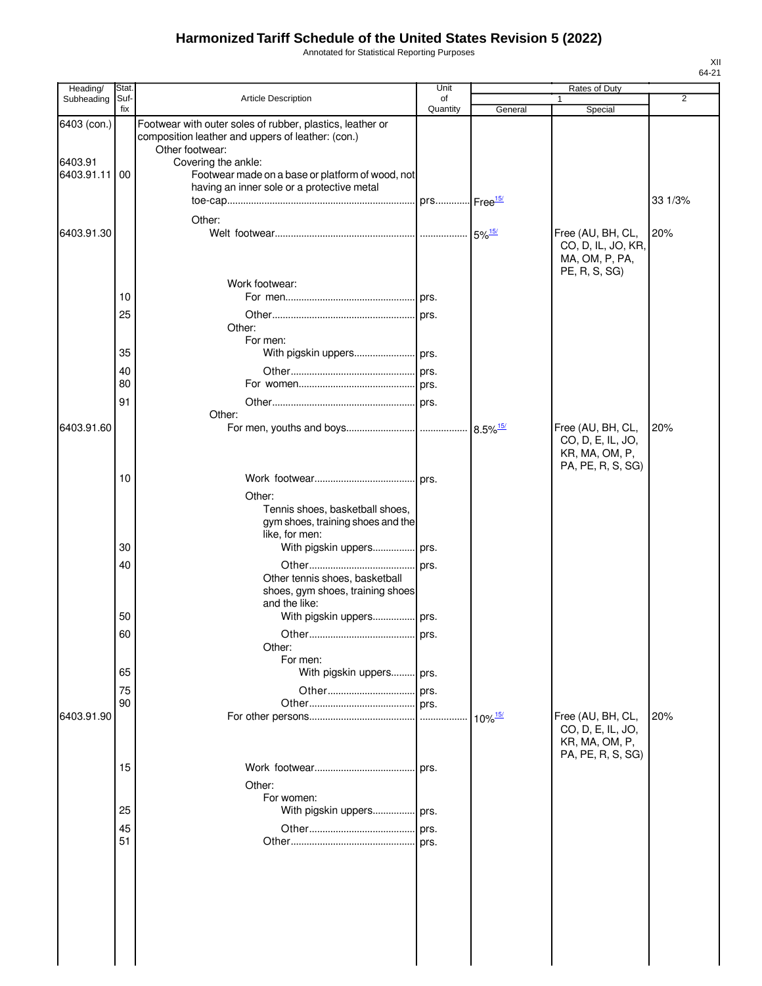Annotated for Statistical Reporting Purposes

| Heading/    | <b>Stat</b> |                                                                                                                | Unit           |                       | Rates of Duty                                                                 |         |
|-------------|-------------|----------------------------------------------------------------------------------------------------------------|----------------|-----------------------|-------------------------------------------------------------------------------|---------|
| Subheading  | Suf-<br>fix | Article Description                                                                                            | of<br>Quantity | General               | 1<br>Special                                                                  | 2       |
| 6403 (con.) |             | Footwear with outer soles of rubber, plastics, leather or<br>composition leather and uppers of leather: (con.) |                |                       |                                                                               |         |
| 6403.91     |             | Other footwear:<br>Covering the ankle:                                                                         |                |                       |                                                                               |         |
| 6403.91.11  | 00          | Footwear made on a base or platform of wood, not                                                               |                |                       |                                                                               |         |
|             |             | having an inner sole or a protective metal                                                                     |                |                       |                                                                               |         |
|             |             |                                                                                                                |                |                       |                                                                               | 33 1/3% |
|             |             | Other:                                                                                                         |                |                       |                                                                               |         |
| 6403.91.30  |             |                                                                                                                |                |                       | Free (AU, BH, CL,<br>CO, D, IL, JO, KR,<br>MA, OM, P, PA,<br>PE, R, S, SG)    | 20%     |
|             |             | Work footwear:                                                                                                 |                |                       |                                                                               |         |
|             | 10          |                                                                                                                |                |                       |                                                                               |         |
|             | 25          | Other:                                                                                                         |                |                       |                                                                               |         |
|             | 35          | For men:                                                                                                       |                |                       |                                                                               |         |
|             |             |                                                                                                                |                |                       |                                                                               |         |
|             | 40<br>80    |                                                                                                                |                |                       |                                                                               |         |
|             |             |                                                                                                                |                |                       |                                                                               |         |
|             | 91          | Other:                                                                                                         |                |                       |                                                                               |         |
| 6403.91.60  |             |                                                                                                                |                |                       | Free (AU, BH, CL,<br>CO, D, E, IL, JO,<br>KR, MA, OM, P,<br>PA, PE, R, S, SG) | 20%     |
|             | 10          |                                                                                                                |                |                       |                                                                               |         |
|             |             | Other:                                                                                                         |                |                       |                                                                               |         |
|             |             | Tennis shoes, basketball shoes,<br>gym shoes, training shoes and the<br>like, for men:                         |                |                       |                                                                               |         |
|             | 30          | With pigskin uppers prs.                                                                                       |                |                       |                                                                               |         |
|             | 40          | Other tennis shoes, basketball<br>shoes, gym shoes, training shoes<br>and the like:                            | prs.           |                       |                                                                               |         |
|             | 50          | With pigskin uppers prs.                                                                                       |                |                       |                                                                               |         |
|             | 60          |                                                                                                                |                |                       |                                                                               |         |
|             |             | Other:                                                                                                         |                |                       |                                                                               |         |
|             |             | For men:                                                                                                       |                |                       |                                                                               |         |
|             | 65          | With pigskin uppers prs.                                                                                       |                |                       |                                                                               |         |
|             | 75          |                                                                                                                |                |                       |                                                                               |         |
|             | 90          |                                                                                                                | prs.           |                       |                                                                               |         |
| 6403.91.90  |             |                                                                                                                |                | $10\%$ <sup>15/</sup> | Free (AU, BH, CL,<br>CO, D, E, IL, JO,<br>KR, MA, OM, P,<br>PA, PE, R, S, SG) | 20%     |
|             | 15          |                                                                                                                | prs.           |                       |                                                                               |         |
|             |             | Other:                                                                                                         |                |                       |                                                                               |         |
|             |             | For women:                                                                                                     |                |                       |                                                                               |         |
|             | 25          | With pigskin uppers prs.                                                                                       |                |                       |                                                                               |         |
|             | 45          |                                                                                                                |                |                       |                                                                               |         |
|             | 51          |                                                                                                                | prs.           |                       |                                                                               |         |
|             |             |                                                                                                                |                |                       |                                                                               |         |
|             |             |                                                                                                                |                |                       |                                                                               |         |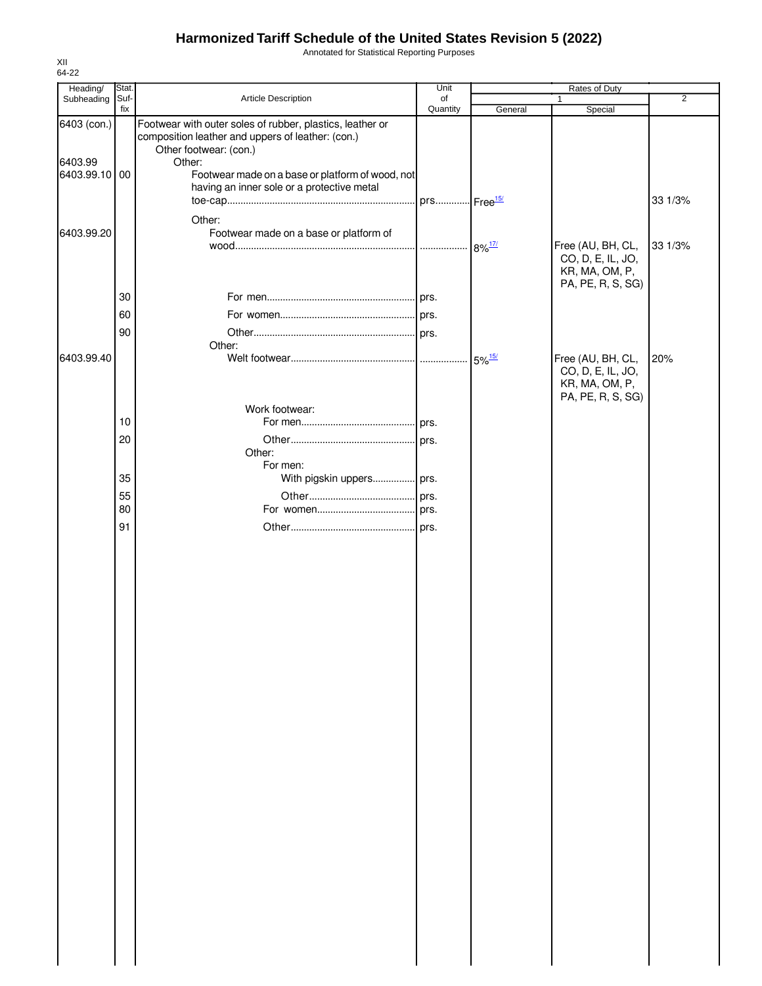Annotated for Statistical Reporting Purposes

| Heading/                                | Stat.       |                                                                                                                                                                                                        | Unit           |         | Rates of Duty                                                                 |         |
|-----------------------------------------|-------------|--------------------------------------------------------------------------------------------------------------------------------------------------------------------------------------------------------|----------------|---------|-------------------------------------------------------------------------------|---------|
| Subheading                              | Suf-<br>fix | Article Description                                                                                                                                                                                    | of<br>Quantity | General | $\mathbf{1}$<br>Special                                                       | 2       |
| 6403 (con.)<br>6403.99<br>6403.99.10 00 |             | Footwear with outer soles of rubber, plastics, leather or<br>composition leather and uppers of leather: (con.)<br>Other footwear: (con.)<br>Other:<br>Footwear made on a base or platform of wood, not |                |         |                                                                               |         |
|                                         |             | having an inner sole or a protective metal<br>Other:                                                                                                                                                   |                |         |                                                                               | 33 1/3% |
| 6403.99.20                              |             | Footwear made on a base or platform of                                                                                                                                                                 |                |         | Free (AU, BH, CL,<br>CO, D, E, IL, JO,<br>KR, MA, OM, P,<br>PA, PE, R, S, SG) | 33 1/3% |
|                                         | 30          |                                                                                                                                                                                                        |                |         |                                                                               |         |
|                                         | 60          |                                                                                                                                                                                                        |                |         |                                                                               |         |
|                                         | 90          |                                                                                                                                                                                                        |                |         |                                                                               |         |
|                                         |             | Other:                                                                                                                                                                                                 |                |         |                                                                               |         |
| 6403.99.40                              |             |                                                                                                                                                                                                        |                |         | Free (AU, BH, CL,<br>CO, D, E, IL, JO,<br>KR, MA, OM, P,<br>PA, PE, R, S, SG) | 20%     |
|                                         | 10          | Work footwear:                                                                                                                                                                                         |                |         |                                                                               |         |
|                                         | 20          |                                                                                                                                                                                                        |                |         |                                                                               |         |
|                                         |             | Other:                                                                                                                                                                                                 |                |         |                                                                               |         |
|                                         |             | For men:                                                                                                                                                                                               |                |         |                                                                               |         |
|                                         | 35          | With pigskin uppers prs.                                                                                                                                                                               |                |         |                                                                               |         |
|                                         | 55<br>80    |                                                                                                                                                                                                        |                |         |                                                                               |         |
|                                         | 91          |                                                                                                                                                                                                        |                |         |                                                                               |         |
|                                         |             |                                                                                                                                                                                                        |                |         |                                                                               |         |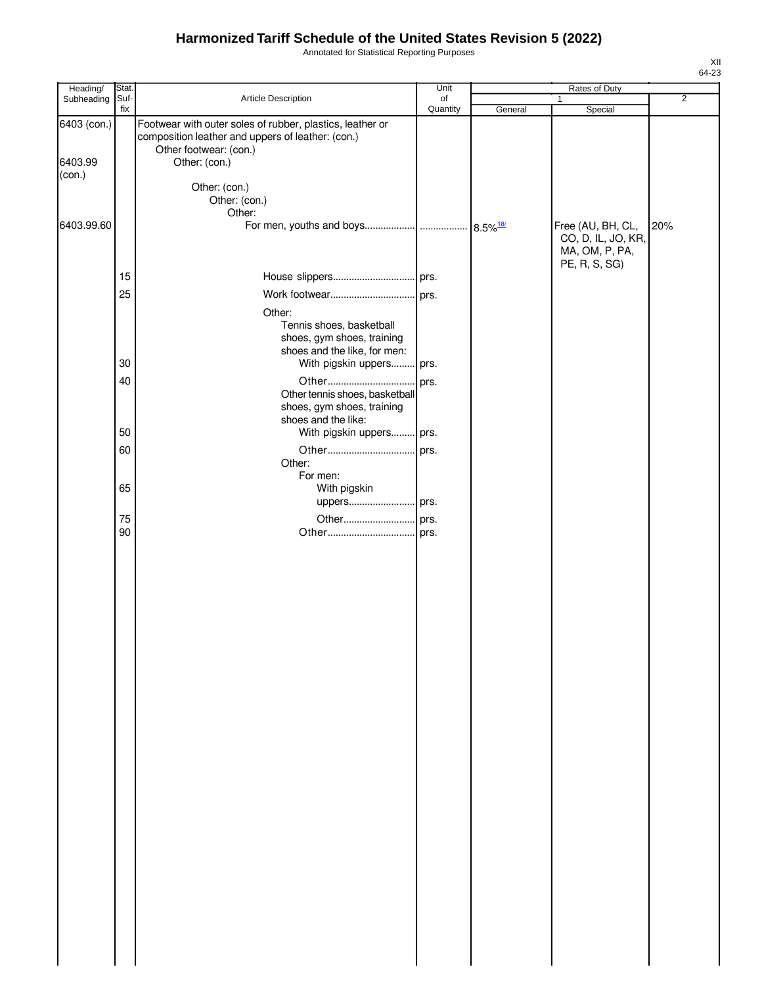Annotated for Statistical Reporting Purposes

| Heading/          | Stat.       |                                                                                                                | Unit           |         | Rates of Duty                           |                |
|-------------------|-------------|----------------------------------------------------------------------------------------------------------------|----------------|---------|-----------------------------------------|----------------|
| Subheading        | Suf-<br>fix | Article Description                                                                                            | of<br>Quantity | General | 1<br>Special                            | $\overline{2}$ |
| 6403 (con.)       |             | Footwear with outer soles of rubber, plastics, leather or<br>composition leather and uppers of leather: (con.) |                |         |                                         |                |
| 6403.99<br>(con.) |             | Other footwear: (con.)<br>Other: (con.)                                                                        |                |         |                                         |                |
|                   |             | Other: (con.)<br>Other: (con.)                                                                                 |                |         |                                         |                |
| 6403.99.60        |             | Other:                                                                                                         |                |         | Free (AU, BH, CL,<br>CO, D, IL, JO, KR, | 20%            |
|                   |             |                                                                                                                |                |         | MA, OM, P, PA,<br>PE, R, S, SG)         |                |
|                   | 15          |                                                                                                                |                |         |                                         |                |
|                   | 25          |                                                                                                                |                |         |                                         |                |
|                   |             | Other:                                                                                                         |                |         |                                         |                |
|                   |             | Tennis shoes, basketball<br>shoes, gym shoes, training<br>shoes and the like, for men:                         |                |         |                                         |                |
|                   | 30          | With pigskin uppers prs.                                                                                       |                |         |                                         |                |
|                   | 40          |                                                                                                                |                |         |                                         |                |
|                   |             | Other tennis shoes, basketball<br>shoes, gym shoes, training                                                   |                |         |                                         |                |
|                   | 50          | shoes and the like:<br>With pigskin uppers prs.                                                                |                |         |                                         |                |
|                   | 60          |                                                                                                                |                |         |                                         |                |
|                   |             | Other:                                                                                                         |                |         |                                         |                |
|                   | 65          | For men:                                                                                                       |                |         |                                         |                |
|                   |             | With pigskin<br>uppers prs.                                                                                    |                |         |                                         |                |
|                   | 75          |                                                                                                                |                |         |                                         |                |
|                   | 90          |                                                                                                                |                |         |                                         |                |
|                   |             |                                                                                                                |                |         |                                         |                |
|                   |             |                                                                                                                |                |         |                                         |                |
|                   |             |                                                                                                                |                |         |                                         |                |
|                   |             |                                                                                                                |                |         |                                         |                |
|                   |             |                                                                                                                |                |         |                                         |                |
|                   |             |                                                                                                                |                |         |                                         |                |
|                   |             |                                                                                                                |                |         |                                         |                |
|                   |             |                                                                                                                |                |         |                                         |                |
|                   |             |                                                                                                                |                |         |                                         |                |
|                   |             |                                                                                                                |                |         |                                         |                |
|                   |             |                                                                                                                |                |         |                                         |                |
|                   |             |                                                                                                                |                |         |                                         |                |
|                   |             |                                                                                                                |                |         |                                         |                |
|                   |             |                                                                                                                |                |         |                                         |                |
|                   |             |                                                                                                                |                |         |                                         |                |
|                   |             |                                                                                                                |                |         |                                         |                |
|                   |             |                                                                                                                |                |         |                                         |                |
|                   |             |                                                                                                                |                |         |                                         |                |
|                   |             |                                                                                                                |                |         |                                         |                |
|                   |             |                                                                                                                |                |         |                                         |                |
|                   |             |                                                                                                                |                |         |                                         |                |
|                   |             |                                                                                                                |                |         |                                         |                |
|                   |             |                                                                                                                |                |         |                                         |                |
|                   |             |                                                                                                                |                |         |                                         |                |
|                   |             |                                                                                                                |                |         |                                         |                |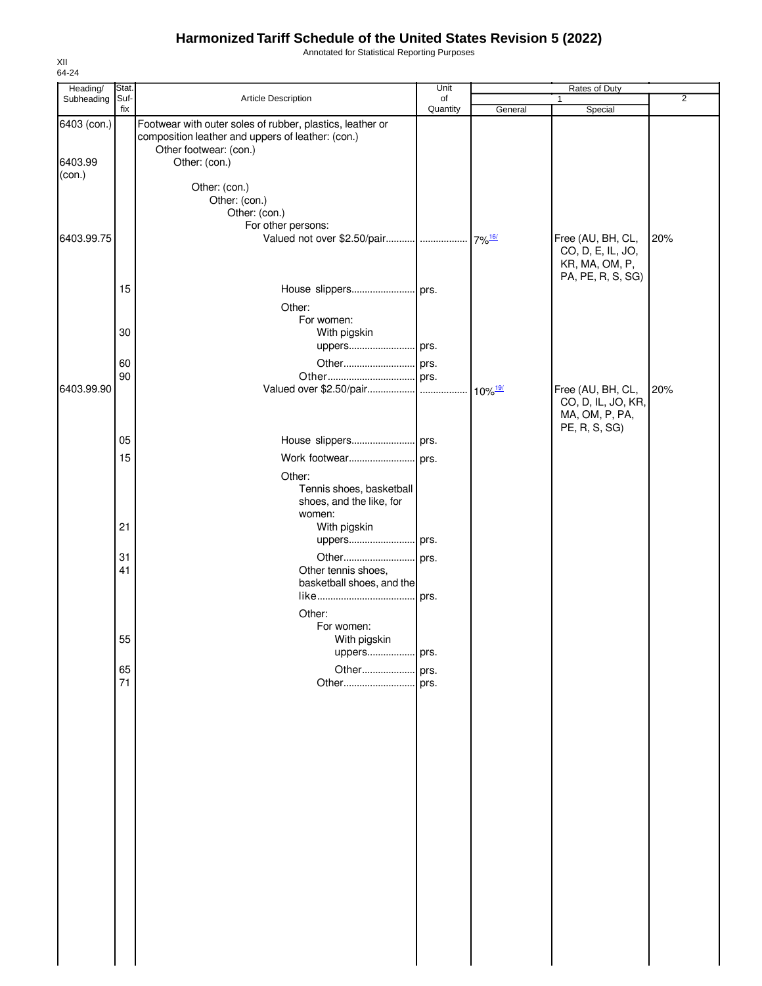Annotated for Statistical Reporting Purposes

| Suf-<br>of<br>Subheading<br>$\mathbf{1}$<br>Quantity<br>fix<br>General<br>Special<br>Footwear with outer soles of rubber, plastics, leather or<br>composition leather and uppers of leather: (con.)<br>Other footwear: (con.)<br>6403.99<br>Other: (con.)<br>(con.)<br>Other: (con.)<br>Other: (con.)<br>Other: (con.)<br>For other persons:<br>Free (AU, BH, CL,<br>20%<br>$.7\%$ <sup>16/</sup><br>CO, D, E, IL, JO,<br>KR, MA, OM, P,<br>PA, PE, R, S, SG)<br>15<br>Other:<br>For women:<br>30<br>With pigskin<br>uppers prs.<br>60<br>90<br>Valued over \$2.50/pair<br>6403.99.90<br>20%<br>Free (AU, BH, CL,<br>$10\%$ <sup>19/</sup><br>CO, D, IL, JO, KR,<br>MA, OM, P, PA,<br>PE, R, S, SG)<br>05<br>15<br>Work footwear prs.<br>Other:<br>Tennis shoes, basketball<br>shoes, and the like, for<br>women:<br>21<br>With pigskin<br>uppers prs.<br>31<br>41<br>Other tennis shoes,<br>basketball shoes, and the<br>Other:<br>For women:<br>55<br>With pigskin<br>uppers prs.<br>65<br>Other<br>prs.<br>71<br>Other<br>prs. | Heading/    | Stat. |                     | Unit | Rates of Duty |                |
|-----------------------------------------------------------------------------------------------------------------------------------------------------------------------------------------------------------------------------------------------------------------------------------------------------------------------------------------------------------------------------------------------------------------------------------------------------------------------------------------------------------------------------------------------------------------------------------------------------------------------------------------------------------------------------------------------------------------------------------------------------------------------------------------------------------------------------------------------------------------------------------------------------------------------------------------------------------------------------------------------------------------------------------|-------------|-------|---------------------|------|---------------|----------------|
|                                                                                                                                                                                                                                                                                                                                                                                                                                                                                                                                                                                                                                                                                                                                                                                                                                                                                                                                                                                                                                   |             |       | Article Description |      |               | $\overline{2}$ |
|                                                                                                                                                                                                                                                                                                                                                                                                                                                                                                                                                                                                                                                                                                                                                                                                                                                                                                                                                                                                                                   | 6403 (con.) |       |                     |      |               |                |
|                                                                                                                                                                                                                                                                                                                                                                                                                                                                                                                                                                                                                                                                                                                                                                                                                                                                                                                                                                                                                                   |             |       |                     |      |               |                |
|                                                                                                                                                                                                                                                                                                                                                                                                                                                                                                                                                                                                                                                                                                                                                                                                                                                                                                                                                                                                                                   |             |       |                     |      |               |                |
|                                                                                                                                                                                                                                                                                                                                                                                                                                                                                                                                                                                                                                                                                                                                                                                                                                                                                                                                                                                                                                   |             |       |                     |      |               |                |
|                                                                                                                                                                                                                                                                                                                                                                                                                                                                                                                                                                                                                                                                                                                                                                                                                                                                                                                                                                                                                                   |             |       |                     |      |               |                |
|                                                                                                                                                                                                                                                                                                                                                                                                                                                                                                                                                                                                                                                                                                                                                                                                                                                                                                                                                                                                                                   | 6403.99.75  |       |                     |      |               |                |
|                                                                                                                                                                                                                                                                                                                                                                                                                                                                                                                                                                                                                                                                                                                                                                                                                                                                                                                                                                                                                                   |             |       |                     |      |               |                |
|                                                                                                                                                                                                                                                                                                                                                                                                                                                                                                                                                                                                                                                                                                                                                                                                                                                                                                                                                                                                                                   |             |       |                     |      |               |                |
|                                                                                                                                                                                                                                                                                                                                                                                                                                                                                                                                                                                                                                                                                                                                                                                                                                                                                                                                                                                                                                   |             |       |                     |      |               |                |
|                                                                                                                                                                                                                                                                                                                                                                                                                                                                                                                                                                                                                                                                                                                                                                                                                                                                                                                                                                                                                                   |             |       |                     |      |               |                |
|                                                                                                                                                                                                                                                                                                                                                                                                                                                                                                                                                                                                                                                                                                                                                                                                                                                                                                                                                                                                                                   |             |       |                     |      |               |                |
|                                                                                                                                                                                                                                                                                                                                                                                                                                                                                                                                                                                                                                                                                                                                                                                                                                                                                                                                                                                                                                   |             |       |                     |      |               |                |
|                                                                                                                                                                                                                                                                                                                                                                                                                                                                                                                                                                                                                                                                                                                                                                                                                                                                                                                                                                                                                                   |             |       |                     |      |               |                |
|                                                                                                                                                                                                                                                                                                                                                                                                                                                                                                                                                                                                                                                                                                                                                                                                                                                                                                                                                                                                                                   |             |       |                     |      |               |                |
|                                                                                                                                                                                                                                                                                                                                                                                                                                                                                                                                                                                                                                                                                                                                                                                                                                                                                                                                                                                                                                   |             |       |                     |      |               |                |
|                                                                                                                                                                                                                                                                                                                                                                                                                                                                                                                                                                                                                                                                                                                                                                                                                                                                                                                                                                                                                                   |             |       |                     |      |               |                |
|                                                                                                                                                                                                                                                                                                                                                                                                                                                                                                                                                                                                                                                                                                                                                                                                                                                                                                                                                                                                                                   |             |       |                     |      |               |                |
|                                                                                                                                                                                                                                                                                                                                                                                                                                                                                                                                                                                                                                                                                                                                                                                                                                                                                                                                                                                                                                   |             |       |                     |      |               |                |
|                                                                                                                                                                                                                                                                                                                                                                                                                                                                                                                                                                                                                                                                                                                                                                                                                                                                                                                                                                                                                                   |             |       |                     |      |               |                |
|                                                                                                                                                                                                                                                                                                                                                                                                                                                                                                                                                                                                                                                                                                                                                                                                                                                                                                                                                                                                                                   |             |       |                     |      |               |                |
|                                                                                                                                                                                                                                                                                                                                                                                                                                                                                                                                                                                                                                                                                                                                                                                                                                                                                                                                                                                                                                   |             |       |                     |      |               |                |
|                                                                                                                                                                                                                                                                                                                                                                                                                                                                                                                                                                                                                                                                                                                                                                                                                                                                                                                                                                                                                                   |             |       |                     |      |               |                |
|                                                                                                                                                                                                                                                                                                                                                                                                                                                                                                                                                                                                                                                                                                                                                                                                                                                                                                                                                                                                                                   |             |       |                     |      |               |                |
|                                                                                                                                                                                                                                                                                                                                                                                                                                                                                                                                                                                                                                                                                                                                                                                                                                                                                                                                                                                                                                   |             |       |                     |      |               |                |
|                                                                                                                                                                                                                                                                                                                                                                                                                                                                                                                                                                                                                                                                                                                                                                                                                                                                                                                                                                                                                                   |             |       |                     |      |               |                |
|                                                                                                                                                                                                                                                                                                                                                                                                                                                                                                                                                                                                                                                                                                                                                                                                                                                                                                                                                                                                                                   |             |       |                     |      |               |                |
|                                                                                                                                                                                                                                                                                                                                                                                                                                                                                                                                                                                                                                                                                                                                                                                                                                                                                                                                                                                                                                   |             |       |                     |      |               |                |
|                                                                                                                                                                                                                                                                                                                                                                                                                                                                                                                                                                                                                                                                                                                                                                                                                                                                                                                                                                                                                                   |             |       |                     |      |               |                |
|                                                                                                                                                                                                                                                                                                                                                                                                                                                                                                                                                                                                                                                                                                                                                                                                                                                                                                                                                                                                                                   |             |       |                     |      |               |                |
|                                                                                                                                                                                                                                                                                                                                                                                                                                                                                                                                                                                                                                                                                                                                                                                                                                                                                                                                                                                                                                   |             |       |                     |      |               |                |
|                                                                                                                                                                                                                                                                                                                                                                                                                                                                                                                                                                                                                                                                                                                                                                                                                                                                                                                                                                                                                                   |             |       |                     |      |               |                |
|                                                                                                                                                                                                                                                                                                                                                                                                                                                                                                                                                                                                                                                                                                                                                                                                                                                                                                                                                                                                                                   |             |       |                     |      |               |                |
|                                                                                                                                                                                                                                                                                                                                                                                                                                                                                                                                                                                                                                                                                                                                                                                                                                                                                                                                                                                                                                   |             |       |                     |      |               |                |
|                                                                                                                                                                                                                                                                                                                                                                                                                                                                                                                                                                                                                                                                                                                                                                                                                                                                                                                                                                                                                                   |             |       |                     |      |               |                |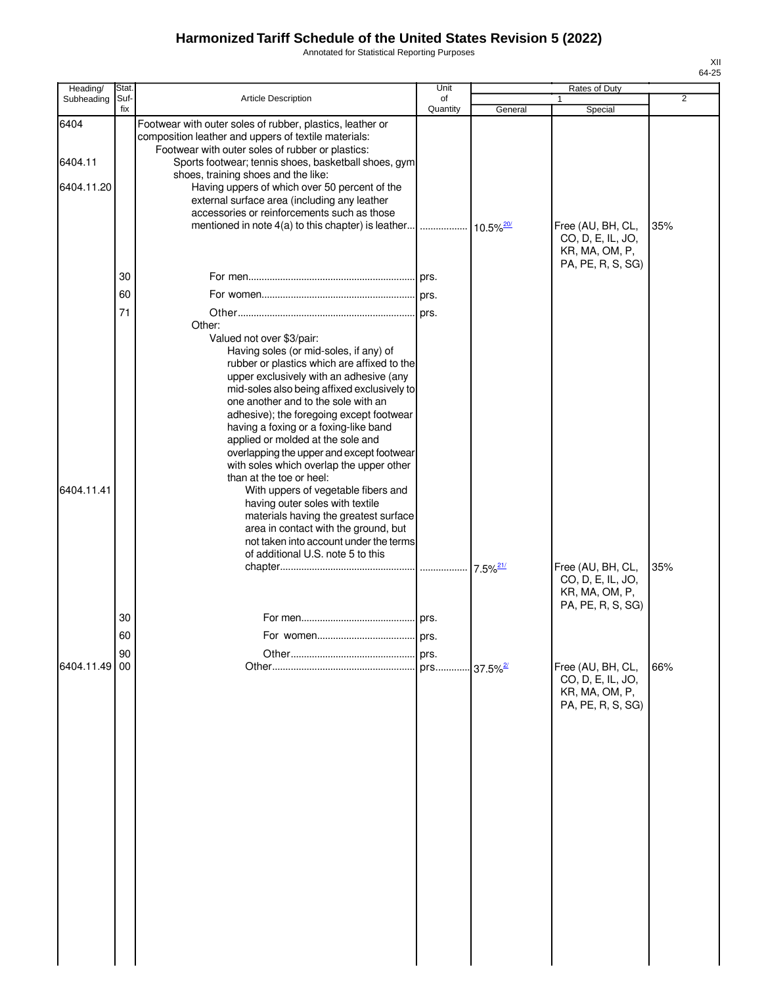Annotated for Statistical Reporting Purposes

| Heading/   | Stat.       |                                                                                                                                                                       | Unit           |                         | Rates of Duty                                            |                |
|------------|-------------|-----------------------------------------------------------------------------------------------------------------------------------------------------------------------|----------------|-------------------------|----------------------------------------------------------|----------------|
| Subheading | Suf-<br>fix | Article Description                                                                                                                                                   | of<br>Quantity | General                 | Special                                                  | $\overline{2}$ |
| 6404       |             | Footwear with outer soles of rubber, plastics, leather or<br>composition leather and uppers of textile materials:<br>Footwear with outer soles of rubber or plastics: |                |                         |                                                          |                |
| 6404.11    |             | Sports footwear; tennis shoes, basketball shoes, gym<br>shoes, training shoes and the like:                                                                           |                |                         |                                                          |                |
| 6404.11.20 |             | Having uppers of which over 50 percent of the<br>external surface area (including any leather                                                                         |                |                         |                                                          |                |
|            |             | accessories or reinforcements such as those<br>mentioned in note 4(a) to this chapter) is leather                                                                     |                |                         | Free (AU, BH, CL,                                        | 35%            |
|            |             |                                                                                                                                                                       |                |                         | CO, D, E, IL, JO,<br>KR, MA, OM, P,<br>PA, PE, R, S, SG) |                |
|            | 30          |                                                                                                                                                                       |                |                         |                                                          |                |
|            | 60          |                                                                                                                                                                       |                |                         |                                                          |                |
|            | 71          | Other:                                                                                                                                                                |                |                         |                                                          |                |
|            |             | Valued not over \$3/pair:                                                                                                                                             |                |                         |                                                          |                |
|            |             | Having soles (or mid-soles, if any) of<br>rubber or plastics which are affixed to the                                                                                 |                |                         |                                                          |                |
|            |             | upper exclusively with an adhesive (any                                                                                                                               |                |                         |                                                          |                |
|            |             | mid-soles also being affixed exclusively to<br>one another and to the sole with an                                                                                    |                |                         |                                                          |                |
|            |             | adhesive); the foregoing except footwear                                                                                                                              |                |                         |                                                          |                |
|            |             | having a foxing or a foxing-like band<br>applied or molded at the sole and                                                                                            |                |                         |                                                          |                |
|            |             | overlapping the upper and except footwear                                                                                                                             |                |                         |                                                          |                |
|            |             | with soles which overlap the upper other<br>than at the toe or heel:                                                                                                  |                |                         |                                                          |                |
| 6404.11.41 |             | With uppers of vegetable fibers and                                                                                                                                   |                |                         |                                                          |                |
|            |             | having outer soles with textile<br>materials having the greatest surface                                                                                              |                |                         |                                                          |                |
|            |             | area in contact with the ground, but                                                                                                                                  |                |                         |                                                          |                |
|            |             | not taken into account under the terms<br>of additional U.S. note 5 to this                                                                                           |                |                         |                                                          |                |
|            |             |                                                                                                                                                                       |                |                         | Free (AU, BH, CL,                                        | 35%            |
|            |             |                                                                                                                                                                       |                |                         | CO, D, E, IL, JO,<br>KR, MA, OM, P,<br>PA, PE, R, S, SG) |                |
|            | 30          |                                                                                                                                                                       |                |                         |                                                          |                |
|            | οU          |                                                                                                                                                                       | <b>I</b> prs.  |                         |                                                          |                |
|            | 90          |                                                                                                                                                                       | prs.           |                         |                                                          |                |
| 6404.11.49 | 00          |                                                                                                                                                                       | prs            | $-37.5\%$ <sup>2/</sup> | Free (AU, BH, CL,<br>CO, D, E, IL, JO,                   | 66%            |
|            |             |                                                                                                                                                                       |                |                         | KR, MA, OM, P,                                           |                |
|            |             |                                                                                                                                                                       |                |                         | PA, PE, R, S, SG)                                        |                |
|            |             |                                                                                                                                                                       |                |                         |                                                          |                |
|            |             |                                                                                                                                                                       |                |                         |                                                          |                |
|            |             |                                                                                                                                                                       |                |                         |                                                          |                |
|            |             |                                                                                                                                                                       |                |                         |                                                          |                |
|            |             |                                                                                                                                                                       |                |                         |                                                          |                |
|            |             |                                                                                                                                                                       |                |                         |                                                          |                |
|            |             |                                                                                                                                                                       |                |                         |                                                          |                |
|            |             |                                                                                                                                                                       |                |                         |                                                          |                |
|            |             |                                                                                                                                                                       |                |                         |                                                          |                |
|            |             |                                                                                                                                                                       |                |                         |                                                          |                |
|            |             |                                                                                                                                                                       |                |                         |                                                          |                |
|            |             |                                                                                                                                                                       |                |                         |                                                          |                |
|            |             |                                                                                                                                                                       |                |                         |                                                          |                |
|            |             |                                                                                                                                                                       |                |                         |                                                          |                |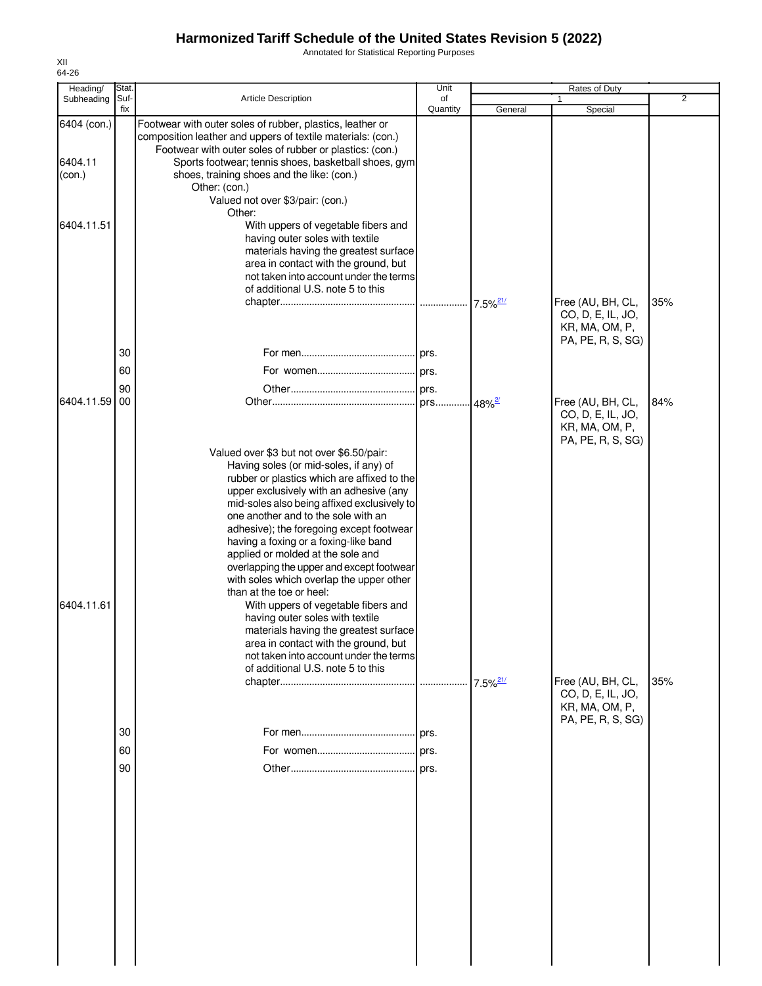Annotated for Statistical Reporting Purposes

| Heading/          | Stat.       |                                                                                                                                                                                                                                                                                                                                                                                                                                                                                                                                                                                                                                                                                                                                                              | Unit                    |                        | Rates of Duty                                                                 |                |
|-------------------|-------------|--------------------------------------------------------------------------------------------------------------------------------------------------------------------------------------------------------------------------------------------------------------------------------------------------------------------------------------------------------------------------------------------------------------------------------------------------------------------------------------------------------------------------------------------------------------------------------------------------------------------------------------------------------------------------------------------------------------------------------------------------------------|-------------------------|------------------------|-------------------------------------------------------------------------------|----------------|
| Subheading        | Suf-<br>fix | <b>Article Description</b>                                                                                                                                                                                                                                                                                                                                                                                                                                                                                                                                                                                                                                                                                                                                   | of<br>Quantity          | General                | Special                                                                       | $\overline{2}$ |
| 6404 (con.)       |             | Footwear with outer soles of rubber, plastics, leather or<br>composition leather and uppers of textile materials: (con.)<br>Footwear with outer soles of rubber or plastics: (con.)                                                                                                                                                                                                                                                                                                                                                                                                                                                                                                                                                                          |                         |                        |                                                                               |                |
| 6404.11<br>(con.) |             | Sports footwear; tennis shoes, basketball shoes, gym<br>shoes, training shoes and the like: (con.)<br>Other: (con.)<br>Valued not over \$3/pair: (con.)<br>Other:                                                                                                                                                                                                                                                                                                                                                                                                                                                                                                                                                                                            |                         |                        |                                                                               |                |
| 6404.11.51        |             | With uppers of vegetable fibers and<br>having outer soles with textile<br>materials having the greatest surface<br>area in contact with the ground, but<br>not taken into account under the terms<br>of additional U.S. note 5 to this                                                                                                                                                                                                                                                                                                                                                                                                                                                                                                                       |                         | $7.5\%$ <sup>21/</sup> | Free (AU, BH, CL,                                                             | 35%            |
|                   |             |                                                                                                                                                                                                                                                                                                                                                                                                                                                                                                                                                                                                                                                                                                                                                              |                         |                        | CO, D, E, IL, JO,<br>KR, MA, OM, P,<br>PA, PE, R, S, SG)                      |                |
|                   | 30<br>60    |                                                                                                                                                                                                                                                                                                                                                                                                                                                                                                                                                                                                                                                                                                                                                              |                         |                        |                                                                               |                |
| 6404.11.59        | 90<br>00    |                                                                                                                                                                                                                                                                                                                                                                                                                                                                                                                                                                                                                                                                                                                                                              | . prs 48% <sup>2/</sup> |                        | Free (AU, BH, CL,<br>CO, D, E, IL, JO,<br>KR, MA, OM, P,<br>PA, PE, R, S, SG) | 84%            |
| 6404.11.61        |             | Valued over \$3 but not over \$6.50/pair:<br>Having soles (or mid-soles, if any) of<br>rubber or plastics which are affixed to the<br>upper exclusively with an adhesive (any<br>mid-soles also being affixed exclusively to<br>one another and to the sole with an<br>adhesive); the foregoing except footwear<br>having a foxing or a foxing-like band<br>applied or molded at the sole and<br>overlapping the upper and except footwear<br>with soles which overlap the upper other<br>than at the toe or heel:<br>With uppers of vegetable fibers and<br>having outer soles with textile<br>materials having the greatest surface<br>area in contact with the ground, but<br>not taken into account under the terms<br>of additional U.S. note 5 to this |                         |                        |                                                                               |                |
|                   | 30          |                                                                                                                                                                                                                                                                                                                                                                                                                                                                                                                                                                                                                                                                                                                                                              | . prs.                  | $7.5\%$ <sup>21/</sup> | Free (AU, BH, CL,<br>CO, D, E, IL, JO,<br>KR, MA, OM, P,<br>PA, PE, R, S, SG) | 35%            |
|                   | 60          |                                                                                                                                                                                                                                                                                                                                                                                                                                                                                                                                                                                                                                                                                                                                                              |                         |                        |                                                                               |                |
|                   | 90          |                                                                                                                                                                                                                                                                                                                                                                                                                                                                                                                                                                                                                                                                                                                                                              |                         |                        |                                                                               |                |
|                   |             |                                                                                                                                                                                                                                                                                                                                                                                                                                                                                                                                                                                                                                                                                                                                                              |                         |                        |                                                                               |                |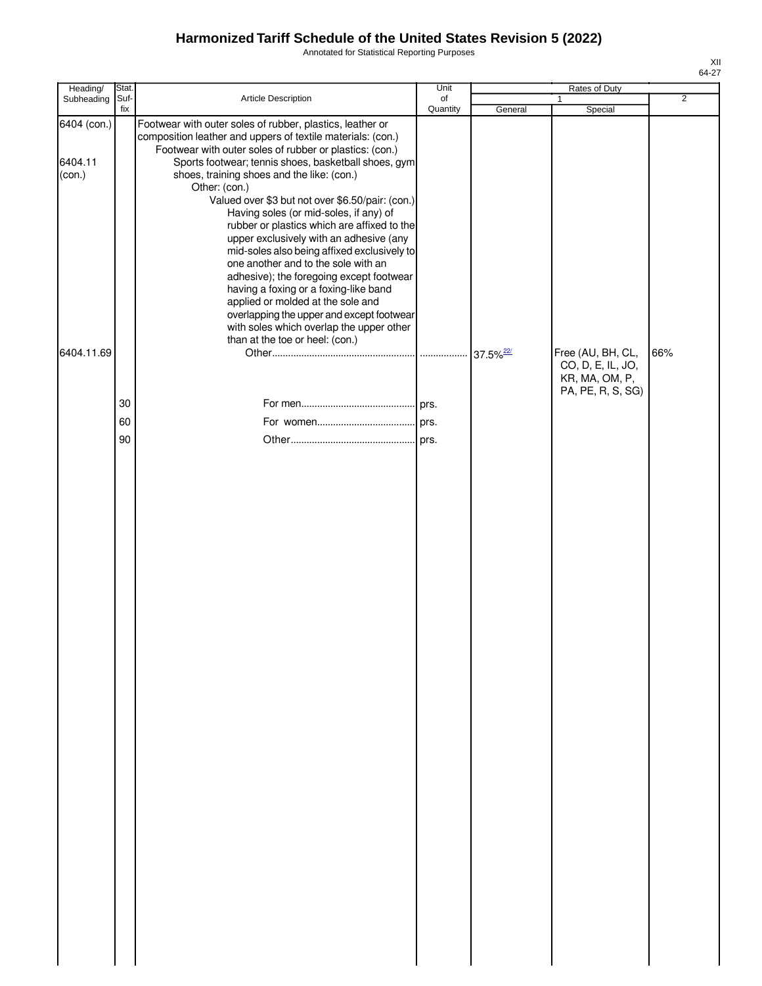Annotated for Statistical Reporting Purposes

| Heading/                         | Stat.       |                                                                                                                                                                                                                                                                                                                                                                                                                                                                                                                                                                                                                                                                                                                                                                                                                                                | Unit           |         | Rates of Duty                          |                |
|----------------------------------|-------------|------------------------------------------------------------------------------------------------------------------------------------------------------------------------------------------------------------------------------------------------------------------------------------------------------------------------------------------------------------------------------------------------------------------------------------------------------------------------------------------------------------------------------------------------------------------------------------------------------------------------------------------------------------------------------------------------------------------------------------------------------------------------------------------------------------------------------------------------|----------------|---------|----------------------------------------|----------------|
| Subheading                       | Suf-<br>fix | Article Description                                                                                                                                                                                                                                                                                                                                                                                                                                                                                                                                                                                                                                                                                                                                                                                                                            | of<br>Quantity | General | $\mathbf{1}$<br>Special                | $\overline{2}$ |
| 6404 (con.)<br>6404.11<br>(con.) |             | Footwear with outer soles of rubber, plastics, leather or<br>composition leather and uppers of textile materials: (con.)<br>Footwear with outer soles of rubber or plastics: (con.)<br>Sports footwear; tennis shoes, basketball shoes, gym<br>shoes, training shoes and the like: (con.)<br>Other: (con.)<br>Valued over \$3 but not over \$6.50/pair: (con.)<br>Having soles (or mid-soles, if any) of<br>rubber or plastics which are affixed to the<br>upper exclusively with an adhesive (any<br>mid-soles also being affixed exclusively to<br>one another and to the sole with an<br>adhesive); the foregoing except footwear<br>having a foxing or a foxing-like band<br>applied or molded at the sole and<br>overlapping the upper and except footwear<br>with soles which overlap the upper other<br>than at the toe or heel: (con.) |                |         |                                        |                |
| 6404.11.69                       |             |                                                                                                                                                                                                                                                                                                                                                                                                                                                                                                                                                                                                                                                                                                                                                                                                                                                |                |         | Free (AU, BH, CL,<br>CO, D, E, IL, JO, | 66%            |
|                                  |             |                                                                                                                                                                                                                                                                                                                                                                                                                                                                                                                                                                                                                                                                                                                                                                                                                                                |                |         | KR, MA, OM, P,<br>PA, PE, R, S, SG)    |                |
|                                  | 30          |                                                                                                                                                                                                                                                                                                                                                                                                                                                                                                                                                                                                                                                                                                                                                                                                                                                |                |         |                                        |                |
|                                  | 60          |                                                                                                                                                                                                                                                                                                                                                                                                                                                                                                                                                                                                                                                                                                                                                                                                                                                |                |         |                                        |                |
|                                  | 90          |                                                                                                                                                                                                                                                                                                                                                                                                                                                                                                                                                                                                                                                                                                                                                                                                                                                |                |         |                                        |                |
|                                  |             |                                                                                                                                                                                                                                                                                                                                                                                                                                                                                                                                                                                                                                                                                                                                                                                                                                                |                |         |                                        |                |
|                                  |             |                                                                                                                                                                                                                                                                                                                                                                                                                                                                                                                                                                                                                                                                                                                                                                                                                                                |                |         |                                        |                |
|                                  |             |                                                                                                                                                                                                                                                                                                                                                                                                                                                                                                                                                                                                                                                                                                                                                                                                                                                |                |         |                                        |                |
|                                  |             |                                                                                                                                                                                                                                                                                                                                                                                                                                                                                                                                                                                                                                                                                                                                                                                                                                                |                |         |                                        |                |
|                                  |             |                                                                                                                                                                                                                                                                                                                                                                                                                                                                                                                                                                                                                                                                                                                                                                                                                                                |                |         |                                        |                |
|                                  |             |                                                                                                                                                                                                                                                                                                                                                                                                                                                                                                                                                                                                                                                                                                                                                                                                                                                |                |         |                                        |                |
|                                  |             |                                                                                                                                                                                                                                                                                                                                                                                                                                                                                                                                                                                                                                                                                                                                                                                                                                                |                |         |                                        |                |
|                                  |             |                                                                                                                                                                                                                                                                                                                                                                                                                                                                                                                                                                                                                                                                                                                                                                                                                                                |                |         |                                        |                |
|                                  |             |                                                                                                                                                                                                                                                                                                                                                                                                                                                                                                                                                                                                                                                                                                                                                                                                                                                |                |         |                                        |                |
|                                  |             |                                                                                                                                                                                                                                                                                                                                                                                                                                                                                                                                                                                                                                                                                                                                                                                                                                                |                |         |                                        |                |
|                                  |             |                                                                                                                                                                                                                                                                                                                                                                                                                                                                                                                                                                                                                                                                                                                                                                                                                                                |                |         |                                        |                |
|                                  |             |                                                                                                                                                                                                                                                                                                                                                                                                                                                                                                                                                                                                                                                                                                                                                                                                                                                |                |         |                                        |                |
|                                  |             |                                                                                                                                                                                                                                                                                                                                                                                                                                                                                                                                                                                                                                                                                                                                                                                                                                                |                |         |                                        |                |
|                                  |             |                                                                                                                                                                                                                                                                                                                                                                                                                                                                                                                                                                                                                                                                                                                                                                                                                                                |                |         |                                        |                |
|                                  |             |                                                                                                                                                                                                                                                                                                                                                                                                                                                                                                                                                                                                                                                                                                                                                                                                                                                |                |         |                                        |                |
|                                  |             |                                                                                                                                                                                                                                                                                                                                                                                                                                                                                                                                                                                                                                                                                                                                                                                                                                                |                |         |                                        |                |
|                                  |             |                                                                                                                                                                                                                                                                                                                                                                                                                                                                                                                                                                                                                                                                                                                                                                                                                                                |                |         |                                        |                |
|                                  |             |                                                                                                                                                                                                                                                                                                                                                                                                                                                                                                                                                                                                                                                                                                                                                                                                                                                |                |         |                                        |                |
|                                  |             |                                                                                                                                                                                                                                                                                                                                                                                                                                                                                                                                                                                                                                                                                                                                                                                                                                                |                |         |                                        |                |
|                                  |             |                                                                                                                                                                                                                                                                                                                                                                                                                                                                                                                                                                                                                                                                                                                                                                                                                                                |                |         |                                        |                |
|                                  |             |                                                                                                                                                                                                                                                                                                                                                                                                                                                                                                                                                                                                                                                                                                                                                                                                                                                |                |         |                                        |                |
|                                  |             |                                                                                                                                                                                                                                                                                                                                                                                                                                                                                                                                                                                                                                                                                                                                                                                                                                                |                |         |                                        |                |
|                                  |             |                                                                                                                                                                                                                                                                                                                                                                                                                                                                                                                                                                                                                                                                                                                                                                                                                                                |                |         |                                        |                |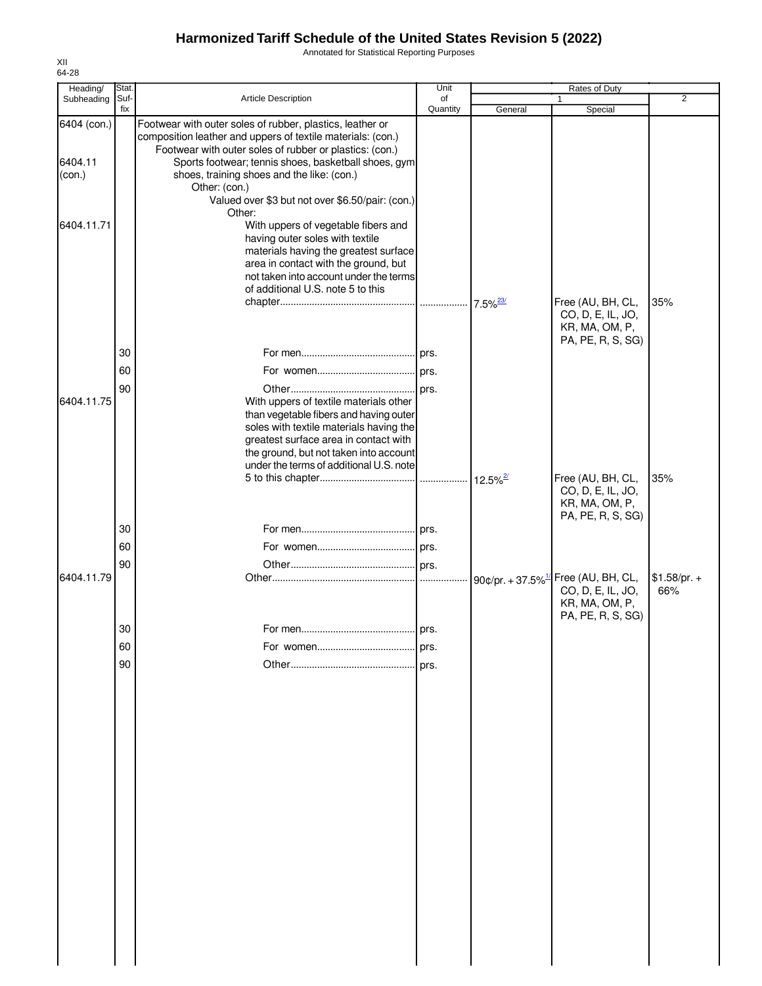Annotated for Statistical Reporting Purposes

| Heading/          | <b>Stat</b> |                                                                                                                                                                                                                                                                                                      | Unit           |                        | Rates of Duty                                                                                               |                      |
|-------------------|-------------|------------------------------------------------------------------------------------------------------------------------------------------------------------------------------------------------------------------------------------------------------------------------------------------------------|----------------|------------------------|-------------------------------------------------------------------------------------------------------------|----------------------|
| Subheading        | Suf-<br>fix | <b>Article Description</b>                                                                                                                                                                                                                                                                           | of<br>Quantity | General                | 1<br>Special                                                                                                | $\overline{2}$       |
| 6404 (con.)       |             | Footwear with outer soles of rubber, plastics, leather or<br>composition leather and uppers of textile materials: (con.)                                                                                                                                                                             |                |                        |                                                                                                             |                      |
| 6404.11<br>(con.) |             | Footwear with outer soles of rubber or plastics: (con.)<br>Sports footwear; tennis shoes, basketball shoes, gym<br>shoes, training shoes and the like: (con.)<br>Other: (con.)                                                                                                                       |                |                        |                                                                                                             |                      |
| 6404.11.71        |             | Valued over \$3 but not over \$6.50/pair: (con.)<br>Other:<br>With uppers of vegetable fibers and<br>having outer soles with textile<br>materials having the greatest surface<br>area in contact with the ground, but<br>not taken into account under the terms<br>of additional U.S. note 5 to this |                |                        |                                                                                                             |                      |
|                   |             |                                                                                                                                                                                                                                                                                                      |                | $7.5\%$ <sup>23/</sup> | Free (AU, BH, CL,<br>CO, D, E, IL, JO,<br>KR, MA, OM, P,                                                    | 35%                  |
|                   | 30          |                                                                                                                                                                                                                                                                                                      |                |                        | PA, PE, R, S, SG)                                                                                           |                      |
|                   | 60          |                                                                                                                                                                                                                                                                                                      |                |                        |                                                                                                             |                      |
| 6404.11.75        | 90          | With uppers of textile materials other<br>than vegetable fibers and having outer<br>soles with textile materials having the<br>greatest surface area in contact with                                                                                                                                 |                |                        |                                                                                                             |                      |
|                   |             | the ground, but not taken into account<br>under the terms of additional U.S. note                                                                                                                                                                                                                    |                |                        |                                                                                                             |                      |
|                   |             |                                                                                                                                                                                                                                                                                                      |                | $12.5\%$ <sup>2/</sup> | Free (AU, BH, CL,<br>CO, D, E, IL, JO,<br>KR, MA, OM, P,<br>PA, PE, R, S, SG)                               | 35%                  |
|                   | 30          |                                                                                                                                                                                                                                                                                                      |                |                        |                                                                                                             |                      |
|                   | 60          |                                                                                                                                                                                                                                                                                                      |                |                        |                                                                                                             |                      |
|                   | 90          |                                                                                                                                                                                                                                                                                                      |                |                        |                                                                                                             |                      |
| 6404.11.79        |             |                                                                                                                                                                                                                                                                                                      |                |                        | 90¢/pr. + 37.5% <sup>1/</sup> Free (AU, BH, CL,<br>CO, D, E, IL, JO,<br>KR, MA, OM, P,<br>PA, PE, R, S, SG) | $$1.58/pr. +$<br>66% |
|                   | 30          |                                                                                                                                                                                                                                                                                                      |                |                        |                                                                                                             |                      |
|                   | 60          |                                                                                                                                                                                                                                                                                                      | prs.           |                        |                                                                                                             |                      |
|                   | 90          |                                                                                                                                                                                                                                                                                                      | prs.           |                        |                                                                                                             |                      |
|                   |             |                                                                                                                                                                                                                                                                                                      |                |                        |                                                                                                             |                      |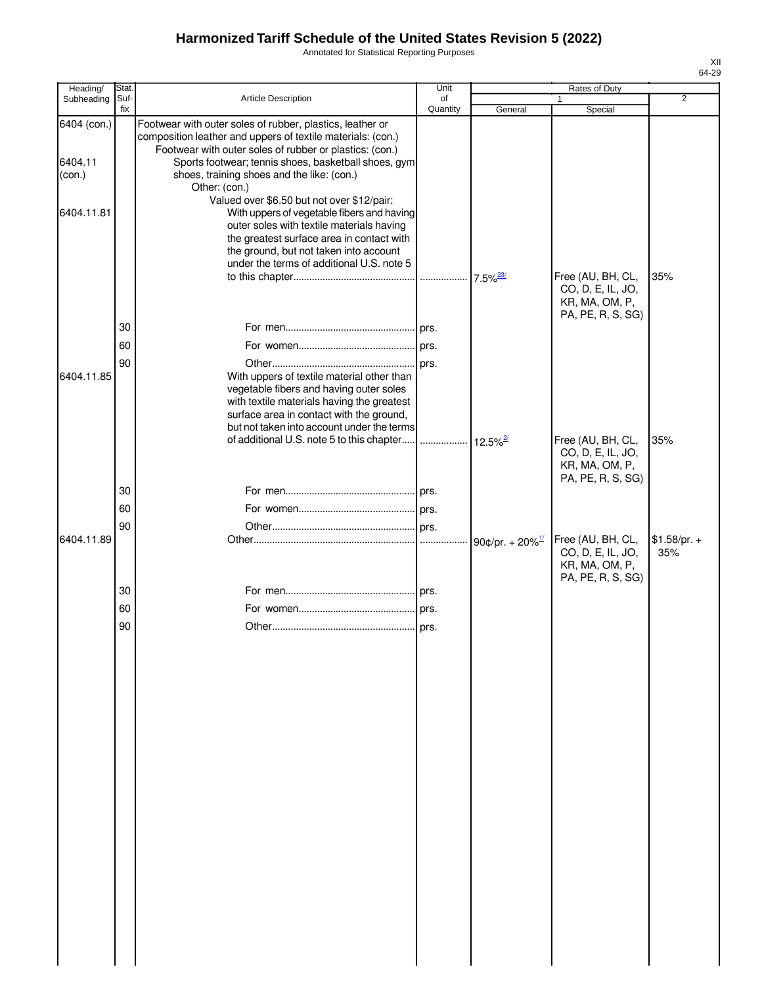Annotated for Statistical Reporting Purposes

| Heading/               | Stat.       |                                                                                                                                                                                                                                             | Unit           |                                | Rates of Duty                                                                 |                      |
|------------------------|-------------|---------------------------------------------------------------------------------------------------------------------------------------------------------------------------------------------------------------------------------------------|----------------|--------------------------------|-------------------------------------------------------------------------------|----------------------|
| Subheading             | Suf-<br>fix | <b>Article Description</b>                                                                                                                                                                                                                  | of<br>Quantity | General                        | Special                                                                       | $\overline{2}$       |
| 6404 (con.)<br>6404.11 |             | Footwear with outer soles of rubber, plastics, leather or<br>composition leather and uppers of textile materials: (con.)<br>Footwear with outer soles of rubber or plastics: (con.)<br>Sports footwear; tennis shoes, basketball shoes, gym |                |                                |                                                                               |                      |
| (con.)                 |             | shoes, training shoes and the like: (con.)<br>Other: (con.)<br>Valued over \$6.50 but not over \$12/pair:                                                                                                                                   |                |                                |                                                                               |                      |
| 6404.11.81             |             | With uppers of vegetable fibers and having<br>outer soles with textile materials having<br>the greatest surface area in contact with<br>the ground, but not taken into account<br>under the terms of additional U.S. note 5                 |                | $7.5\%$ <sup>23/</sup>         | Free (AU, BH, CL,                                                             | 35%                  |
|                        |             |                                                                                                                                                                                                                                             |                |                                | CO, D, E, IL, JO,<br>KR, MA, OM, P,<br>PA, PE, R, S, SG)                      |                      |
|                        | 30          |                                                                                                                                                                                                                                             |                |                                |                                                                               |                      |
|                        | 60          |                                                                                                                                                                                                                                             |                |                                |                                                                               |                      |
| 6404.11.85             | 90          | With uppers of textile material other than<br>vegetable fibers and having outer soles<br>with textile materials having the greatest<br>surface area in contact with the ground,                                                             |                |                                |                                                                               |                      |
|                        |             | but not taken into account under the terms                                                                                                                                                                                                  |                |                                |                                                                               |                      |
|                        |             | of additional U.S. note 5 to this chapter                                                                                                                                                                                                   |                |                                | Free (AU, BH, CL,<br>CO, D, E, IL, JO,<br>KR, MA, OM, P,<br>PA, PE, R, S, SG) | 35%                  |
|                        | 30          |                                                                                                                                                                                                                                             |                |                                |                                                                               |                      |
|                        | 60          |                                                                                                                                                                                                                                             |                |                                |                                                                               |                      |
|                        | 90          |                                                                                                                                                                                                                                             |                |                                |                                                                               |                      |
| 6404.11.89             |             |                                                                                                                                                                                                                                             |                | 90¢/pr. + $20\%$ <sup>1/</sup> | Free (AU, BH, CL,<br>CO, D, E, IL, JO,<br>KR, MA, OM, P,<br>PA, PE, R, S, SG) | $$1.58/pr. +$<br>35% |
|                        | 30          |                                                                                                                                                                                                                                             |                |                                |                                                                               |                      |
|                        | 60          |                                                                                                                                                                                                                                             |                |                                |                                                                               |                      |
|                        | 90          |                                                                                                                                                                                                                                             |                |                                |                                                                               |                      |
|                        |             |                                                                                                                                                                                                                                             |                |                                |                                                                               |                      |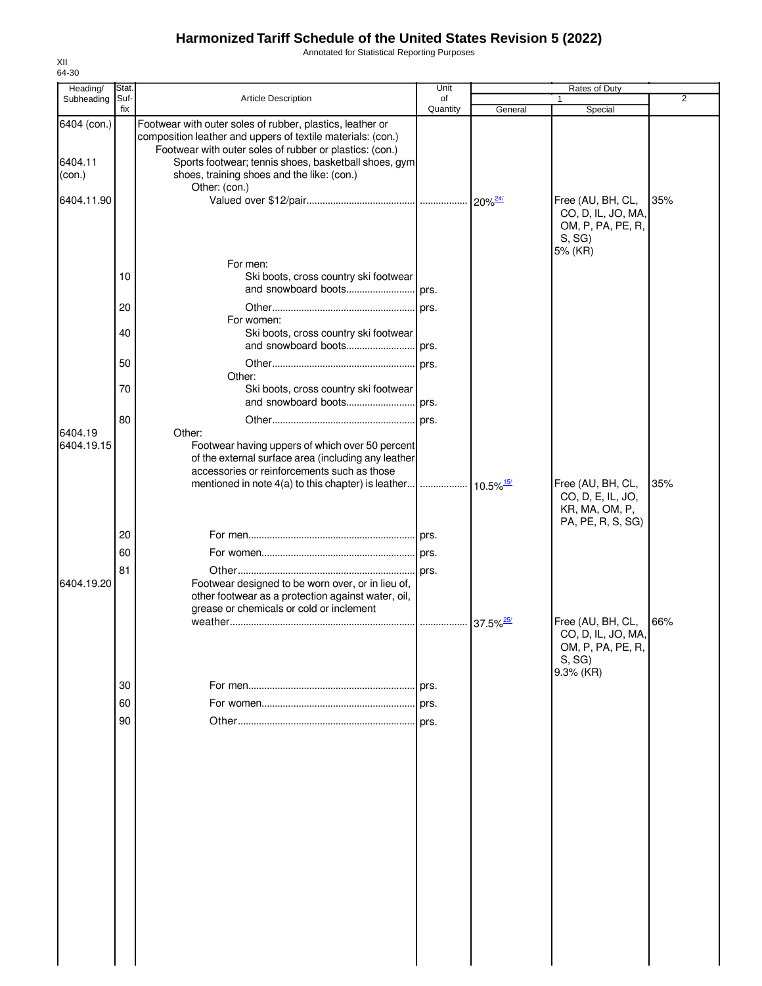Annotated for Statistical Reporting Purposes

| Heading/              | Stat. |                                                                                                                                                                                     | Unit     |         | Rates of Duty                                                                      |                |
|-----------------------|-------|-------------------------------------------------------------------------------------------------------------------------------------------------------------------------------------|----------|---------|------------------------------------------------------------------------------------|----------------|
| Subheading            | Suf-  | Article Description                                                                                                                                                                 | of       |         |                                                                                    | $\overline{2}$ |
|                       | fix   |                                                                                                                                                                                     | Quantity | General | Special                                                                            |                |
| 6404 (con.)           |       | Footwear with outer soles of rubber, plastics, leather or<br>composition leather and uppers of textile materials: (con.)<br>Footwear with outer soles of rubber or plastics: (con.) |          |         |                                                                                    |                |
| 6404.11<br>(con.)     |       | Sports footwear; tennis shoes, basketball shoes, gym<br>shoes, training shoes and the like: (con.)<br>Other: (con.)                                                                 |          |         |                                                                                    |                |
| 6404.11.90            |       |                                                                                                                                                                                     |          |         | Free (AU, BH, CL,<br>CO, D, IL, JO, MA,<br>OM, P, PA, PE, R,<br>S, SG<br>5% (KR)   | 35%            |
|                       | 10    | For men:<br>Ski boots, cross country ski footwear<br>and snowboard boots                                                                                                            | prs.     |         |                                                                                    |                |
|                       |       |                                                                                                                                                                                     |          |         |                                                                                    |                |
|                       | 20    |                                                                                                                                                                                     | prs.     |         |                                                                                    |                |
|                       | 40    | For women:<br>Ski boots, cross country ski footwear                                                                                                                                 |          |         |                                                                                    |                |
|                       |       |                                                                                                                                                                                     |          |         |                                                                                    |                |
|                       | 50    | Other:                                                                                                                                                                              | prs.     |         |                                                                                    |                |
|                       | 70    | Ski boots, cross country ski footwear<br>and snowboard boots                                                                                                                        | . prs.   |         |                                                                                    |                |
|                       |       |                                                                                                                                                                                     |          |         |                                                                                    |                |
|                       | 80    |                                                                                                                                                                                     |          |         |                                                                                    |                |
| 6404.19<br>6404.19.15 |       | Other:<br>Footwear having uppers of which over 50 percent<br>of the external surface area (including any leather<br>accessories or reinforcements such as those                     |          |         | Free (AU, BH, CL,                                                                  | 35%            |
|                       |       |                                                                                                                                                                                     |          |         | CO, D, E, IL, JO,<br>KR, MA, OM, P,<br>PA, PE, R, S, SG)                           |                |
|                       | 20    |                                                                                                                                                                                     |          |         |                                                                                    |                |
|                       | 60    |                                                                                                                                                                                     |          |         |                                                                                    |                |
|                       |       |                                                                                                                                                                                     |          |         |                                                                                    |                |
| 6404.19.20            | 81    | Footwear designed to be worn over, or in lieu of,<br>other footwear as a protection against water, oil,<br>grease or chemicals or cold or inclement                                 |          |         |                                                                                    |                |
|                       |       |                                                                                                                                                                                     |          |         | Free (AU, BH, CL,<br>CO, D, IL, JO, MA,<br>OM, P, PA, PE, R,<br>S, SG<br>9.3% (KR) | 66%            |
|                       | 30    |                                                                                                                                                                                     | prs.     |         |                                                                                    |                |
|                       | 60    |                                                                                                                                                                                     | prs.     |         |                                                                                    |                |
|                       |       |                                                                                                                                                                                     |          |         |                                                                                    |                |
|                       | 90    |                                                                                                                                                                                     | prs.     |         |                                                                                    |                |
|                       |       |                                                                                                                                                                                     |          |         |                                                                                    |                |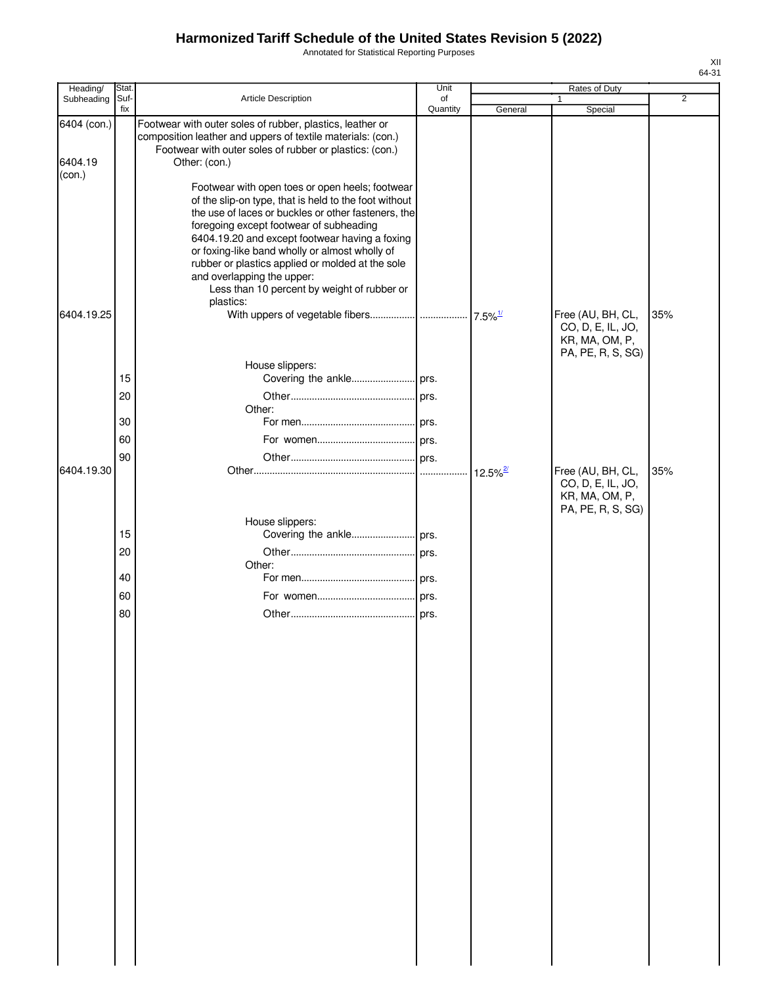Annotated for Statistical Reporting Purposes

| Ί<br>٠ |  |
|--------|--|
|        |  |

| Heading/               | Stat.       |                                                                                                                                                                                                                                                                                                                                                                                                                                                 | Unit           |                        | Rates of Duty                                                                 |                |
|------------------------|-------------|-------------------------------------------------------------------------------------------------------------------------------------------------------------------------------------------------------------------------------------------------------------------------------------------------------------------------------------------------------------------------------------------------------------------------------------------------|----------------|------------------------|-------------------------------------------------------------------------------|----------------|
| Subheading             | Suf-<br>fix | Article Description                                                                                                                                                                                                                                                                                                                                                                                                                             | of<br>Quantity | General                | 1<br>Special                                                                  | $\overline{2}$ |
| 6404 (con.)<br>6404.19 |             | Footwear with outer soles of rubber, plastics, leather or<br>composition leather and uppers of textile materials: (con.)<br>Footwear with outer soles of rubber or plastics: (con.)<br>Other: (con.)                                                                                                                                                                                                                                            |                |                        |                                                                               |                |
| (con.)                 |             | Footwear with open toes or open heels; footwear<br>of the slip-on type, that is held to the foot without<br>the use of laces or buckles or other fasteners, the<br>foregoing except footwear of subheading<br>6404.19.20 and except footwear having a foxing<br>or foxing-like band wholly or almost wholly of<br>rubber or plastics applied or molded at the sole<br>and overlapping the upper:<br>Less than 10 percent by weight of rubber or |                |                        |                                                                               |                |
| 6404.19.25             |             | plastics:                                                                                                                                                                                                                                                                                                                                                                                                                                       |                |                        | Free (AU, BH, CL,<br>CO, D, E, IL, JO,<br>KR, MA, OM, P,<br>PA, PE, R, S, SG) | 35%            |
|                        |             | House slippers:                                                                                                                                                                                                                                                                                                                                                                                                                                 |                |                        |                                                                               |                |
|                        | 15          |                                                                                                                                                                                                                                                                                                                                                                                                                                                 |                |                        |                                                                               |                |
|                        | 20          | Other:                                                                                                                                                                                                                                                                                                                                                                                                                                          |                |                        |                                                                               |                |
|                        | 30          |                                                                                                                                                                                                                                                                                                                                                                                                                                                 |                |                        |                                                                               |                |
|                        | 60          |                                                                                                                                                                                                                                                                                                                                                                                                                                                 |                |                        |                                                                               |                |
| 6404.19.30             | 90          |                                                                                                                                                                                                                                                                                                                                                                                                                                                 |                | $12.5\%$ <sup>2/</sup> | Free (AU, BH, CL,<br>CO, D, E, IL, JO,<br>KR, MA, OM, P,<br>PA, PE, R, S, SG) | 35%            |
|                        |             | House slippers:                                                                                                                                                                                                                                                                                                                                                                                                                                 |                |                        |                                                                               |                |
|                        | 15          |                                                                                                                                                                                                                                                                                                                                                                                                                                                 |                |                        |                                                                               |                |
|                        | 20          |                                                                                                                                                                                                                                                                                                                                                                                                                                                 |                |                        |                                                                               |                |
|                        | 40          | Other:                                                                                                                                                                                                                                                                                                                                                                                                                                          |                |                        |                                                                               |                |
|                        | 60          |                                                                                                                                                                                                                                                                                                                                                                                                                                                 |                |                        |                                                                               |                |
|                        | 80          |                                                                                                                                                                                                                                                                                                                                                                                                                                                 | prs.           |                        |                                                                               |                |
|                        |             |                                                                                                                                                                                                                                                                                                                                                                                                                                                 |                |                        |                                                                               |                |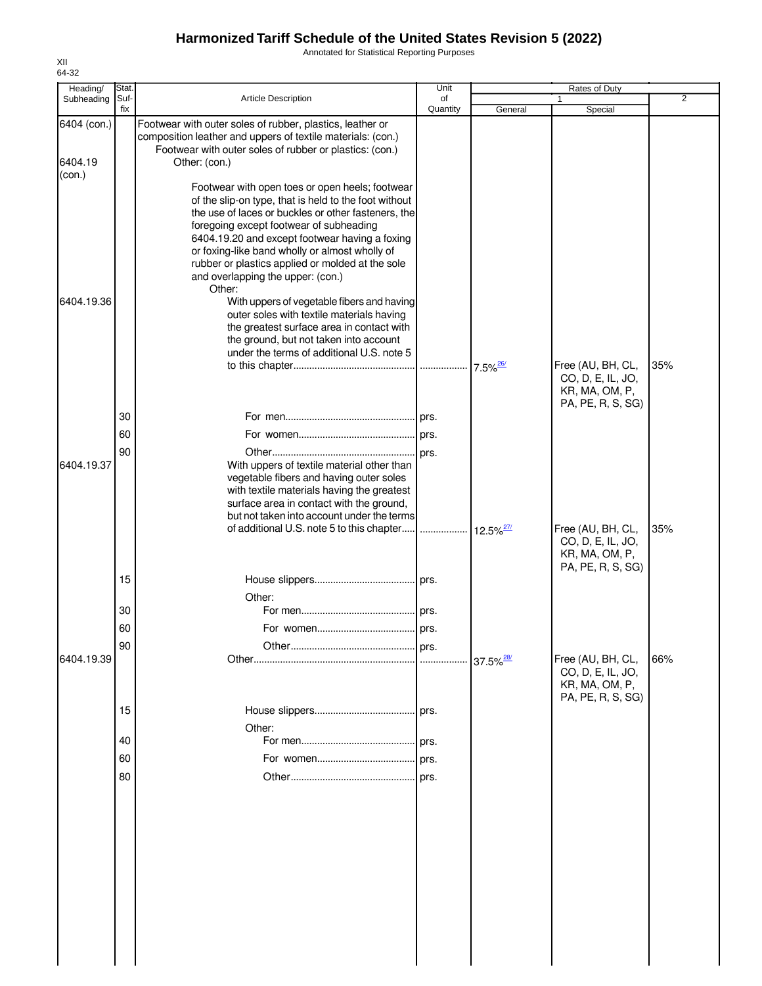Annotated for Statistical Reporting Purposes

| Heading/    | Stat.       |                                                                                                                                                                                                                                                                                                                                                                                                                   | Unit           |                              | Rates of Duty                                                                 |                |
|-------------|-------------|-------------------------------------------------------------------------------------------------------------------------------------------------------------------------------------------------------------------------------------------------------------------------------------------------------------------------------------------------------------------------------------------------------------------|----------------|------------------------------|-------------------------------------------------------------------------------|----------------|
| Subheading  | Suf-<br>fix | <b>Article Description</b>                                                                                                                                                                                                                                                                                                                                                                                        | of<br>Quantity | General                      | Special                                                                       | $\overline{2}$ |
| 6404 (con.) |             | Footwear with outer soles of rubber, plastics, leather or<br>composition leather and uppers of textile materials: (con.)<br>Footwear with outer soles of rubber or plastics: (con.)                                                                                                                                                                                                                               |                |                              |                                                                               |                |
| 6404.19     |             | Other: (con.)                                                                                                                                                                                                                                                                                                                                                                                                     |                |                              |                                                                               |                |
| (con.)      |             |                                                                                                                                                                                                                                                                                                                                                                                                                   |                |                              |                                                                               |                |
|             |             | Footwear with open toes or open heels; footwear<br>of the slip-on type, that is held to the foot without<br>the use of laces or buckles or other fasteners, the<br>foregoing except footwear of subheading<br>6404.19.20 and except footwear having a foxing<br>or foxing-like band wholly or almost wholly of<br>rubber or plastics applied or molded at the sole<br>and overlapping the upper: (con.)<br>Other: |                |                              |                                                                               |                |
| 6404.19.36  |             | With uppers of vegetable fibers and having<br>outer soles with textile materials having<br>the greatest surface area in contact with<br>the ground, but not taken into account                                                                                                                                                                                                                                    |                |                              |                                                                               |                |
|             |             | under the terms of additional U.S. note 5                                                                                                                                                                                                                                                                                                                                                                         |                |                              |                                                                               |                |
|             |             |                                                                                                                                                                                                                                                                                                                                                                                                                   |                |                              | Free (AU, BH, CL,<br>CO, D, E, IL, JO,<br>KR, MA, OM, P,<br>PA, PE, R, S, SG) | 35%            |
|             | 30          |                                                                                                                                                                                                                                                                                                                                                                                                                   |                |                              |                                                                               |                |
|             | 60          |                                                                                                                                                                                                                                                                                                                                                                                                                   |                |                              |                                                                               |                |
| 6404.19.37  | 90          | With uppers of textile material other than<br>vegetable fibers and having outer soles<br>with textile materials having the greatest<br>surface area in contact with the ground,                                                                                                                                                                                                                                   |                |                              |                                                                               |                |
|             |             | but not taken into account under the terms<br>of additional U.S. note 5 to this chapter                                                                                                                                                                                                                                                                                                                           |                | $\cdot$ 12.5% <sup>27/</sup> | Free (AU, BH, CL,<br>CO, D, E, IL, JO,<br>KR, MA, OM, P,                      | 35%            |
|             |             |                                                                                                                                                                                                                                                                                                                                                                                                                   |                |                              | PA, PE, R, S, SG)                                                             |                |
|             | 15          |                                                                                                                                                                                                                                                                                                                                                                                                                   |                |                              |                                                                               |                |
|             |             | Other:                                                                                                                                                                                                                                                                                                                                                                                                            |                |                              |                                                                               |                |
|             | 30          |                                                                                                                                                                                                                                                                                                                                                                                                                   |                |                              |                                                                               |                |
|             | 60          |                                                                                                                                                                                                                                                                                                                                                                                                                   |                |                              |                                                                               |                |
|             | 90          |                                                                                                                                                                                                                                                                                                                                                                                                                   |                |                              |                                                                               |                |
| 6404.19.39  |             |                                                                                                                                                                                                                                                                                                                                                                                                                   |                | $37.5\%$ <sup>28/</sup>      | Free (AU, BH, CL,<br>CO, D, E, IL, JO,<br>KR, MA, OM, P,<br>PA, PE, R, S, SG) | 66%            |
|             | 15          |                                                                                                                                                                                                                                                                                                                                                                                                                   | prs.           |                              |                                                                               |                |
|             |             | Other:                                                                                                                                                                                                                                                                                                                                                                                                            |                |                              |                                                                               |                |
|             | 40          |                                                                                                                                                                                                                                                                                                                                                                                                                   | prs.           |                              |                                                                               |                |
|             | 60          |                                                                                                                                                                                                                                                                                                                                                                                                                   | prs.           |                              |                                                                               |                |
|             | 80          |                                                                                                                                                                                                                                                                                                                                                                                                                   | prs.           |                              |                                                                               |                |
|             |             |                                                                                                                                                                                                                                                                                                                                                                                                                   |                |                              |                                                                               |                |
|             |             |                                                                                                                                                                                                                                                                                                                                                                                                                   |                |                              |                                                                               |                |
|             |             |                                                                                                                                                                                                                                                                                                                                                                                                                   |                |                              |                                                                               |                |
|             |             |                                                                                                                                                                                                                                                                                                                                                                                                                   |                |                              |                                                                               |                |
|             |             |                                                                                                                                                                                                                                                                                                                                                                                                                   |                |                              |                                                                               |                |
|             |             |                                                                                                                                                                                                                                                                                                                                                                                                                   |                |                              |                                                                               |                |
|             |             |                                                                                                                                                                                                                                                                                                                                                                                                                   |                |                              |                                                                               |                |
|             |             |                                                                                                                                                                                                                                                                                                                                                                                                                   |                |                              |                                                                               |                |
|             |             |                                                                                                                                                                                                                                                                                                                                                                                                                   |                |                              |                                                                               |                |
|             |             |                                                                                                                                                                                                                                                                                                                                                                                                                   |                |                              |                                                                               |                |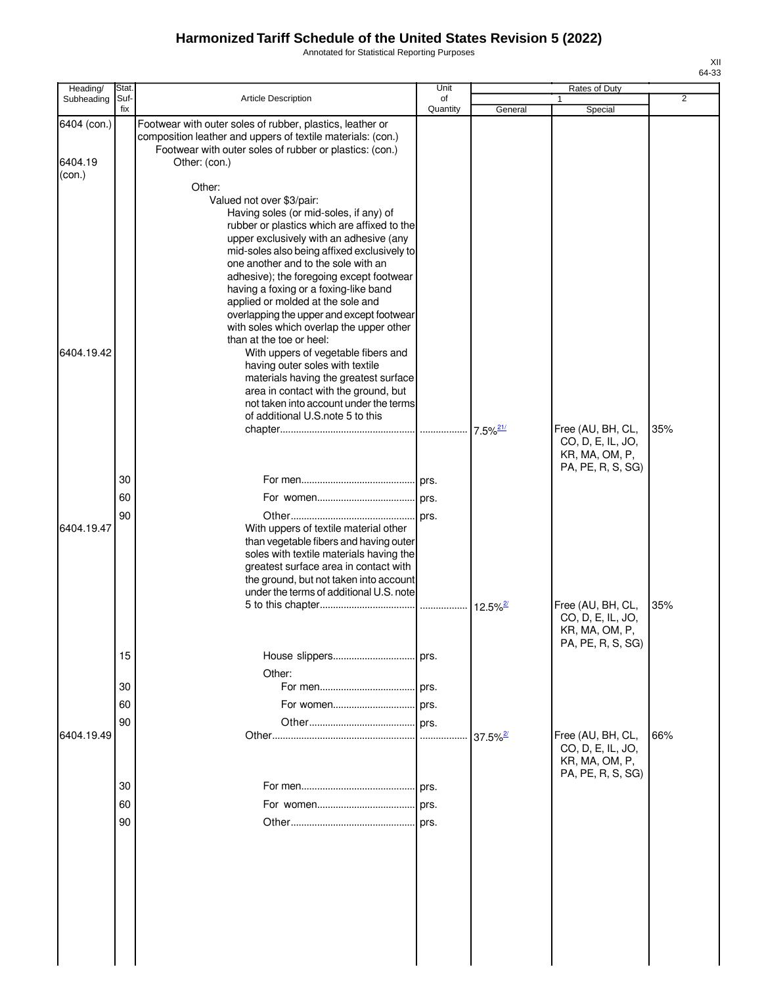Annotated for Statistical Reporting Purposes

| Heading/               | Stat.       |                                                                                                                                                                                                                                                                                                                                                                                                                                                                                                                                                                                                                                                                                                                                              | Unit           |                        | Rates of Duty                                                                 |                |
|------------------------|-------------|----------------------------------------------------------------------------------------------------------------------------------------------------------------------------------------------------------------------------------------------------------------------------------------------------------------------------------------------------------------------------------------------------------------------------------------------------------------------------------------------------------------------------------------------------------------------------------------------------------------------------------------------------------------------------------------------------------------------------------------------|----------------|------------------------|-------------------------------------------------------------------------------|----------------|
| Subheading             | Suf-<br>fix | <b>Article Description</b>                                                                                                                                                                                                                                                                                                                                                                                                                                                                                                                                                                                                                                                                                                                   | of<br>Quantity | General                | 1<br>Special                                                                  | $\overline{2}$ |
| 6404 (con.)<br>6404.19 |             | Footwear with outer soles of rubber, plastics, leather or<br>composition leather and uppers of textile materials: (con.)<br>Footwear with outer soles of rubber or plastics: (con.)<br>Other: (con.)                                                                                                                                                                                                                                                                                                                                                                                                                                                                                                                                         |                |                        |                                                                               |                |
| (con.)                 |             | Other:                                                                                                                                                                                                                                                                                                                                                                                                                                                                                                                                                                                                                                                                                                                                       |                |                        |                                                                               |                |
| 6404.19.42             |             | Valued not over \$3/pair:<br>Having soles (or mid-soles, if any) of<br>rubber or plastics which are affixed to the<br>upper exclusively with an adhesive (any<br>mid-soles also being affixed exclusively to<br>one another and to the sole with an<br>adhesive); the foregoing except footwear<br>having a foxing or a foxing-like band<br>applied or molded at the sole and<br>overlapping the upper and except footwear<br>with soles which overlap the upper other<br>than at the toe or heel:<br>With uppers of vegetable fibers and<br>having outer soles with textile<br>materials having the greatest surface<br>area in contact with the ground, but<br>not taken into account under the terms<br>of additional U.S. note 5 to this |                |                        |                                                                               |                |
|                        |             |                                                                                                                                                                                                                                                                                                                                                                                                                                                                                                                                                                                                                                                                                                                                              |                | $7.5\%$ <sup>21/</sup> | Free (AU, BH, CL,<br>CO, D, E, IL, JO,<br>KR, MA, OM, P,<br>PA, PE, R, S, SG) | 35%            |
|                        | 30          |                                                                                                                                                                                                                                                                                                                                                                                                                                                                                                                                                                                                                                                                                                                                              |                |                        |                                                                               |                |
|                        | 60          |                                                                                                                                                                                                                                                                                                                                                                                                                                                                                                                                                                                                                                                                                                                                              |                |                        |                                                                               |                |
| 6404.19.47             | 90          | With uppers of textile material other<br>than vegetable fibers and having outer<br>soles with textile materials having the<br>greatest surface area in contact with<br>the ground, but not taken into account<br>under the terms of additional U.S. note                                                                                                                                                                                                                                                                                                                                                                                                                                                                                     |                |                        |                                                                               |                |
|                        | 15          |                                                                                                                                                                                                                                                                                                                                                                                                                                                                                                                                                                                                                                                                                                                                              |                | $12.5\%$ <sup>2/</sup> | Free (AU, BH, CL,<br>CO, D, E, IL, JO,<br>KR, MA, OM, P,<br>PA, PE, R, S, SG) | 35%            |
|                        |             | Other:                                                                                                                                                                                                                                                                                                                                                                                                                                                                                                                                                                                                                                                                                                                                       |                |                        |                                                                               |                |
|                        | 30          |                                                                                                                                                                                                                                                                                                                                                                                                                                                                                                                                                                                                                                                                                                                                              |                |                        |                                                                               |                |
|                        | 60          |                                                                                                                                                                                                                                                                                                                                                                                                                                                                                                                                                                                                                                                                                                                                              |                |                        |                                                                               |                |
| 6404.19.49             | 90          |                                                                                                                                                                                                                                                                                                                                                                                                                                                                                                                                                                                                                                                                                                                                              |                | $37.5\%$ <sup>2</sup>  | Free (AU, BH, CL,<br>CO, D, E, IL, JO,<br>KR, MA, OM, P,                      | 66%            |
|                        | 30          |                                                                                                                                                                                                                                                                                                                                                                                                                                                                                                                                                                                                                                                                                                                                              |                |                        | PA, PE, R, S, SG)                                                             |                |
|                        | 60          |                                                                                                                                                                                                                                                                                                                                                                                                                                                                                                                                                                                                                                                                                                                                              |                |                        |                                                                               |                |
|                        | 90          |                                                                                                                                                                                                                                                                                                                                                                                                                                                                                                                                                                                                                                                                                                                                              |                |                        |                                                                               |                |
|                        |             |                                                                                                                                                                                                                                                                                                                                                                                                                                                                                                                                                                                                                                                                                                                                              |                |                        |                                                                               |                |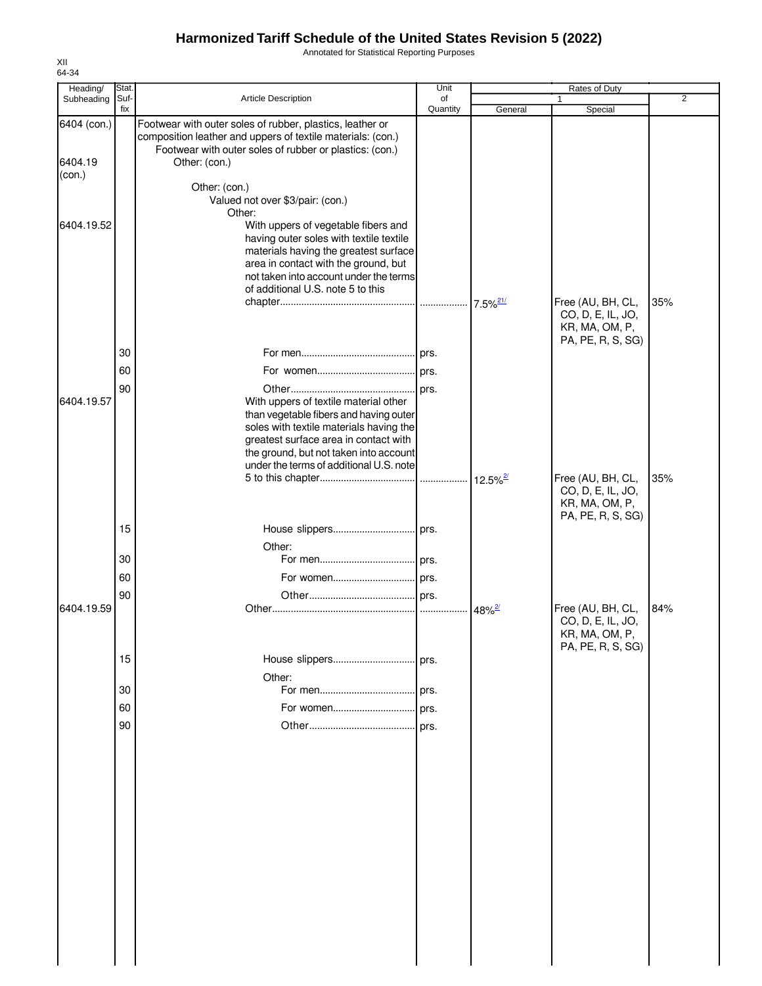Annotated for Statistical Reporting Purposes

| Heading/<br>Subheading | Stat.<br>Suf- | Article Description                                                                                                                                                                                                                            | Unit<br>of |                      | Rates of Duty<br>1                                                            | $\overline{2}$ |
|------------------------|---------------|------------------------------------------------------------------------------------------------------------------------------------------------------------------------------------------------------------------------------------------------|------------|----------------------|-------------------------------------------------------------------------------|----------------|
|                        | fix           |                                                                                                                                                                                                                                                | Quantity   | General              | Special                                                                       |                |
| 6404 (con.)            |               | Footwear with outer soles of rubber, plastics, leather or<br>composition leather and uppers of textile materials: (con.)<br>Footwear with outer soles of rubber or plastics: (con.)                                                            |            |                      |                                                                               |                |
| 6404.19<br>(con.)      |               | Other: (con.)                                                                                                                                                                                                                                  |            |                      |                                                                               |                |
|                        |               | Other: (con.)<br>Valued not over \$3/pair: (con.)                                                                                                                                                                                              |            |                      |                                                                               |                |
|                        |               | Other:                                                                                                                                                                                                                                         |            |                      |                                                                               |                |
| 6404.19.52             |               | With uppers of vegetable fibers and<br>having outer soles with textile textile<br>materials having the greatest surface<br>area in contact with the ground, but<br>not taken into account under the terms<br>of additional U.S. note 5 to this |            |                      |                                                                               |                |
|                        |               |                                                                                                                                                                                                                                                |            |                      | Free (AU, BH, CL,<br>CO, D, E, IL, JO,<br>KR, MA, OM, P,                      | 35%            |
|                        | 30            |                                                                                                                                                                                                                                                |            |                      | PA, PE, R, S, SG)                                                             |                |
|                        | 60            |                                                                                                                                                                                                                                                |            |                      |                                                                               |                |
|                        | 90            |                                                                                                                                                                                                                                                |            |                      |                                                                               |                |
| 6404.19.57             |               | With uppers of textile material other<br>than vegetable fibers and having outer<br>soles with textile materials having the<br>greatest surface area in contact with                                                                            |            |                      |                                                                               |                |
|                        |               | the ground, but not taken into account<br>under the terms of additional U.S. note                                                                                                                                                              |            |                      |                                                                               |                |
|                        |               |                                                                                                                                                                                                                                                |            |                      | Free (AU, BH, CL,<br>CO, D, E, IL, JO,<br>KR, MA, OM, P,<br>PA, PE, R, S, SG) | 35%            |
|                        | 15            |                                                                                                                                                                                                                                                |            |                      |                                                                               |                |
|                        |               | Other:                                                                                                                                                                                                                                         |            |                      |                                                                               |                |
|                        | 30            |                                                                                                                                                                                                                                                |            |                      |                                                                               |                |
|                        | 60            |                                                                                                                                                                                                                                                |            |                      |                                                                               |                |
| 6404.19.59             | 90            |                                                                                                                                                                                                                                                |            | $48\%$ <sup>2/</sup> | Free (AU, BH, CL,<br>CO, D, E, IL, JO,<br>KR, MA, OM, P,<br>PA, PE, R, S, SG) | 84%            |
|                        | 15            |                                                                                                                                                                                                                                                |            |                      |                                                                               |                |
|                        |               | Other:                                                                                                                                                                                                                                         |            |                      |                                                                               |                |
|                        | 30            |                                                                                                                                                                                                                                                | l prs.     |                      |                                                                               |                |
|                        | 60            | For women prs.                                                                                                                                                                                                                                 |            |                      |                                                                               |                |
|                        | 90            |                                                                                                                                                                                                                                                | prs.       |                      |                                                                               |                |
|                        |               |                                                                                                                                                                                                                                                |            |                      |                                                                               |                |
|                        |               |                                                                                                                                                                                                                                                |            |                      |                                                                               |                |
|                        |               |                                                                                                                                                                                                                                                |            |                      |                                                                               |                |
|                        |               |                                                                                                                                                                                                                                                |            |                      |                                                                               |                |
|                        |               |                                                                                                                                                                                                                                                |            |                      |                                                                               |                |
|                        |               |                                                                                                                                                                                                                                                |            |                      |                                                                               |                |
|                        |               |                                                                                                                                                                                                                                                |            |                      |                                                                               |                |
|                        |               |                                                                                                                                                                                                                                                |            |                      |                                                                               |                |

XII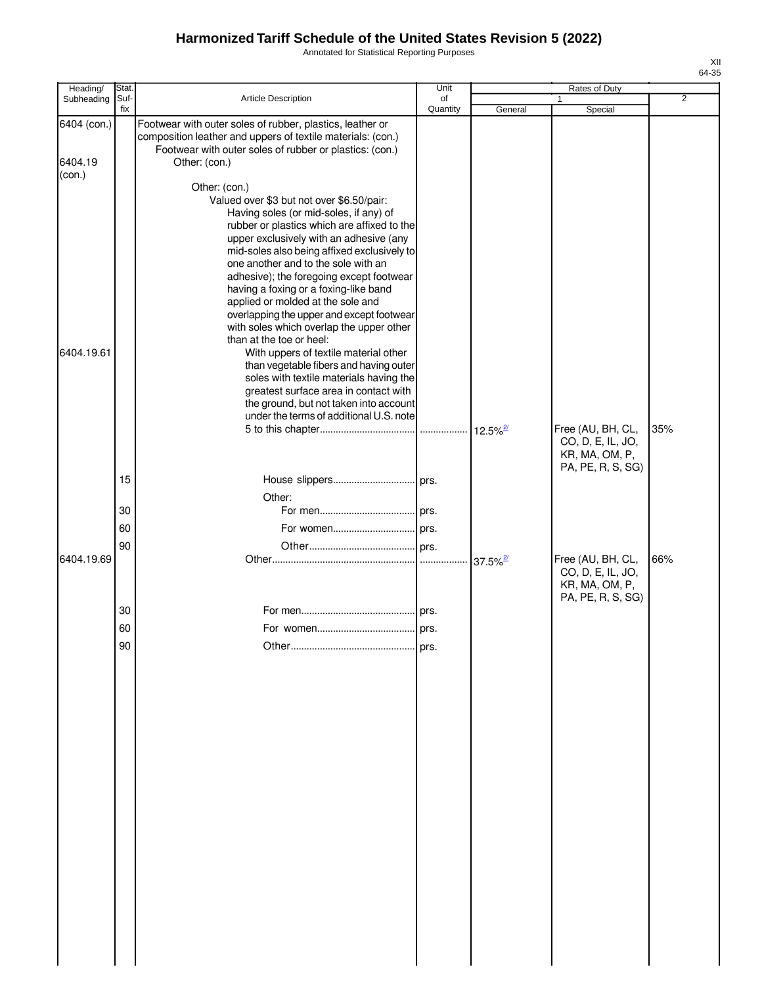Annotated for Statistical Reporting Purposes

| Heading/                         | Stat.       |                                                                                                                                                                                                                                                                                                                                                                                                                                                                                                                                                                                                                                                                                                                                                                                                 | Unit           |         | Rates of Duty                                            |                |
|----------------------------------|-------------|-------------------------------------------------------------------------------------------------------------------------------------------------------------------------------------------------------------------------------------------------------------------------------------------------------------------------------------------------------------------------------------------------------------------------------------------------------------------------------------------------------------------------------------------------------------------------------------------------------------------------------------------------------------------------------------------------------------------------------------------------------------------------------------------------|----------------|---------|----------------------------------------------------------|----------------|
| Subheading                       | Suf-<br>fix | Article Description                                                                                                                                                                                                                                                                                                                                                                                                                                                                                                                                                                                                                                                                                                                                                                             | of<br>Quantity | General | 1<br>Special                                             | $\overline{2}$ |
| 6404 (con.)<br>6404.19<br>(con.) |             | Footwear with outer soles of rubber, plastics, leather or<br>composition leather and uppers of textile materials: (con.)<br>Footwear with outer soles of rubber or plastics: (con.)<br>Other: (con.)                                                                                                                                                                                                                                                                                                                                                                                                                                                                                                                                                                                            |                |         |                                                          |                |
| 6404.19.61                       |             | Other: (con.)<br>Valued over \$3 but not over \$6.50/pair:<br>Having soles (or mid-soles, if any) of<br>rubber or plastics which are affixed to the<br>upper exclusively with an adhesive (any<br>mid-soles also being affixed exclusively to<br>one another and to the sole with an<br>adhesive); the foregoing except footwear<br>having a foxing or a foxing-like band<br>applied or molded at the sole and<br>overlapping the upper and except footwear<br>with soles which overlap the upper other<br>than at the toe or heel:<br>With uppers of textile material other<br>than vegetable fibers and having outer<br>soles with textile materials having the<br>greatest surface area in contact with<br>the ground, but not taken into account<br>under the terms of additional U.S. note |                |         | Free (AU, BH, CL,                                        | 35%            |
|                                  | 15          |                                                                                                                                                                                                                                                                                                                                                                                                                                                                                                                                                                                                                                                                                                                                                                                                 |                |         | CO, D, E, IL, JO,<br>KR, MA, OM, P,<br>PA, PE, R, S, SG) |                |
|                                  | 30          | Other:                                                                                                                                                                                                                                                                                                                                                                                                                                                                                                                                                                                                                                                                                                                                                                                          |                |         |                                                          |                |
|                                  | 60          |                                                                                                                                                                                                                                                                                                                                                                                                                                                                                                                                                                                                                                                                                                                                                                                                 |                |         |                                                          |                |
|                                  | 90          |                                                                                                                                                                                                                                                                                                                                                                                                                                                                                                                                                                                                                                                                                                                                                                                                 |                |         |                                                          |                |
| 6404.19.69                       |             |                                                                                                                                                                                                                                                                                                                                                                                                                                                                                                                                                                                                                                                                                                                                                                                                 |                |         | Free (AU, BH, CL,<br>CO, D, E, IL, JO,<br>KR, MA, OM, P, | 66%            |
|                                  | 30          |                                                                                                                                                                                                                                                                                                                                                                                                                                                                                                                                                                                                                                                                                                                                                                                                 |                |         | PA, PE, R, S, SG)                                        |                |
|                                  | 60          |                                                                                                                                                                                                                                                                                                                                                                                                                                                                                                                                                                                                                                                                                                                                                                                                 |                |         |                                                          |                |
|                                  | 90          |                                                                                                                                                                                                                                                                                                                                                                                                                                                                                                                                                                                                                                                                                                                                                                                                 | prs.           |         |                                                          |                |
|                                  |             |                                                                                                                                                                                                                                                                                                                                                                                                                                                                                                                                                                                                                                                                                                                                                                                                 |                |         |                                                          |                |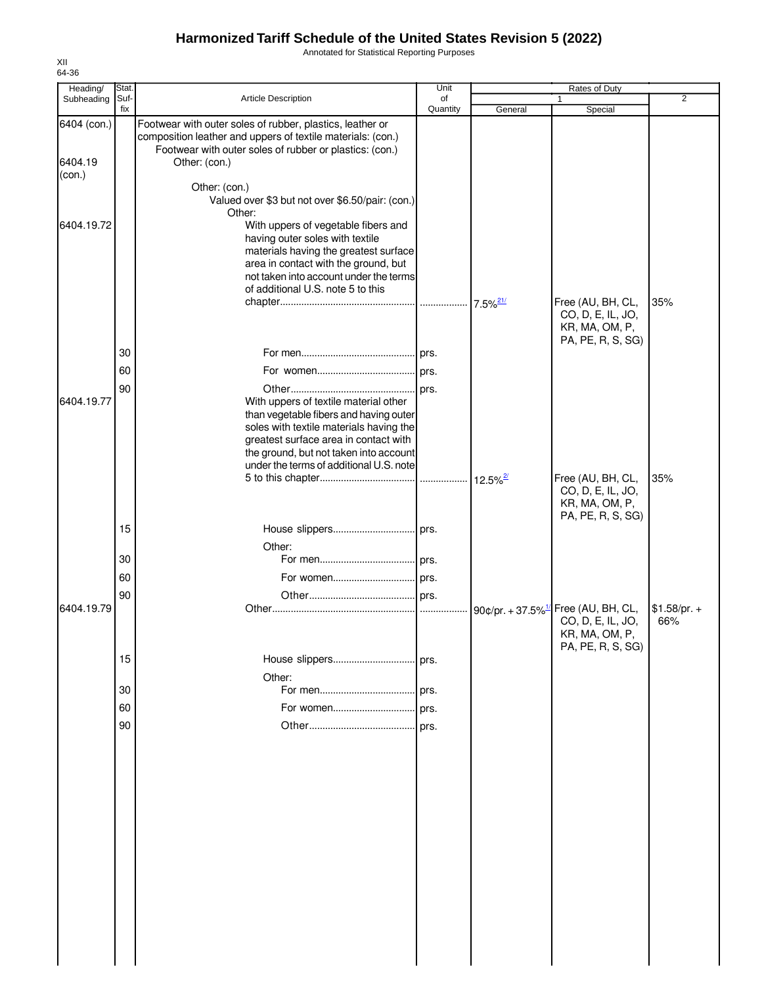Annotated for Statistical Reporting Purposes

| Heading/               | Stat.       |                                                                                                                                                                                                                                                          | Unit           |                        | Rates of Duty                                                                                               |                      |
|------------------------|-------------|----------------------------------------------------------------------------------------------------------------------------------------------------------------------------------------------------------------------------------------------------------|----------------|------------------------|-------------------------------------------------------------------------------------------------------------|----------------------|
| Subheading             | Suf-<br>fix | Article Description                                                                                                                                                                                                                                      | of<br>Quantity | General                | $\mathbf{1}$<br>Special                                                                                     | $\overline{2}$       |
| 6404 (con.)<br>6404.19 |             | Footwear with outer soles of rubber, plastics, leather or<br>composition leather and uppers of textile materials: (con.)<br>Footwear with outer soles of rubber or plastics: (con.)<br>Other: (con.)                                                     |                |                        |                                                                                                             |                      |
| (con.)                 |             | Other: (con.)<br>Valued over \$3 but not over \$6.50/pair: (con.)<br>Other:                                                                                                                                                                              |                |                        |                                                                                                             |                      |
| 6404.19.72             |             | With uppers of vegetable fibers and<br>having outer soles with textile<br>materials having the greatest surface<br>area in contact with the ground, but<br>not taken into account under the terms<br>of additional U.S. note 5 to this                   |                | $7.5\%$ <sup>21/</sup> | Free (AU, BH, CL,                                                                                           | 35%                  |
|                        |             |                                                                                                                                                                                                                                                          |                |                        | CO, D, E, IL, JO,<br>KR, MA, OM, P,<br>PA, PE, R, S, SG)                                                    |                      |
|                        | 30          |                                                                                                                                                                                                                                                          |                |                        |                                                                                                             |                      |
|                        | 60          |                                                                                                                                                                                                                                                          |                |                        |                                                                                                             |                      |
| 6404.19.77             | 90          | With uppers of textile material other<br>than vegetable fibers and having outer<br>soles with textile materials having the<br>greatest surface area in contact with<br>the ground, but not taken into account<br>under the terms of additional U.S. note |                |                        |                                                                                                             |                      |
|                        |             |                                                                                                                                                                                                                                                          |                | $12.5\%$ <sup>2/</sup> | Free (AU, BH, CL,                                                                                           | 35%                  |
|                        |             |                                                                                                                                                                                                                                                          |                |                        | CO, D, E, IL, JO,<br>KR, MA, OM, P,<br>PA, PE, R, S, SG)                                                    |                      |
|                        | 15          |                                                                                                                                                                                                                                                          |                |                        |                                                                                                             |                      |
|                        | 30          | Other:                                                                                                                                                                                                                                                   |                |                        |                                                                                                             |                      |
|                        | 60          |                                                                                                                                                                                                                                                          |                |                        |                                                                                                             |                      |
|                        | 90          |                                                                                                                                                                                                                                                          |                |                        |                                                                                                             |                      |
| 6404.19.79             |             |                                                                                                                                                                                                                                                          |                |                        | 90¢/pr. + 37.5% <sup>1/</sup> Free (AU, BH, CL,<br>CO, D, E, IL, JO,<br>KR, MA, OM, P,<br>PA, PE, R, S, SG) | $$1.58/pr. +$<br>66% |
|                        | 15          |                                                                                                                                                                                                                                                          |                |                        |                                                                                                             |                      |
|                        |             | Other:                                                                                                                                                                                                                                                   |                |                        |                                                                                                             |                      |
|                        | 30          |                                                                                                                                                                                                                                                          |                |                        |                                                                                                             |                      |
|                        | 60          |                                                                                                                                                                                                                                                          |                |                        |                                                                                                             |                      |
|                        | 90          |                                                                                                                                                                                                                                                          |                |                        |                                                                                                             |                      |
|                        |             |                                                                                                                                                                                                                                                          |                |                        |                                                                                                             |                      |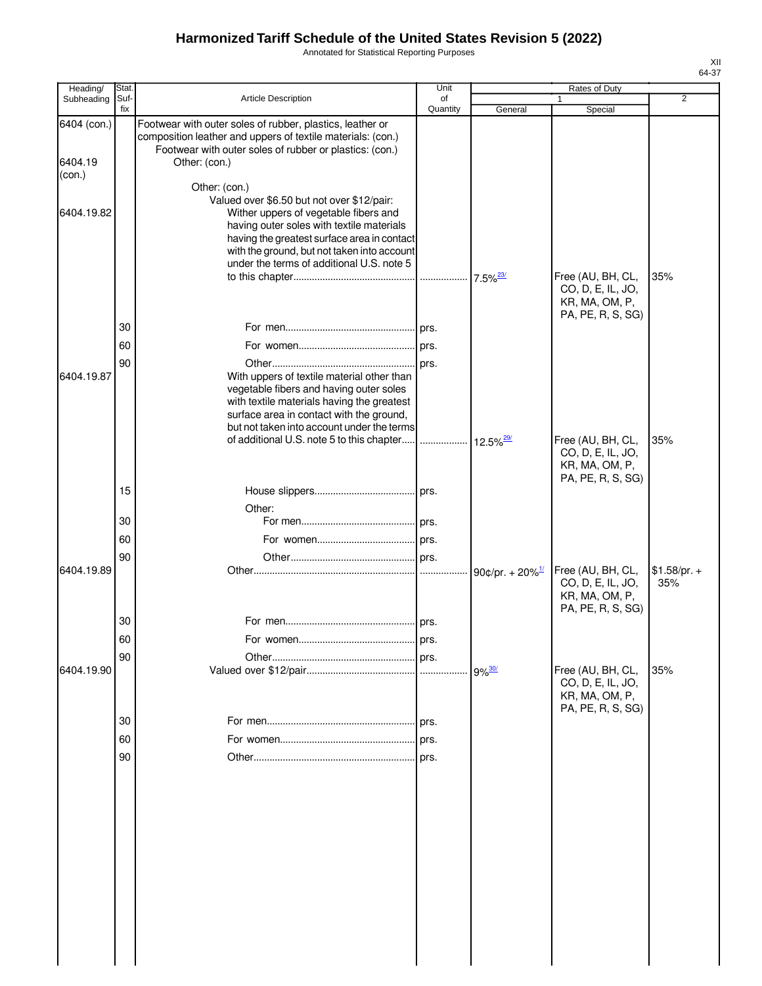Annotated for Statistical Reporting Purposes

| Heading/    | Stat. |                                                                                                                                                                                     | Unit     |                                | Rates of Duty                                                                 |                      |
|-------------|-------|-------------------------------------------------------------------------------------------------------------------------------------------------------------------------------------|----------|--------------------------------|-------------------------------------------------------------------------------|----------------------|
| Subheading  | Suf-  | Article Description                                                                                                                                                                 | of       |                                | 1                                                                             | $\overline{2}$       |
| 6404 (con.) | fix   | Footwear with outer soles of rubber, plastics, leather or<br>composition leather and uppers of textile materials: (con.)<br>Footwear with outer soles of rubber or plastics: (con.) | Quantity | General                        | Special                                                                       |                      |
| 6404.19     |       | Other: (con.)                                                                                                                                                                       |          |                                |                                                                               |                      |
| (con.)      |       |                                                                                                                                                                                     |          |                                |                                                                               |                      |
|             |       | Other: (con.)                                                                                                                                                                       |          |                                |                                                                               |                      |
| 6404.19.82  |       | Valued over \$6.50 but not over \$12/pair:<br>Wither uppers of vegetable fibers and<br>having outer soles with textile materials<br>having the greatest surface area in contact     |          |                                |                                                                               |                      |
|             |       | with the ground, but not taken into account<br>under the terms of additional U.S. note 5                                                                                            |          |                                |                                                                               |                      |
|             |       |                                                                                                                                                                                     |          | $7.5\%$ <sup>23/</sup>         | Free (AU, BH, CL,<br>CO, D, E, IL, JO,<br>KR, MA, OM, P,<br>PA, PE, R, S, SG) | 35%                  |
|             | 30    |                                                                                                                                                                                     |          |                                |                                                                               |                      |
|             | 60    |                                                                                                                                                                                     |          |                                |                                                                               |                      |
|             | 90    |                                                                                                                                                                                     |          |                                |                                                                               |                      |
| 6404.19.87  |       | With uppers of textile material other than                                                                                                                                          |          |                                |                                                                               |                      |
|             |       | vegetable fibers and having outer soles                                                                                                                                             |          |                                |                                                                               |                      |
|             |       | with textile materials having the greatest                                                                                                                                          |          |                                |                                                                               |                      |
|             |       | surface area in contact with the ground,                                                                                                                                            |          |                                |                                                                               |                      |
|             |       | but not taken into account under the terms<br>of additional U.S. note 5 to this chapter                                                                                             |          |                                | Free (AU, BH, CL,                                                             | 35%                  |
|             |       |                                                                                                                                                                                     |          | $12.5\%$ <sup>29/</sup>        | CO, D, E, IL, JO,<br>KR, MA, OM, P,<br>PA, PE, R, S, SG)                      |                      |
|             | 15    |                                                                                                                                                                                     |          |                                |                                                                               |                      |
|             |       | Other:                                                                                                                                                                              |          |                                |                                                                               |                      |
|             | 30    |                                                                                                                                                                                     |          |                                |                                                                               |                      |
|             | 60    |                                                                                                                                                                                     |          |                                |                                                                               |                      |
|             | 90    |                                                                                                                                                                                     |          |                                |                                                                               |                      |
| 6404.19.89  |       |                                                                                                                                                                                     |          | 90¢/pr. + $20\%$ <sup>1/</sup> | Free (AU, BH, CL,<br>CO, D, E, IL, JO,<br>KR, MA, OM, P,<br>PA, PE, R, S, SG) | $$1.58/pr. +$<br>35% |
|             | 30    |                                                                                                                                                                                     |          |                                |                                                                               |                      |
|             | 60    |                                                                                                                                                                                     |          |                                |                                                                               |                      |
|             | 90    |                                                                                                                                                                                     |          |                                |                                                                               |                      |
| 6404.19.90  |       |                                                                                                                                                                                     |          | $9\%$ <sup>30/</sup>           | Free (AU, BH, CL,<br>CO, D, E, IL, JO,                                        | 35%                  |
|             |       |                                                                                                                                                                                     |          |                                | KR, MA, OM, P,                                                                |                      |
|             |       |                                                                                                                                                                                     |          |                                | PA, PE, R, S, SG)                                                             |                      |
|             | 30    |                                                                                                                                                                                     |          |                                |                                                                               |                      |
|             | 60    |                                                                                                                                                                                     | prs.     |                                |                                                                               |                      |
|             | 90    |                                                                                                                                                                                     |          |                                |                                                                               |                      |
|             |       |                                                                                                                                                                                     |          |                                |                                                                               |                      |
|             |       |                                                                                                                                                                                     |          |                                |                                                                               |                      |
|             |       |                                                                                                                                                                                     |          |                                |                                                                               |                      |
|             |       |                                                                                                                                                                                     |          |                                |                                                                               |                      |
|             |       |                                                                                                                                                                                     |          |                                |                                                                               |                      |
|             |       |                                                                                                                                                                                     |          |                                |                                                                               |                      |
|             |       |                                                                                                                                                                                     |          |                                |                                                                               |                      |
|             |       |                                                                                                                                                                                     |          |                                |                                                                               |                      |
|             |       |                                                                                                                                                                                     |          |                                |                                                                               |                      |
|             |       |                                                                                                                                                                                     |          |                                |                                                                               |                      |
|             |       |                                                                                                                                                                                     |          |                                |                                                                               |                      |
|             |       |                                                                                                                                                                                     |          |                                |                                                                               |                      |
|             |       |                                                                                                                                                                                     |          |                                |                                                                               |                      |
|             |       |                                                                                                                                                                                     |          |                                |                                                                               |                      |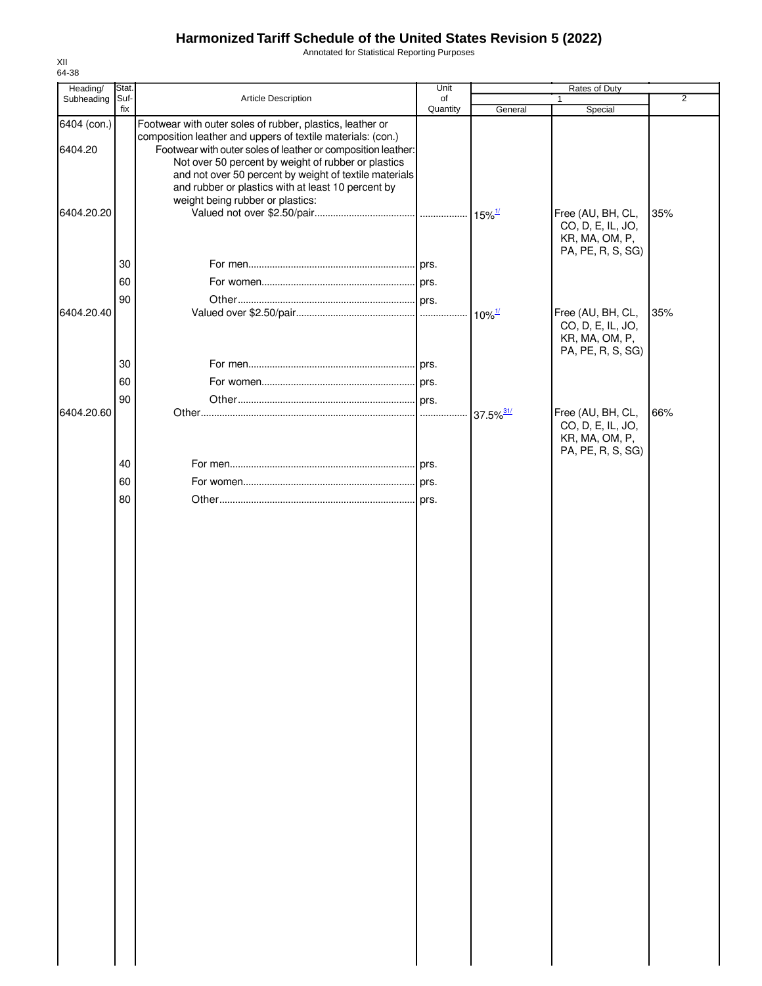Annotated for Statistical Reporting Purposes

| Heading/               | Stat.       |                                                                                                                                                                                                                                                                                                                                                                                                     | Unit           |                         | Rates of Duty                                                                 |                |
|------------------------|-------------|-----------------------------------------------------------------------------------------------------------------------------------------------------------------------------------------------------------------------------------------------------------------------------------------------------------------------------------------------------------------------------------------------------|----------------|-------------------------|-------------------------------------------------------------------------------|----------------|
| Subheading             | Suf-<br>fix | Article Description                                                                                                                                                                                                                                                                                                                                                                                 | of<br>Quantity | General                 | 1<br>Special                                                                  | $\overline{2}$ |
| 6404 (con.)<br>6404.20 |             | Footwear with outer soles of rubber, plastics, leather or<br>composition leather and uppers of textile materials: (con.)<br>Footwear with outer soles of leather or composition leather:<br>Not over 50 percent by weight of rubber or plastics<br>and not over 50 percent by weight of textile materials<br>and rubber or plastics with at least 10 percent by<br>weight being rubber or plastics: |                |                         |                                                                               |                |
| 6404.20.20             | 30          |                                                                                                                                                                                                                                                                                                                                                                                                     |                |                         | Free (AU, BH, CL,<br>CO, D, E, IL, JO,<br>KR, MA, OM, P,<br>PA, PE, R, S, SG) | 35%            |
|                        | 60          |                                                                                                                                                                                                                                                                                                                                                                                                     |                |                         |                                                                               |                |
| 6404.20.40             | 90          |                                                                                                                                                                                                                                                                                                                                                                                                     |                | $10\%$ <sup>1/</sup>    | Free (AU, BH, CL,<br>CO, D, E, IL, JO,<br>KR, MA, OM, P,<br>PA, PE, R, S, SG) | 35%            |
|                        | 30          |                                                                                                                                                                                                                                                                                                                                                                                                     |                |                         |                                                                               |                |
|                        | 60          |                                                                                                                                                                                                                                                                                                                                                                                                     |                |                         |                                                                               |                |
|                        | 90          |                                                                                                                                                                                                                                                                                                                                                                                                     |                |                         |                                                                               |                |
| 6404.20.60             |             |                                                                                                                                                                                                                                                                                                                                                                                                     |                | $37.5\%$ <sup>31/</sup> | Free (AU, BH, CL,<br>CO, D, E, IL, JO,<br>KR, MA, OM, P,<br>PA, PE, R, S, SG) | 66%            |
|                        | 40          |                                                                                                                                                                                                                                                                                                                                                                                                     |                |                         |                                                                               |                |
|                        | 60          |                                                                                                                                                                                                                                                                                                                                                                                                     |                |                         |                                                                               |                |
|                        | 80          |                                                                                                                                                                                                                                                                                                                                                                                                     |                |                         |                                                                               |                |
|                        |             |                                                                                                                                                                                                                                                                                                                                                                                                     |                |                         |                                                                               |                |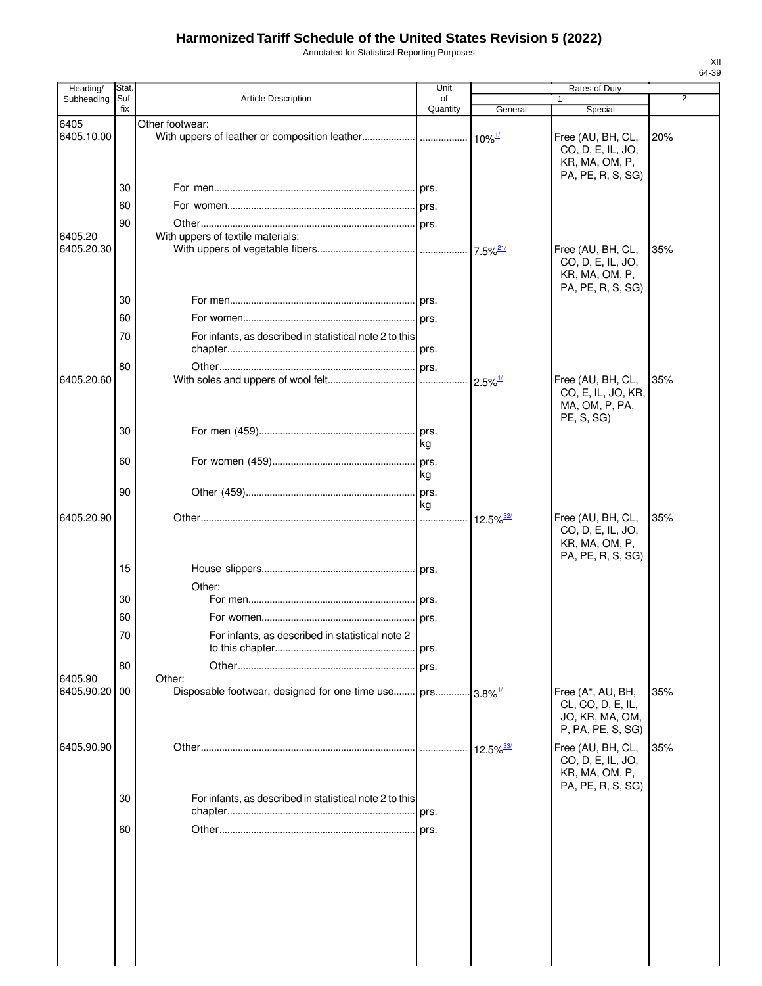Annotated for Statistical Reporting Purposes

| Heading/              | Stat        |                                                                       | Unit           |                         | <b>Rates of Duty</b>                                                           |                |
|-----------------------|-------------|-----------------------------------------------------------------------|----------------|-------------------------|--------------------------------------------------------------------------------|----------------|
| Subheading            | Suf-<br>fix | <b>Article Description</b>                                            | of<br>Quantity | General                 | 1<br>Special                                                                   | $\overline{2}$ |
| 6405<br>6405.10.00    |             | Other footwear:                                                       |                | $10\%$ <sup>1/</sup>    | Free (AU, BH, CL,<br>CO, D, E, IL, JO,<br>KR, MA, OM, P,<br>PA, PE, R, S, SG)  | 20%            |
|                       | 30          |                                                                       |                |                         |                                                                                |                |
|                       | 60          |                                                                       |                |                         |                                                                                |                |
|                       | 90          |                                                                       |                |                         |                                                                                |                |
| 6405.20<br>6405.20.30 |             | With uppers of textile materials:                                     |                | $7.5\%$ <sup>21/</sup>  | Free (AU, BH, CL,<br>CO, D, E, IL, JO,<br>KR, MA, OM, P,<br>PA, PE, R, S, SG)  | 35%            |
|                       | 30          |                                                                       |                |                         |                                                                                |                |
|                       | 60          |                                                                       |                |                         |                                                                                |                |
|                       | 70          | For infants, as described in statistical note 2 to this               |                |                         |                                                                                |                |
|                       | 80          |                                                                       |                |                         |                                                                                |                |
| 6405.20.60            |             |                                                                       |                | $2.5\%$ <sup>1/</sup>   | Free (AU, BH, CL,<br>CO, E, IL, JO, KR,<br>MA, OM, P, PA,<br>PE, S, SG)        | 35%            |
|                       | 30          |                                                                       | kg             |                         |                                                                                |                |
|                       | 60          |                                                                       | kg             |                         |                                                                                |                |
|                       | 90          |                                                                       | prs.<br>kg     |                         |                                                                                |                |
| 6405.20.90            |             |                                                                       |                | $12.5\%$ <sup>32/</sup> | Free (AU, BH, CL,<br>CO, D, E, IL, JO,<br>KR, MA, OM, P,                       | 35%            |
|                       | 15          |                                                                       |                |                         | PA, PE, R, S, SG)                                                              |                |
|                       |             | Other:                                                                |                |                         |                                                                                |                |
|                       | 30          |                                                                       |                |                         |                                                                                |                |
|                       | 60          |                                                                       |                |                         |                                                                                |                |
|                       | 70          | For infants, as described in statistical note 2                       |                |                         |                                                                                |                |
| 6405.90               | 80          | Other:                                                                |                |                         |                                                                                |                |
| 6405.90.20            | 00          | Disposable footwear, designed for one-time use prs 3.8% <sup>1/</sup> |                |                         | Free (A*, AU, BH,<br>CL, CO, D, E, IL,<br>JO, KR, MA, OM,<br>P, PA, PE, S, SG) | 35%            |
| 6405.90.90            |             |                                                                       |                | $12.5\%$ <sup>33/</sup> | Free (AU, BH, CL,<br>CO, D, E, IL, JO,<br>KR, MA, OM, P,<br>PA, PE, R, S, SG)  | 35%            |
|                       | 30          | For infants, as described in statistical note 2 to this               |                |                         |                                                                                |                |
|                       | 60          |                                                                       |                |                         |                                                                                |                |
|                       |             |                                                                       |                |                         |                                                                                |                |
|                       |             |                                                                       |                |                         |                                                                                |                |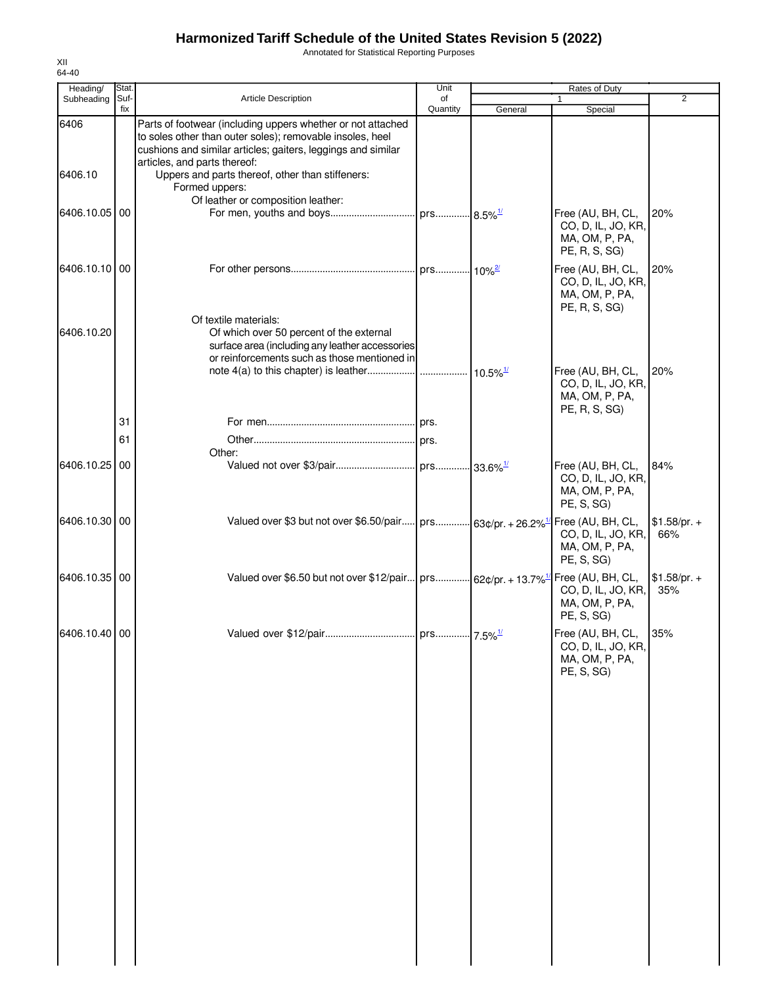Annotated for Statistical Reporting Purposes

| Heading/      | Stat.       |                                                                                                                                                                                                                          | Unit           |                        | <b>Rates of Duty</b>                                                        |                      |
|---------------|-------------|--------------------------------------------------------------------------------------------------------------------------------------------------------------------------------------------------------------------------|----------------|------------------------|-----------------------------------------------------------------------------|----------------------|
| Subheading    | Suf-<br>fix | Article Description                                                                                                                                                                                                      | of<br>Quantity | General                | $\mathbf{1}$<br>Special                                                     | $\overline{2}$       |
| 6406          |             | Parts of footwear (including uppers whether or not attached<br>to soles other than outer soles); removable insoles, heel<br>cushions and similar articles; gaiters, leggings and similar<br>articles, and parts thereof: |                |                        |                                                                             |                      |
| 6406.10       |             | Uppers and parts thereof, other than stiffeners:<br>Formed uppers:<br>Of leather or composition leather:                                                                                                                 |                |                        |                                                                             |                      |
| 6406.10.05 00 |             |                                                                                                                                                                                                                          |                |                        | Free (AU, BH, CL,<br>CO, D, IL, JO, KR,<br>MA, OM, P, PA,<br>PE, R, S, SG)  | 20%                  |
| 6406.10.10 00 |             |                                                                                                                                                                                                                          |                |                        | Free (AU, BH, CL,<br>CO, D, IL, JO, KR,<br>MA, OM, P, PA,<br>PE, R, S, SG)  | 20%                  |
| 6406.10.20    |             | Of textile materials:<br>Of which over 50 percent of the external<br>surface area (including any leather accessories<br>or reinforcements such as those mentioned in                                                     |                |                        |                                                                             |                      |
|               | 31          |                                                                                                                                                                                                                          |                | $10.5\%$ <sup>1/</sup> | Free (AU, BH, CL,<br>CO, D, IL, JO, KR,<br>MA, OM, P, PA,<br>PE, R, S, SG)  | 20%                  |
|               | 61          |                                                                                                                                                                                                                          |                |                        |                                                                             |                      |
| 6406.10.25 00 |             | Other:                                                                                                                                                                                                                   |                |                        | Free (AU, BH, CL,<br>CO, D, IL, JO, KR,<br>MA, OM, P, PA,<br>PE, S, SG)     | 84%                  |
| 6406.10.30 00 |             | Valued over \$3 but not over \$6.50/pair prs 63¢/pr. + 26.2% <sup>1/</sup>                                                                                                                                               |                |                        | Free (AU, BH, CL,<br>CO, D, IL, JO, KR,<br>MA, OM, P, PA,<br>PE, S, SG)     | $$1.58/pr. +$<br>66% |
| 6406.10.35 00 |             | Valued over \$6.50 but not over \$12/pair   prs 62¢/pr. + 13.7% <sup>1/1</sup>                                                                                                                                           |                |                        | Free (AU, BH, CL,<br>CO, D, IL, JO, KR,<br>MA, OM, P, PA,<br>PE, S, SG)     | $$1.58/pr. +$<br>35% |
| 6406.10.40 00 |             |                                                                                                                                                                                                                          |                |                        | Free (AU, BH, CL, 35%<br>CO, D, IL, JO, KR,<br>MA, OM, P, PA,<br>PE, S, SG) |                      |
|               |             |                                                                                                                                                                                                                          |                |                        |                                                                             |                      |
|               |             |                                                                                                                                                                                                                          |                |                        |                                                                             |                      |
|               |             |                                                                                                                                                                                                                          |                |                        |                                                                             |                      |
|               |             |                                                                                                                                                                                                                          |                |                        |                                                                             |                      |
|               |             |                                                                                                                                                                                                                          |                |                        |                                                                             |                      |
|               |             |                                                                                                                                                                                                                          |                |                        |                                                                             |                      |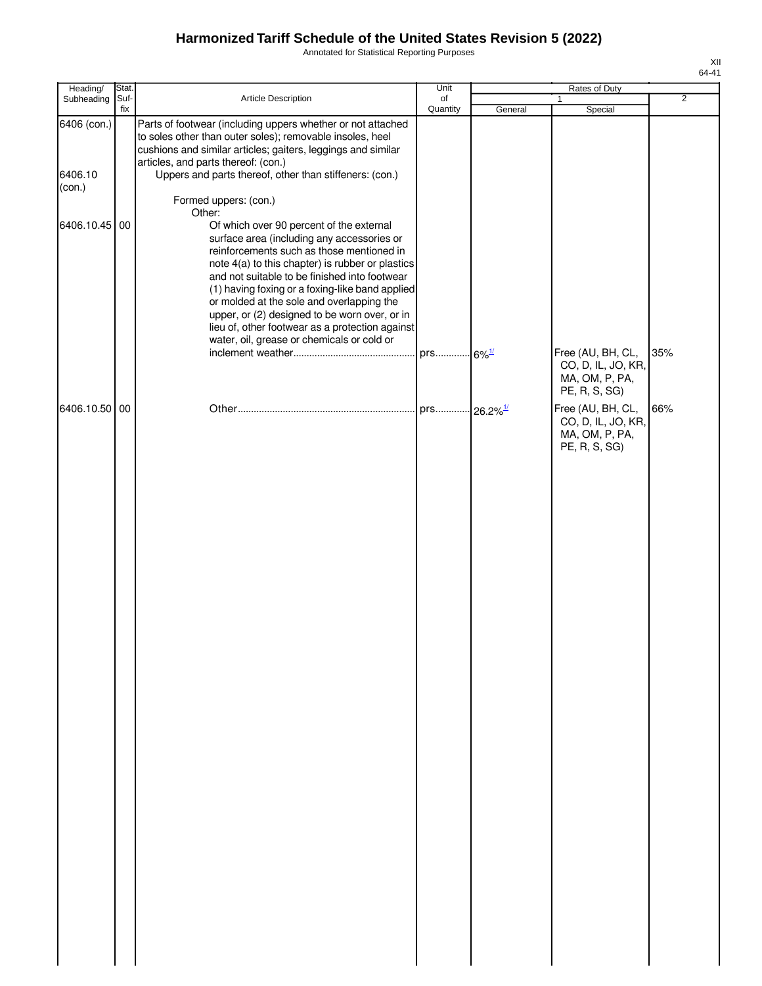Annotated for Statistical Reporting Purposes

| Heading/                         | Stat.       |                                                                                                                                                                                                                                                                                                                                                                                                                                                                                                      | Unit           |         | Rates of Duty                                                              |                |
|----------------------------------|-------------|------------------------------------------------------------------------------------------------------------------------------------------------------------------------------------------------------------------------------------------------------------------------------------------------------------------------------------------------------------------------------------------------------------------------------------------------------------------------------------------------------|----------------|---------|----------------------------------------------------------------------------|----------------|
| Subheading                       | Suf-<br>fix | Article Description                                                                                                                                                                                                                                                                                                                                                                                                                                                                                  | of<br>Quantity | General | 1<br>Special                                                               | $\overline{2}$ |
| 6406 (con.)<br>6406.10<br>(con.) |             | Parts of footwear (including uppers whether or not attached<br>to soles other than outer soles); removable insoles, heel<br>cushions and similar articles; gaiters, leggings and similar<br>articles, and parts thereof: (con.)<br>Uppers and parts thereof, other than stiffeners: (con.)<br>Formed uppers: (con.)                                                                                                                                                                                  |                |         |                                                                            |                |
| 6406.10.45 00                    |             | Other:<br>Of which over 90 percent of the external<br>surface area (including any accessories or<br>reinforcements such as those mentioned in<br>note 4(a) to this chapter) is rubber or plastics<br>and not suitable to be finished into footwear<br>(1) having foxing or a foxing-like band applied<br>or molded at the sole and overlapping the<br>upper, or (2) designed to be worn over, or in<br>lieu of, other footwear as a protection against<br>water, oil, grease or chemicals or cold or |                |         | Free (AU, BH, CL,<br>CO, D, IL, JO, KR,<br>MA, OM, P, PA,<br>PE, R, S, SG) | 35%            |
| 6406.10.50 00                    |             |                                                                                                                                                                                                                                                                                                                                                                                                                                                                                                      |                |         | Free (AU, BH, CL,<br>CO, D, IL, JO, KR,<br>MA, OM, P, PA,<br>PE, R, S, SG) | 66%            |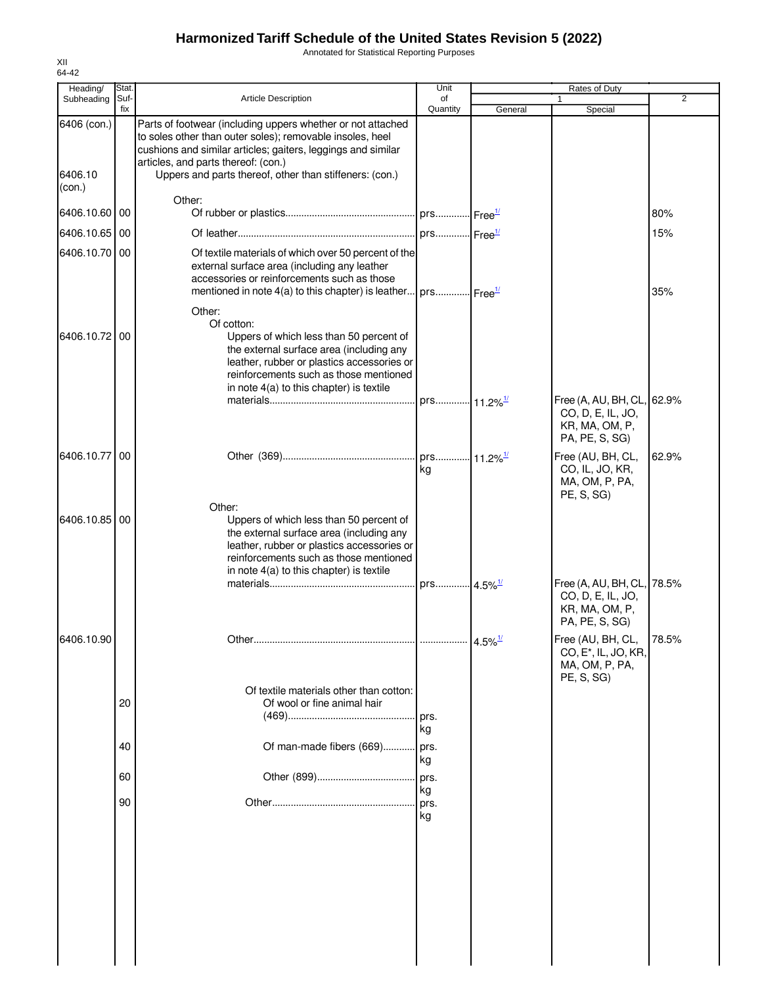Annotated for Statistical Reporting Purposes

| Heading/<br>Subheading | Stat.<br>Suf- | <b>Article Description</b>                                                                                                                                                                                                                      | Unit<br>of             |                    | Rates of Duty<br>1                                                                    | $\overline{2}$ |
|------------------------|---------------|-------------------------------------------------------------------------------------------------------------------------------------------------------------------------------------------------------------------------------------------------|------------------------|--------------------|---------------------------------------------------------------------------------------|----------------|
|                        | fix           |                                                                                                                                                                                                                                                 | Quantity               | General            | Special                                                                               |                |
| 6406 (con.)            |               | Parts of footwear (including uppers whether or not attached<br>to soles other than outer soles); removable insoles, heel<br>cushions and similar articles; gaiters, leggings and similar<br>articles, and parts thereof: (con.)                 |                        |                    |                                                                                       |                |
| 6406.10<br>(con.)      |               | Uppers and parts thereof, other than stiffeners: (con.)<br>Other:                                                                                                                                                                               |                        |                    |                                                                                       |                |
| 6406.10.60 00          |               |                                                                                                                                                                                                                                                 |                        |                    |                                                                                       | 80%            |
| 6406.10.65 00          |               |                                                                                                                                                                                                                                                 |                        |                    |                                                                                       | 15%            |
| 6406.10.70 00          |               | Of textile materials of which over 50 percent of the<br>external surface area (including any leather<br>accessories or reinforcements such as those<br>mentioned in note 4(a) to this chapter) is leather $prox$ prs $Free^{\frac{1}{2}}$       |                        |                    |                                                                                       | 35%            |
| 6406.10.72 00          |               | Other:<br>Of cotton:<br>Uppers of which less than 50 percent of<br>the external surface area (including any<br>leather, rubber or plastics accessories or<br>reinforcements such as those mentioned<br>in note 4(a) to this chapter) is textile |                        |                    |                                                                                       |                |
|                        |               |                                                                                                                                                                                                                                                 |                        |                    | Free (A, AU, BH, CL, 62.9%<br>CO, D, E, IL, JO,<br>KR, MA, OM, P,<br>PA, PE, S, SG)   |                |
| 6406.10.77 00          |               |                                                                                                                                                                                                                                                 | kg                     |                    | Free (AU, BH, CL,<br>CO, IL, JO, KR,<br>MA, OM, P, PA,<br>PE, S, SG)                  | 62.9%          |
| 6406.10.85 00          |               | Other:<br>Uppers of which less than 50 percent of<br>the external surface area (including any<br>leather, rubber or plastics accessories or<br>reinforcements such as those mentioned<br>in note 4(a) to this chapter) is textile               | prs 4.5% <sup>1/</sup> |                    | Free (A, AU, BH, CL, 78.5%                                                            |                |
|                        |               |                                                                                                                                                                                                                                                 |                        |                    | CO, D, E, IL, JO,<br>KR, MA, OM, P,<br>PA, PE, S, SG)                                 |                |
| 6406.10.90             |               |                                                                                                                                                                                                                                                 |                        | 4.5% $\frac{1}{2}$ | Free (AU, BH, CL,<br>CO, E <sup>*</sup> , IL, JO, KR,<br>MA, OM, P, PA,<br>PE, S, SG) | 78.5%          |
|                        | 20            | Of textile materials other than cotton:<br>Of wool or fine animal hair                                                                                                                                                                          | prs.                   |                    |                                                                                       |                |
|                        | 40            | Of man-made fibers (669)                                                                                                                                                                                                                        | kg<br>prs.<br>kg       |                    |                                                                                       |                |
|                        | 60            |                                                                                                                                                                                                                                                 | prs.<br>kg             |                    |                                                                                       |                |
|                        | 90            |                                                                                                                                                                                                                                                 | prs.<br>kg             |                    |                                                                                       |                |
|                        |               |                                                                                                                                                                                                                                                 |                        |                    |                                                                                       |                |
|                        |               |                                                                                                                                                                                                                                                 |                        |                    |                                                                                       |                |
|                        |               |                                                                                                                                                                                                                                                 |                        |                    |                                                                                       |                |
|                        |               |                                                                                                                                                                                                                                                 |                        |                    |                                                                                       |                |

XII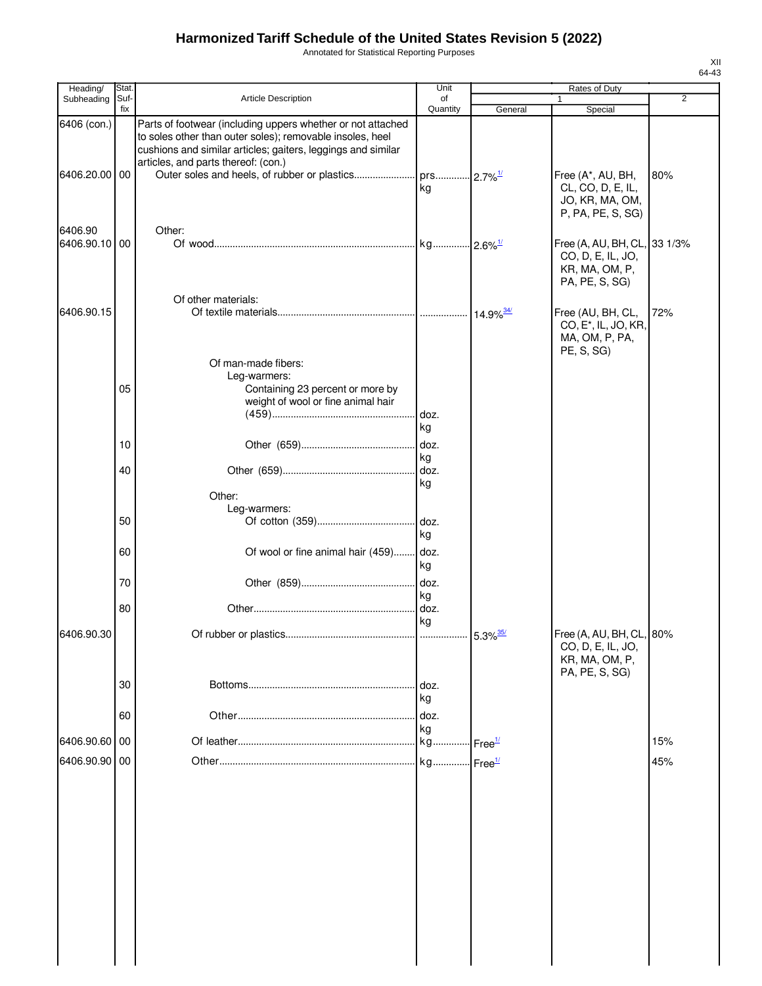Annotated for Statistical Reporting Purposes

| Heading/                     | Stat.       |                                                                                                                                                                                                                                                                                 | Unit                         |                        | <b>Rates of Duty</b>                                                                  |                |
|------------------------------|-------------|---------------------------------------------------------------------------------------------------------------------------------------------------------------------------------------------------------------------------------------------------------------------------------|------------------------------|------------------------|---------------------------------------------------------------------------------------|----------------|
| Subheading                   | Suf-<br>fix | Article Description                                                                                                                                                                                                                                                             | of<br>Quantity               | General                | $\mathbf{1}$<br>Special                                                               | $\overline{2}$ |
| 6406 (con.)<br>6406.20.00 00 |             | Parts of footwear (including uppers whether or not attached<br>to soles other than outer soles); removable insoles, heel<br>cushions and similar articles; gaiters, leggings and similar<br>articles, and parts thereof: (con.)<br>Outer soles and heels, of rubber or plastics | prs 2.7% <sup>1/</sup><br>kg |                        | Free (A*, AU, BH,<br>CL, CO, D, E, IL,<br>JO, KR, MA, OM,<br>P, PA, PE, S, SG)        | 80%            |
| 6406.90<br>6406.90.10 00     |             | Other:                                                                                                                                                                                                                                                                          |                              |                        | Free (A, AU, BH, CL, 33 1/3%<br>CO, D, E, IL, JO,<br>KR, MA, OM, P,<br>PA, PE, S, SG) |                |
| 6406.90.15                   |             | Of other materials:<br>Of man-made fibers:                                                                                                                                                                                                                                      |                              | 14.9% 34/              | Free (AU, BH, CL,<br>CO, E <sup>*</sup> , IL, JO, KR,<br>MA, OM, P, PA,<br>PE, S, SG) | 72%            |
|                              | 05          | Leg-warmers:<br>Containing 23 percent or more by<br>weight of wool or fine animal hair                                                                                                                                                                                          | doz.<br>kg                   |                        |                                                                                       |                |
|                              | 10          |                                                                                                                                                                                                                                                                                 | doz.                         |                        |                                                                                       |                |
|                              | 40          |                                                                                                                                                                                                                                                                                 | kg<br>doz.<br>kg             |                        |                                                                                       |                |
|                              | 50          | Other:<br>Leg-warmers:                                                                                                                                                                                                                                                          | doz.<br>kg                   |                        |                                                                                       |                |
|                              | 60          | Of wool or fine animal hair (459)                                                                                                                                                                                                                                               | doz.<br>kg                   |                        |                                                                                       |                |
|                              | 70          |                                                                                                                                                                                                                                                                                 | doz.<br>kg                   |                        |                                                                                       |                |
|                              | 80          |                                                                                                                                                                                                                                                                                 | doz.                         |                        |                                                                                       |                |
| 6406.90.30                   |             |                                                                                                                                                                                                                                                                                 | kg                           | $5.3\%$ <sup>35/</sup> | Free (A, AU, BH, CL, 80%                                                              |                |
|                              |             |                                                                                                                                                                                                                                                                                 |                              |                        | CO, D, E, IL, JO,<br>KR, MA, OM, P,<br>PA, PE, S, SG)                                 |                |
|                              | 30          |                                                                                                                                                                                                                                                                                 | doz.<br>kg                   |                        |                                                                                       |                |
|                              | 60          |                                                                                                                                                                                                                                                                                 | doz.                         |                        |                                                                                       |                |
| 6406.90.60                   | 00          |                                                                                                                                                                                                                                                                                 | kg<br>kg Free <sup>1/</sup>  |                        |                                                                                       | 15%            |
| 6406.90.90 00                |             |                                                                                                                                                                                                                                                                                 |                              |                        |                                                                                       | 45%            |
|                              |             |                                                                                                                                                                                                                                                                                 |                              |                        |                                                                                       |                |